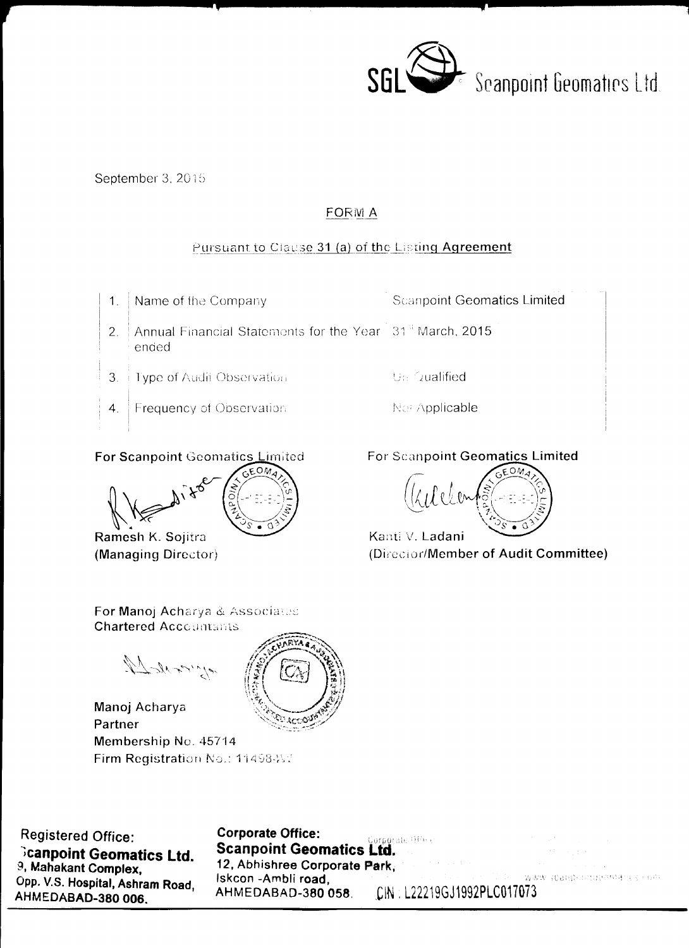

September 3, 2015



Pursuant to Clause 31 (a) of the Listing Agreement

Name of the Company  $1<sub>1</sub>$ 

Scanpoint Geomatics Limited

- Annual Financial Statements for the Year 31<sup>st</sup> March, 2015  $2.$ ended
- Type of Audit Observation  $3<sub>1</sub>$
- Frequency of Observation  $\mathcal{A}_{\cdot}$
- **Un Qualified**
- Not Applicable

For Scanpoint Geomatics Limited GEOMA





(Director/Member of Audit Committee)

For Manoj Acharya & Associates **Chartered Accountants** 

> $150$ ر هم <sup>ب</sup>ر برگرم.

Manoj Acharya Partner



# Membership No. 45714 Firm Registration No.: 1149841.

Registered Office: **Corporate Office:** Corporate Afine **Scanpoint Geomatics Ltd. Beanpoint Geomatics Ltd.**  $\label{eq:2.1} \mathcal{L}(\mathcal{L}(\mathcal{L}))=\mathcal{L}(\mathcal{L}(\mathcal{L}))=\mathcal{L}(\mathcal{L}(\mathcal{L}))=\mathcal{L}(\mathcal{L}(\mathcal{L}))=\mathcal{L}(\mathcal{L}(\mathcal{L}))=\mathcal{L}(\mathcal{L}(\mathcal{L}))=\mathcal{L}(\mathcal{L}(\mathcal{L}))=\mathcal{L}(\mathcal{L}(\mathcal{L}))=\mathcal{L}(\mathcal{L}(\mathcal{L}))=\mathcal{L}(\mathcal{L}(\mathcal{L}))=\mathcal{L}(\mathcal{L}(\mathcal{L}))=\mathcal{L}(\mathcal{L}(\$ 12, Abhishree Corporate Park, and a state of the contract of the contract of the contract of the contract of the contract of the contract of the contract of the contract of the contract of the contract of the contract of t 9, Mahakant Complex, Iskcon-Ambli road, Opp. V.S. Hospital, Ashram Road, CIN : L22219GJ1992PLC017073 AHMEDABAD-380 058. AHMEDABAD-380 006.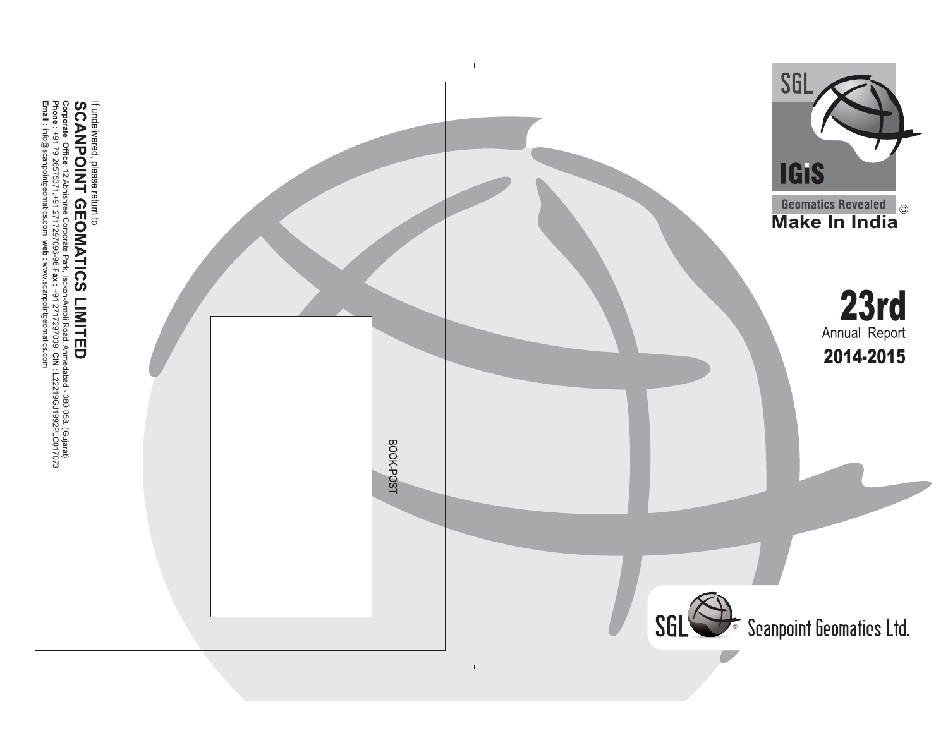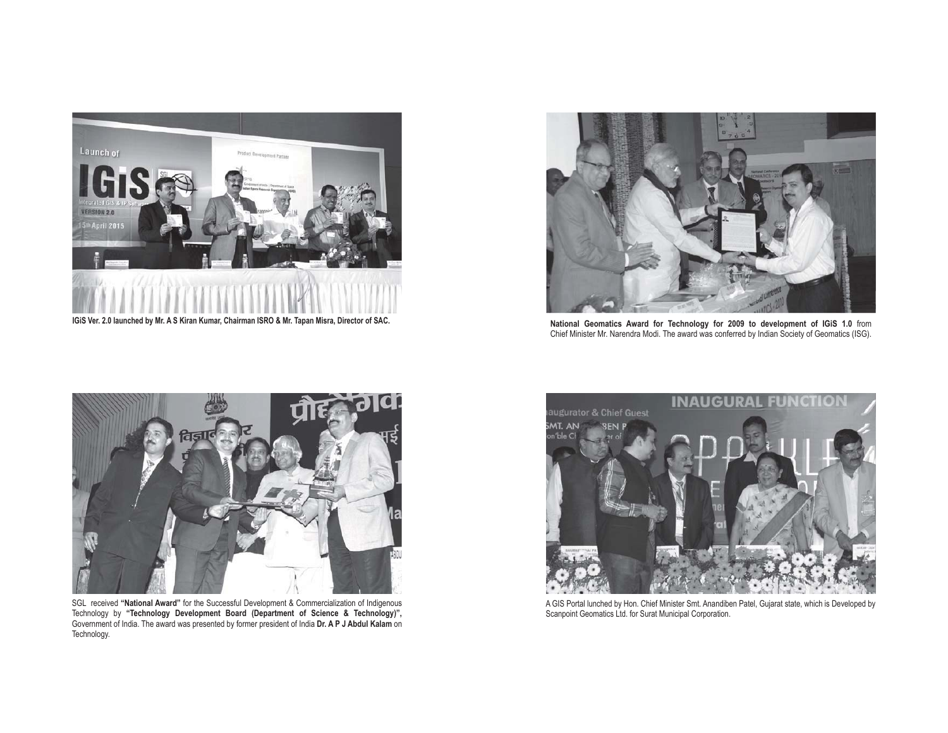

**IGiS Ver. 2.0 launched by Mr. A S Kiran Kumar, Chairman ISRO & Mr. Tapan Misra, Director of SAC.**



SGL received "National Award" for the Successful Development & Commercialization of Indigenous Technology by **"Technology Development Board (Department of Science & Technology)",** Government of India. The award was presented by former president of India on **Dr. A P J Abdul Kalam** Technology.



National Geomatics Award for Technology for 2009 to development of IGiS 1.0 from Chief Minister Mr. Narendra Modi. The award was conferred by Indian Society of Geomatics (ISG).



A GIS Portal lunched by Hon. Chief Minister Smt. Anandiben Patel, Gujarat state, which is Developed by Scanpoint Geomatics Ltd. for Surat Municipal Corporation.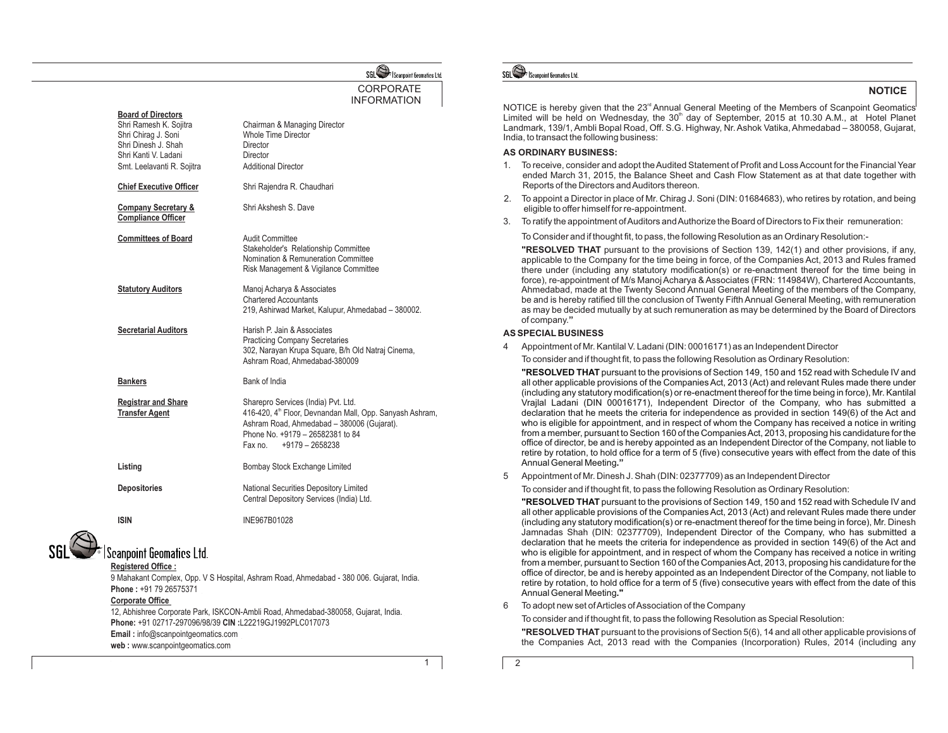## SGL Seanpoint Geomatics Ltd. CORPORATEINFORMATION

| <b>Board of Directors</b><br>Shri Ramesh K. Sojitra<br>Shri Chirag J. Soni<br>Shri Dinesh J. Shah<br>Shri Kanti V. Ladani<br>Smt. Leelavanti R. Sojitra | Chairman & Managing Director<br>Whole Time Director<br>Director<br>Director<br><b>Additional Director</b>                                                                                                                |
|---------------------------------------------------------------------------------------------------------------------------------------------------------|--------------------------------------------------------------------------------------------------------------------------------------------------------------------------------------------------------------------------|
| <b>Chief Executive Officer</b>                                                                                                                          | Shri Rajendra R. Chaudhari                                                                                                                                                                                               |
| <b>Company Secretary &amp;</b><br><b>Compliance Officer</b>                                                                                             | Shri Akshesh S. Dave                                                                                                                                                                                                     |
| <b>Committees of Board</b>                                                                                                                              | Audit Committee<br>Stakeholder's Relationship Committee<br>Nomination & Remuneration Committee<br>Risk Management & Vigilance Committee                                                                                  |
| <b>Statutory Auditors</b>                                                                                                                               | Manoj Acharya & Associates<br><b>Chartered Accountants</b><br>219, Ashirwad Market, Kalupur, Ahmedabad - 380002.                                                                                                         |
| <b>Secretarial Auditors</b>                                                                                                                             | Harish P. Jain & Associates<br><b>Practicing Company Secretaries</b><br>302, Narayan Krupa Square, B/h Old Natraj Cinema,<br>Ashram Road, Ahmedabad-380009                                                               |
| <b>Bankers</b>                                                                                                                                          | Bank of India                                                                                                                                                                                                            |
| <b>Registrar and Share</b><br><b>Transfer Agent</b>                                                                                                     | Sharepro Services (India) Pvt. Ltd.<br>416-420, 4 <sup>th</sup> Floor, Devnandan Mall, Opp. Sanyash Ashram.<br>Ashram Road, Ahmedabad - 380006 (Guiarat).<br>Phone No. +9179 - 26582381 to 84<br>Fax no. $+9179-2658238$ |
| Listing                                                                                                                                                 | Bombay Stock Exchange Limited                                                                                                                                                                                            |
| <b>Depositories</b>                                                                                                                                     | National Securities Depository Limited<br>Central Depository Services (India) Ltd.                                                                                                                                       |
| <b>ISIN</b>                                                                                                                                             | INE967B01028                                                                                                                                                                                                             |
|                                                                                                                                                         |                                                                                                                                                                                                                          |

#### Seanpoint Geomaties Ltd. **Registered Office :**

9 Mahakant Complex, Opp. V S Hospital, Ashram Road, Ahmedabad - 380 006. Gujarat, India. **Phone :** +91 79 26575371

#### **Corporate Office**

12, Abhishree Corporate Park, ISKCON-Ambli Road, Ahmedabad-380058, Gujarat, India. **Phone: CIN :** +91 02717-297096/98/39 L22219GJ1992PLC017073**Email :** info@scanpointgeomatics.com **web :** www.scanpointgeomatics.com

SGL<sup>9</sup> | Seanpoint Geomatics Ltd.

#### **NOTICE**

NOTICE is hereby given that the  $23<sup>rd</sup>$  Annual General Meeting of the Members of Scanpoint Geomatics Limited will be held on Wednesday, the 30<sup>th</sup> day of September, 2015 at 10.30 A.M., at Hotel Planet Landmark, 139/1, Ambli Bopal Road, Off. S.G. Highway, Nr. Ashok Vatika, Ahmedabad – 380058, Gujarat, India, to transact the following business:

#### **AS ORDINARY BUSINESS:**

- 1. To receive, consider and adopt theAudited Statement of Profit and LossAccount for the Financial Year ended March 31, 2015, the Balance Sheet and Cash Flow Statement as at that date together with Reports of the Directors and Auditors thereon.
- 2. To appoint <sup>a</sup> Director in place of Mr. Chirag J. Soni (DIN: 01684683), who retires by rotation, and being eligible to offer himself for re-appointment.
- 3. To ratify the appointment ofAuditors andAuthorize the Board of Directors to Fix their remuneration:

To Consider and if thought fit, to pass, the following Resolution as an Ordinary Resolution:-

**"RESOLVED THAT** pursuant to the provisions of Section 139, 142(1) and other provisions, if any, applicable to the Company for the time being in force, of the Companies Act, 2013 and Rules framed there under (including any statutory modification(s) or re-enactment thereof for the time being in force), re-appointment of M/s Manoj Acharya & Associates (FRN: 114984W), Chartered Accountants, Ahmedabad, made at the Twenty Second Annual General Meeting of the members of the Company, be and is hereby ratified till the conclusion of Twenty Fifth Annual General Meeting, with remuneration as may be decided mutually by at such remuneration as may be determined by the Board of Directors of company.**"**

#### **AS SPECIAL BUSINESS**

4 Appointment of Mr. Kantilal V. Ladani (DIN: 00016171) as an Independent Director

To consider and if thought fit, to pass the following Resolution as Ordinary Resolution:

**"RESOLVED THAT** pursuant to the provisions of Section 149, 150 and 152 read with Schedule IV and all other applicable provisions of the Companies Act, 2013 (Act) and relevant Rules made there under (including any statutory modification(s) or re-enactment thereof for the time being in force), Mr. Kantilal Vrajlal Ladani (DIN 00016171), Independent Director of the Company, who has submitted <sup>a</sup> declaration that he meets the criteria for independence as provided in section 149(6) of the Act and who is eligible for appointment, and in respect of whom the Company has received <sup>a</sup> notice in writing from a member, pursuant to Section 160 of the Companies Act, 2013, proposing his candidature for the office of director, be and is hereby appointed as an Independent Director of the Company, not liable to retire by rotation, to hold office for <sup>a</sup> term of 5 (five) consecutive years with effect from the date of this Annual General Meeting**."**

5 Appointment of Mr. Dinesh J. Shah (DIN: 02377709) as an Independent Director

To consider and if thought fit, to pass the following Resolution as Ordinary Resolution:

**"RESOLVED THAT** pursuant to the provisions of Section 149, 150 and 152 read with Schedule IV and all other applicable provisions of the Companies Act, 2013 (Act) and relevant Rules made there under (including any statutory modification(s) or re-enactment thereof for the time being in force), Mr. Dinesh Jamnadas Shah (DIN: 02377709), Independent Director of the Company, who has submitted <sup>a</sup> declaration that he meets the criteria for independence as provided in section 149(6) of the Act and who is eligible for appointment, and in respect of whom the Company has received <sup>a</sup> notice in writing from a member, pursuant to Section 160 of the Companies Act, 2013, proposing his candidature for the office of director, be and is hereby appointed as an Independent Director of the Company, not liable to retire by rotation, to hold office for <sup>a</sup> term of 5 (five) consecutive years with effect from the date of this Annual General Meeting**."**

6 To adopt new set ofArticles ofAssociation of the Company

To consider and if thought fit, to pass the following Resolution as Special Resolution:

**"RESOLVED THAT** pursuant to the provisions of Section 5(6), 14 and all other applicable provisions of the Companies Act, 2013 read with the Companies (Incorporation) Rules, 2014 (including any

1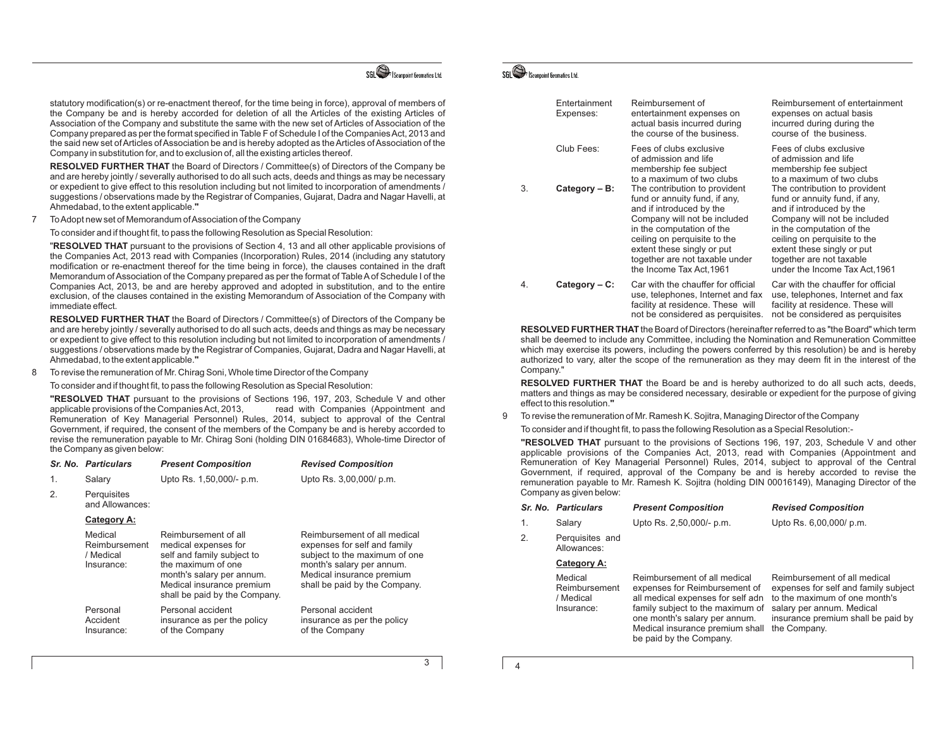## $\textsf{SGL}\bigoplus_\textsf{``|Scanpoint \textsf{Geomatics Ltd.}}$

## SGL<sup>9</sup> Seanpoint Geomatics Ltd.

statutory modification(s) or re-enactment thereof, for the time being in force), approval of members of the Company be and is hereby accorded for deletion of all the Articles of the existing Articles of Association of the Company and substitute the same with the new set of Articles of Association of the Company prepared as per the format specified in Table F of Schedule I of the Companies Act, 2013 and the said new set of Articles of Association be and is hereby adopted as the Articles of Association of the Company in substitution for, and to exclusion of, all the existing articles thereof.

**RESOLVED FURTHER THAT** the Board of Directors / Committee(s) of Directors of the Company be and are hereby jointly / severally authorised to do all such acts, deeds and things as may be necessary or expedient to give effect to this resolution including but not limited to incorporation of amendments / suggestions / observations made by the Registrar of Companies, Gujarat, Dadra and Nagar Havelli, at Ahmedabad, to the extent applicable.**"**

7 ToAdopt new set of Memorandum ofAssociation of the Company

To consider and if thought fit, to pass the following Resolution as Special Resolution:

**"RESOLVED THAT** pursuant to the provisions of Section 4, 13 and all other applicable provisions of the Companies Act, 2013 read with Companies (Incorporation) Rules, 2014 (including any statutory modification or re-enactment thereof for the time being in force), the clauses contained in the draft Memorandum of Association of the Company prepared as per the format of Table A of Schedule I of the Companies Act, 2013, be and are hereby approved and adopted in substitution, and to the entire exclusion, of the clauses contained in the existing Memorandum of Association of the Company with immediate effect.

**RESOLVED FURTHER THAT** the Board of Directors / Committee(s) of Directors of the Company be and are hereby jointly / severally authorised to do all such acts, deeds and things as may be necessary or expedient to give effect to this resolution including but not limited to incorporation of amendments / suggestions / observations made by the Registrar of Companies, Gujarat, Dadra and Nagar Havelli, at Ahmedabad, to the extent applicable.**"**

8 To revise the remuneration of Mr. Chirag Soni, Whole time Director of the Company

To consider and if thought fit, to pass the following Resolution as Special Resolution:

**"RESOLVED THAT** pursuant to the provisions of Sections 196, 197, 203, Schedule V and other applicable provisions of the Companies Act, 2013, read with Companies (Appointment and Remuneration of Key Managerial Personnel) Rules, 2014, subject to approval of the Central Government, if required, the consent of the members of the Company be and is hereby accorded to revise the remuneration payable to Mr. Chirag Soni (holding DIN 01684683), Whole-time Director of the Company as given below:

|    | Sr. No. Particulars                                 | <b>Present Composition</b>                                                                                                                                                                  | <b>Revised Composition</b>                                                                                                                                                               |
|----|-----------------------------------------------------|---------------------------------------------------------------------------------------------------------------------------------------------------------------------------------------------|------------------------------------------------------------------------------------------------------------------------------------------------------------------------------------------|
| 1. | Salary                                              | Upto Rs. 1,50,000/- p.m.                                                                                                                                                                    | Upto Rs. 3,00,000/ p.m.                                                                                                                                                                  |
| 2. | Perquisites<br>and Allowances:                      |                                                                                                                                                                                             |                                                                                                                                                                                          |
|    | Category A:                                         |                                                                                                                                                                                             |                                                                                                                                                                                          |
|    | Medical<br>Reimbursement<br>/ Medical<br>Insurance: | Reimbursement of all<br>medical expenses for<br>self and family subject to<br>the maximum of one<br>month's salary per annum.<br>Medical insurance premium<br>shall be paid by the Company. | Reimbursement of all medical<br>expenses for self and family<br>subject to the maximum of one<br>month's salary per annum.<br>Medical insurance premium<br>shall be paid by the Company. |
|    | Personal<br>Accident<br>Insurance:                  | Personal accident<br>insurance as per the policy<br>of the Company                                                                                                                          | Personal accident<br>insurance as per the policy<br>of the Company                                                                                                                       |

|                  | Entertainment<br>Expenses: | Reimbursement of<br>entertainment expenses on<br>actual basis incurred during<br>the course of the business.                                                                                                                                                                        | Reimbursement of entertainment<br>expenses on actual basis<br>incurred during during the<br>course of the business.                                                                                                                                                                 |
|------------------|----------------------------|-------------------------------------------------------------------------------------------------------------------------------------------------------------------------------------------------------------------------------------------------------------------------------------|-------------------------------------------------------------------------------------------------------------------------------------------------------------------------------------------------------------------------------------------------------------------------------------|
|                  | Club Fees:                 | Fees of clubs exclusive<br>of admission and life<br>membership fee subject<br>to a maximum of two clubs                                                                                                                                                                             | Fees of clubs exclusive<br>of admission and life<br>membership fee subject<br>to a maximum of two clubs                                                                                                                                                                             |
| 3.               | Category - B:              | The contribution to provident<br>fund or annuity fund, if any,<br>and if introduced by the<br>Company will not be included<br>in the computation of the<br>ceiling on perquisite to the<br>extent these singly or put<br>together are not taxable under<br>the Income Tax Act, 1961 | The contribution to provident<br>fund or annuity fund, if any,<br>and if introduced by the<br>Company will not be included<br>in the computation of the<br>ceiling on perquisite to the<br>extent these singly or put<br>together are not taxable<br>under the Income Tax Act, 1961 |
| $\overline{4}$ . | $Category - C$ :           | Car with the chauffer for official<br>use, telephones, Internet and fax<br>facility at residence. These will<br>not be considered as perquisites.                                                                                                                                   | Car with the chauffer for official<br>use, telephones, Internet and fax<br>facility at residence. These will<br>not be considered as perquisites                                                                                                                                    |

**RESOLVED FURTHER THAT** the Board of Directors (hereinafter referred to as "the Board" which term shall be deemed to include any Committee, including the Nomination and Remuneration Committee which may exercise its powers, including the powers conferred by this resolution) be and is hereby authorized to vary, alter the scope of the remuneration as they may deem fit in the interest of the Company."

**RESOLVED FURTHER THAT** the Board be and is hereby authorized to do all such acts, deeds, matters and things as may be considered necessary, desirable or expedient for the purpose of giving effect to this resolution.**"**

9 To revise the remuneration of Mr. Ramesh K. Sojitra, Managing Director of the Company

To consider and if thought fit, to pass the following Resolution as <sup>a</sup> Special Resolution:-

**"RESOLVED THAT** pursuant to the provisions of Sections 196, 197, 203, Schedule V and other applicable provisions of the Companies Act, 2013, read with Companies (Appointment and Remuneration of Key Managerial Personnel) Rules, 2014, subject to approval of the Central Government, if required, approval of the Company be and is hereby accorded to revise the remuneration payable to Mr. Ramesh K. Sojitra (holding DIN 00016149), Managing Director of the Company as given below:

|                  | Sr. No. Particulars                                 | <b>Present Composition</b>                                                                                                                                                                                                            | <b>Revised Composition</b>                                                                                                                                                               |
|------------------|-----------------------------------------------------|---------------------------------------------------------------------------------------------------------------------------------------------------------------------------------------------------------------------------------------|------------------------------------------------------------------------------------------------------------------------------------------------------------------------------------------|
| 1.               | Salary                                              | Upto Rs. 2,50,000/- p.m.                                                                                                                                                                                                              | Upto Rs. 6,00,000/ p.m.                                                                                                                                                                  |
| $\overline{2}$ . | Perquisites and<br>Allowances:                      |                                                                                                                                                                                                                                       |                                                                                                                                                                                          |
|                  | Category A:                                         |                                                                                                                                                                                                                                       |                                                                                                                                                                                          |
|                  | Medical<br>Reimbursement<br>/ Medical<br>Insurance: | Reimbursement of all medical<br>expenses for Reimbursement of<br>all medical expenses for self adn<br>family subject to the maximum of<br>one month's salary per annum.<br>Medical insurance premium shall<br>be paid by the Company. | Reimbursement of all medical<br>expenses for self and family subject<br>to the maximum of one month's<br>salary per annum. Medical<br>insurance premium shall be paid by<br>the Company. |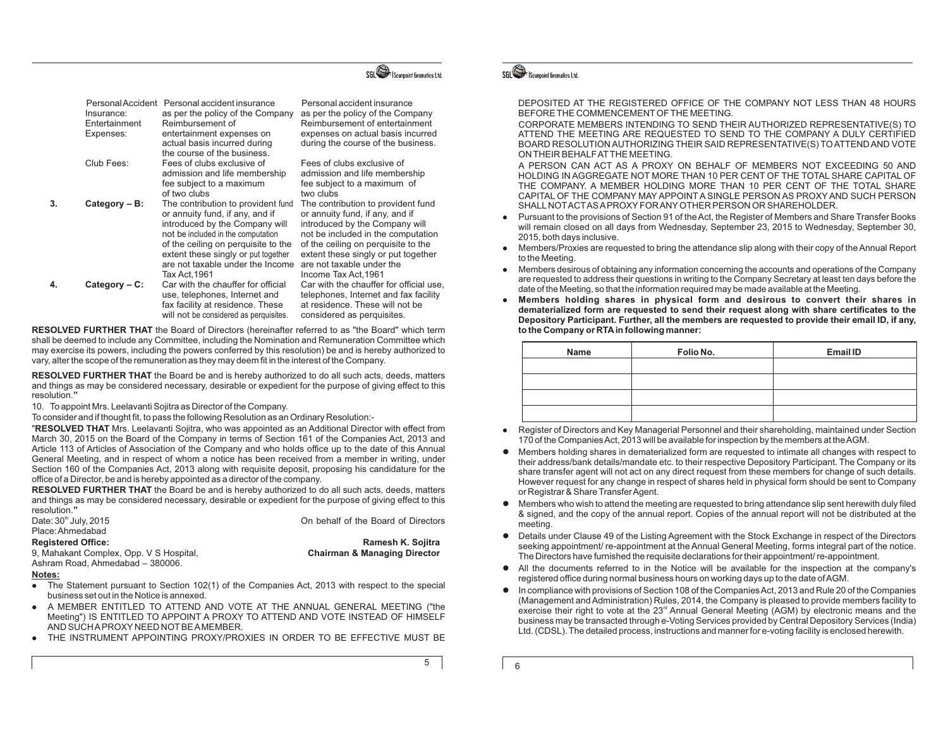

|    | Insurance:<br>Entertainment<br>Expenses: | Personal Accident Personal accident insurance<br>as per the policy of the Company<br>Reimbursement of<br>entertainment expenses on<br>actual basis incurred during<br>the course of the business.                                                                               | Personal accident insurance<br>as per the policy of the Company<br>Reimbursement of entertainment<br>expenses on actual basis incurred<br>during the course of the business.                                                                                                     |
|----|------------------------------------------|---------------------------------------------------------------------------------------------------------------------------------------------------------------------------------------------------------------------------------------------------------------------------------|----------------------------------------------------------------------------------------------------------------------------------------------------------------------------------------------------------------------------------------------------------------------------------|
|    | Club Fees:                               | Fees of clubs exclusive of<br>admission and life membership<br>fee subject to a maximum<br>of two clubs                                                                                                                                                                         | Fees of clubs exclusive of<br>admission and life membership<br>fee subject to a maximum of<br>two clubs                                                                                                                                                                          |
| 3. | Category - B:                            | The contribution to provident fund<br>or annuity fund, if any, and if<br>introduced by the Company will<br>not be included in the computation<br>of the ceiling on perguisite to the<br>extent these singly or put together<br>are not taxable under the Income<br>Tax Act.1961 | The contribution to provident fund<br>or annuity fund, if any, and if<br>introduced by the Company will<br>not be included in the computation<br>of the ceiling on perquisite to the<br>extent these singly or put together<br>are not taxable under the<br>Income Tax Act, 1961 |
| 4. | $Category - C$ :                         | Car with the chauffer for official<br>use, telephones, Internet and<br>fax facility at residence. These<br>will not be considered as perquisites.                                                                                                                               | Car with the chauffer for official use,<br>telephones, Internet and fax facility<br>at residence. These will not be<br>considered as perquisites.                                                                                                                                |

**RESOLVED FURTHER THAT** the Board of Directors (hereinafter referred to as "the Board" which term shall be deemed to include any Committee, including the Nomination and Remuneration Committee which may exercise its powers, including the powers conferred by this resolution) be and is hereby authorized to vary, alter the scope of the remuneration as they may deem fit in the interest of the Company.

**RESOLVED FURTHER THAT** the Board be and is hereby authorized to do all such acts, deeds, matters and things as may be considered necessary, desirable or expedient for the purpose of giving effect to this resolution.**"**

10. To appoint Mrs. Leelavanti Sojitra as Director of the Company.

To consider and if thought fit, to pass the following Resolution as an Ordinary Resolution:-

 $\blacksquare$ **RESOLVED THAT** Mrs. Leelavanti Sojitra, who was appointed as an Additional Director with effect from March 30, 2015 on the Board of the Company in terms of Section 161 of the Companies Act, 2013 and Article 113 of Articles of Association of the Company and who holds office up to the date of this Annual General Meeting, and in respect of whom <sup>a</sup> notice has been received from <sup>a</sup> member in writing, under Section 160 of the Companies Act, 2013 along with requisite deposit, proposing his candidature for the office of <sup>a</sup> Director, be and is hereby appointed as <sup>a</sup> director of the company.

**RESOLVED FURTHER THAT** the Board be and is hereby authorized to do all such acts, deeds, matters and things as may be considered necessary, desirable or expedient for the purpose of giving effect to this resolution.**"**

| Date: $30th$ July, 2015                 | On behalf of the Board of Directors     |
|-----------------------------------------|-----------------------------------------|
| Place: Ahmedabad                        |                                         |
| <b>Registered Office:</b>               | Ramesh K. Soiitra                       |
| 9, Mahakant Complex, Opp. V S Hospital, | <b>Chairman &amp; Managing Director</b> |
| Ashram Road, Ahmedabad - 380006.        |                                         |
| Notes:                                  |                                         |

- $\bullet$  The Statement pursuant to Section 102(1) of the Companies Act, 2013 with respect to the special business set out in the Notice is annexed.
- - A MEMBER ENTITLED TO ATTEND AND VOTE AT THE ANNUAL GENERAL MEETING ("the Meeting") IS ENTITLED TO APPOINT A PROXY TO ATTEND AND VOTE INSTEAD OF HIMSELF AND SUCHAPROXY NEED NOT BEAMEMBER.
- THE INSTRUMENT APPOINTING PROXY/PROXIES IN ORDER TO BE EFFECTIVE MUST BE

5

## SGL Seanpoint Geomatics Ltd.

DEPOSITED AT THE REGISTERED OFFICE OF THE COMPANY NOT LESS THAN 48 HOURSBEFORE THE COMMENCEMENT OF THE MEETING.

CORPORATE MEMBERS INTENDING TO SEND THEIR AUTHORIZED REPRESENTATIVE(S) TO ATTEND THE MEETING ARE REQUESTED TO SEND TO THE COMPANY A DULY CERTIFIEDBOARD RESOLUTION AUTHORIZING THEIR SAID REPRESENTATIVE(S) TO ATTEND AND VOTE ON THEIR BEHALFATTHE MEETING.

A PERSON CAN ACT AS A PROXY ON BEHALF OF MEMBERS NOT EXCEEDING 50 AND HOLDING IN AGGREGATE NOT MORE THAN 10 PER CENT OF THE TOTAL SHARE CAPITAL OFTHE COMPANY. A MEMBER HOLDING MORE THAN 10 PER CENT OF THE TOTAL SHARECAPITAL OF THE COMPANY MAY APPOINT A SINGLE PERSON AS PROXY AND SUCH PERSON SHALLNOTACTASAPROXY FORANY OTHER PERSON OR SHAREHOLDER.

- - Pursuant to the provisions of Section 91 of the Act, the Register of Members and Share Transfer Books will remain closed on all days from Wednesday, September 23, 2015 to Wednesday, September 30, 2015, both days inclusive.
- $\bullet$  Members/Proxies are requested to bring the attendance slip along with their copy of the Annual Report to the Meeting.
- - Members desirous of obtaining any information concerning the accounts and operations of the Company are requested to address their questions in writing to the Company Secretary at least ten days before the date of the Meeting, so that the information required may be made available at the Meeting.
- $\bullet$ Members holding shares in physical form and desirous to convert their shares in dematerialized form are requested to send their request along with share certificates to the Depository Participant. Further, all the members are requested to provide their email ID, if any, **to the Company or RTAin following manner:**

| Name | Folio No. | <b>Email ID</b> |
|------|-----------|-----------------|
|      |           |                 |
|      |           |                 |
|      |           |                 |
|      |           |                 |

- - Register of Directors and Key Managerial Personnel and their shareholding, maintained under Section 170 of the CompaniesAct, 2013 will be available for inspection by the members at theAGM.
- - Members holding shares in dematerialized form are requested to intimate all changes with respect to their address/bank details/mandate etc. to their respective Depository Participant. The Company or its share transfer agent will not act on any direct request from these members for change of such details. However request for any change in respect of shares held in physical form should be sent to Company or Registrar & Share Transfer Agent.
- - Members who wish to attend the meeting are requested to bring attendance slip sent herewith duly filed & signed, and the copy of the annual report. Copies of the annual report will not be distributed at the meeting.
- $\bullet$  Details under Clause 49 of the Listing Agreement with the Stock Exchange in respect of the Directors seeking appointment/ re-appointment at the Annual General Meeting, forms integral part of the notice. The Directors have furnished the requisite declarations for their appointment/ re-appointment.
- All the documents referred to in the Notice will be available for the inspection at the company's registered office during normal business hours on working days up to the date ofAGM.
- 0 In compliance with provisions of Section 108 of the Companies Act, 2013 and Rule 20 of the Companies (Management and Administration) Rules, 2014, the Company is pleased to provide members facility to exercise their right to vote at the 23<sup>rd</sup> Annual General Meeting (AGM) by electronic means and the business may be transacted through e-Voting Services provided by Central Depository Services (India) Ltd. (CDSL). The detailed process, instructions and manner for e-voting facility is enclosed herewith.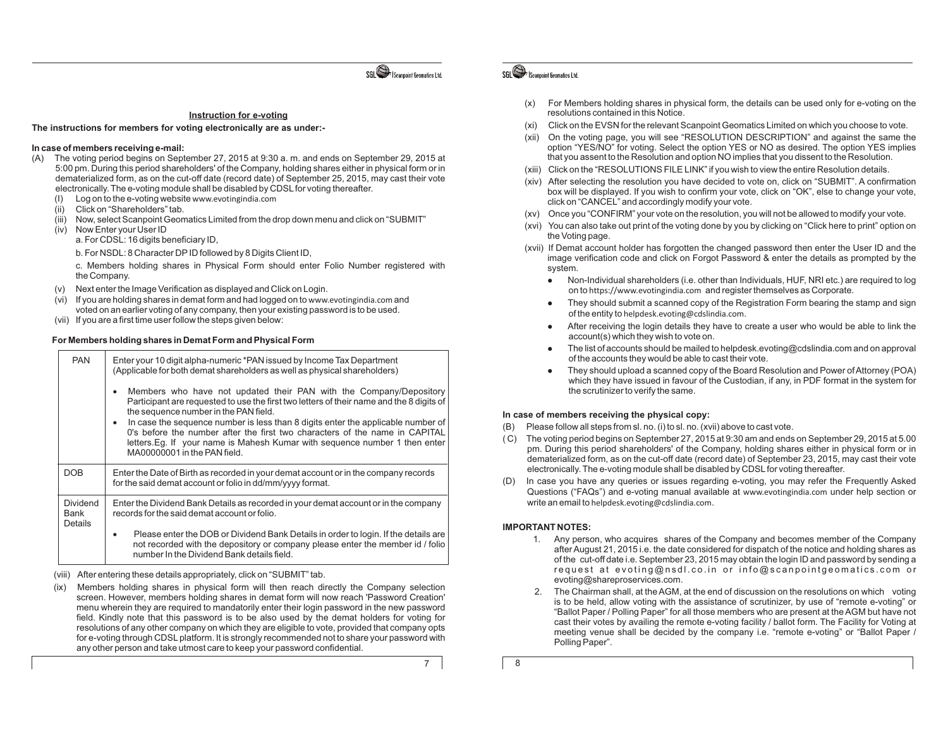SGL<sup>9</sup> |Scanpoint Geomatics Ltd.

#### **Instruction for e-voting**

#### **The instructions for members for voting electronically are as under:-**

#### **In case of members receiving e-mail:**

- (A) The voting period begins on September 27, 2015 at 9:30 a. m. and ends on September 29, 2015 at 5:00 pm. During this period shareholders' of the Company, holding shares either in physical form or in dematerialized form, as on the cut-off date (record date) of September 25, 2015, may cast their vote electronically. The e-voting module shall be disabled by CDSLfor voting thereafter.
	- (I) Log on to the e-voting website www.evotingindia.com
	- (ii) Click on "Shareholders" tab.<br>(iii) Now. select Scanpoint Geor
	- Now, select Scanpoint Geomatics Limited from the drop down menu and click on "SUBMIT"
	- (iv) Now Enter your User ID
		- a. For CDSL: 16 digits beneficiary ID,
		- b. For NSDL: 8 Character DP ID followed by 8 Digits Client ID,
		- c. Members holding shares in Physical Form should enter Folio Number registered with the Company.
	- (v) Next enter the Image Verification as displayed and Click on Login.
	- (vi) If you are holding shares in demat form and had logged on to www.evotingindia.com and voted on an earlier voting of any company, then your existing password is to be used.
	- (vii) If you are <sup>a</sup> first time user follow the steps given below:

#### **For Members holding shares in Demat Form and Physical Form**

| <b>PAN</b>                         | Enter your 10 digit alpha-numeric *PAN issued by Income Tax Department<br>(Applicable for both demat shareholders as well as physical shareholders)                                                                                                                                                                                                                                                                                                                                       |
|------------------------------------|-------------------------------------------------------------------------------------------------------------------------------------------------------------------------------------------------------------------------------------------------------------------------------------------------------------------------------------------------------------------------------------------------------------------------------------------------------------------------------------------|
|                                    | Members who have not updated their PAN with the Company/Depository<br>Participant are requested to use the first two letters of their name and the 8 digits of<br>the sequence number in the PAN field.<br>In case the sequence number is less than 8 digits enter the applicable number of<br>0's before the number after the first two characters of the name in CAPITAL<br>letters. Eq. If your name is Mahesh Kumar with sequence number 1 then enter<br>MA00000001 in the PAN field. |
| <b>DOB</b>                         | Enter the Date of Birth as recorded in your demat account or in the company records<br>for the said demat account or folio in dd/mm/yyyy format.                                                                                                                                                                                                                                                                                                                                          |
| <b>Dividend</b><br>Bank<br>Details | Enter the Dividend Bank Details as recorded in your demat account or in the company<br>records for the said demat account or folio.                                                                                                                                                                                                                                                                                                                                                       |
|                                    | Please enter the DOB or Dividend Bank Details in order to login. If the details are<br>not recorded with the depository or company please enter the member id / folio<br>number In the Dividend Bank details field.                                                                                                                                                                                                                                                                       |

(viii) After entering these details appropriately, click on "SUBMIT" tab.

(ix) Members holding shares in physical form will then reach directly the Company selection screen. However, members holding shares in demat form will now reach 'Password Creation' menu wherein they are required to mandatorily enter their login password in the new password field. Kindly note that this password is to be also used by the demat holders for voting for resolutions of any other company on which they are eligible to vote, provided that company opts for e-voting through CDSL platform. It is strongly recommended not to share your password with any other person and take utmost care to keep your password confidential.

SGL Seanpoint Geomatics Ltd.

- (x) For Members holding shares in physical form, the details can be used only for e-voting on the resolutions contained in this Notice.
- (xi) Click on the EVSN for the relevant Scanpoint Geomatics Limited on which you choose to vote.
- (xii) On the voting page, you will see "RESOLUTION DESCRIPTION" and against the same the option "YES/NO" for voting. Select the option YES or NO as desired. The option YES implies that you assent to the Resolution and option NO implies that you dissent to the Resolution.
- (xiii) Click on the "RESOLUTIONS FILE LINK" if you wish to view the entire Resolution details.
- (xiv) After selecting the resolution you have decided to vote on, click on "SUBMIT". A confirmation box will be displayed. If you wish to confirm your vote, click on "OK", else to change your vote, click on "CANCEL" and accordingly modify your vote.
- (xv) Once you "CONFIRM" your vote on the resolution, you will not be allowed to modify your vote.
- (xvi) You can also take out print of the voting done by you by clicking on "Click here to print" option on the Voting page.
- (xvii) If Demat account holder has forgotten the changed password then enter the User ID and the image verification code and click on Forgot Password & enter the details as prompted by the system.
	- $\bullet$  Non-Individual shareholders (i.e. other than Individuals, HUF, NRI etc.) are required to log on to https://www.evotingindia.com and register themselves as Corporate.
	- - They should submit <sup>a</sup> scanned copy of the Registration Form bearing the stamp and sign of the entity to helpdesk.evoting@cdslindia.com.
	- $\bullet$  After receiving the login details they have to create <sup>a</sup> user who would be able to link the account(s) which they wish to vote on.
	- - The list of accounts should be mailed to helpdesk.evoting@cdslindia.com and on approval of the accounts they would be able to cast their vote.
	- - They should upload <sup>a</sup> scanned copy of the Board Resolution and Power ofAttorney (POA) which they have issued in favour of the Custodian, if any, in PDF format in the system for the scrutinizer to verify the same.

#### **In case of members receiving the physical copy:**

- (B) Please follow all steps from sl. no. (i) to sl. no. (xvii) above to cast vote.
- (C) The voting period begins on September 27, 2015 at 9:30 am and ends on September 29, 2015 at 5.00 pm. During this period shareholders' of the Company, holding shares either in physical form or in dematerialized form, as on the cut-off date (record date) of September 23, 2015, may cast their vote electronically. The e-voting module shall be disabled by CDSLfor voting thereafter.
- (D) In case you have any queries or issues regarding e-voting, you may refer the Frequently Asked Questions ("FAQs") and e-voting manual available at www.evotingindia.com under help section or write an email to helpdesk.evoting@cdslindia.com.

#### **IMPORTANT NOTES:**

8

- 1. Any person, who acquires shares of the Company and becomes member of the Company after August 21, 2015 i.e. the date considered for dispatch of the notice and holding shares as of the cut-off date i.e. September 23, 2015 may obtain the login ID and password by sending a request at evoting@nsdl.co.in or info@scanpointgeomatics.com or evoting@shareproservices.com.
- 2. The Chairman shall, at the AGM, at the end of discussion on the resolutions on which voting is to be held, allow voting with the assistance of scrutinizer, by use of "remote e-voting" or "Ballot Paper / Polling Paper" for all those members who are present at the AGM but have not cast their votes by availing the remote e-voting facility / ballot form. The Facility for Voting at meeting venue shall be decided by the company i.e. "remote e-voting" or "Ballot Paper / Polling Paper".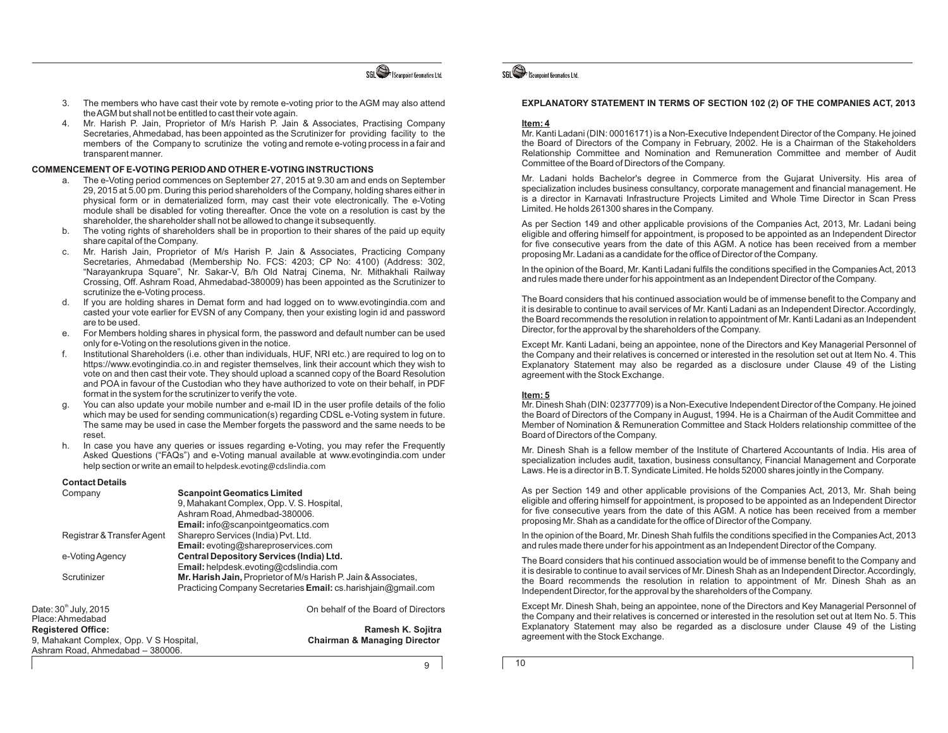

- 3. The members who have cast their vote by remote e-voting prior to the AGM may also attend theAGM but shall not be entitled to cast their vote again.
- 4. Mr. Harish P. Jain, Proprietor of M/s Harish P. Jain & Associates, Practising Company Secretaries, Ahmedabad, has been appointed as the Scrutinizer for providing facility to the members of the Company to scrutinize the voting and remote e-voting process in <sup>a</sup> fair and transparent manner.

#### **COMMENCEMENT OF E-VOTING PERIODAND OTHER E-VOTING INSTRUCTIONS**

- a. The e-Voting period commences on September 27, 2015 at 9.30 am and ends on September 29, 2015 at 5.00 pm. During this period shareholders of the Company, holding shares either in physical form or in dematerialized form, may cast their vote electronically. The e-Voting module shall be disabled for voting thereafter. Once the vote on <sup>a</sup> resolution is cast by the shareholder, the shareholder shall not be allowed to change it subsequently.
- b. The voting rights of shareholders shall be in proportion to their shares of the paid up equity share capital of the Company.
- c. Mr. Harish Jain, Proprietor of M/s Harish P. Jain & Associates, Practicing Company Secretaries, Ahmedabad (Membership No. FCS: 4203; CP No: 4100) (Address: 302, "Narayankrupa Square", Nr. Sakar-V, B/h Old Natraj Cinema, Nr. Mithakhali Railway Crossing, Off. Ashram Road, Ahmedabad-380009) has been appointed as the Scrutinizer to scrutinize the e-Voting process.
- d. If you are holding shares in Demat form and had logged on to www.evotingindia.com and casted your vote earlier for EVSN of any Company, then your existing login id and password are to be used.
- e. For Members holding shares in physical form, the password and default number can be used only for e-Voting on the resolutions given in the notice.
- f. Institutional Shareholders (i.e. other than individuals, HUF, NRI etc.) are required to log on to https://www.evotingindia.co.in and register themselves, link their account which they wish to vote on and then cast their vote. They should upload <sup>a</sup> scanned copy of the Board Resolution and POA in favour of the Custodian who they have authorized to vote on their behalf, in PDF format in the system for the scrutinizer to verify the vote.
- g. You can also update your mobile number and e-mail ID in the user profile details of the folio which may be used for sending communication(s) regarding CDSL e-Voting system in future. The same may be used in case the Member forgets the password and the same needs to be reset.
- h. In case you have any queries or issues regarding e-Voting, you may refer the Frequently Asked Questions ("FAQs") and e-Voting manual available at www.evotingindia.com under help section or write an email to helpdesk.evoting@cdslindia.com

#### **Contact Details**

| Company                                 | <b>Scanpoint Geomatics Limited</b>                              |
|-----------------------------------------|-----------------------------------------------------------------|
|                                         | 9, Mahakant Complex, Opp. V. S. Hospital,                       |
|                                         | Ashram Road, Ahmedbad-380006.                                   |
|                                         | <b>Email:</b> info@scanpointgeomatics.com                       |
| Registrar & Transfer Agent              | Sharepro Services (India) Pvt. Ltd.                             |
|                                         | Email: evoting@shareproservices.com                             |
| e-Voting Agency                         | Central Depository Services (India) Ltd.                        |
|                                         | Email: helpdesk.evoting@cdslindia.com                           |
| Scrutinizer                             | Mr. Harish Jain, Proprietor of M/s Harish P. Jain & Associates, |
|                                         | Practicing Company Secretaries Email: cs.harishiain@gmail.com   |
| Date: 30 <sup>th</sup> July, 2015       | On behalf of the Board of Directors                             |
| Place: Ahmedabad                        |                                                                 |
| <b>Registered Office:</b>               | Ramesh K. Sojitra                                               |
| 9, Mahakant Complex, Opp. V S Hospital, | <b>Chairman &amp; Managing Director</b>                         |
| Ashram Road, Ahmedabad - 380006.        |                                                                 |

SGL<sup>9</sup> | Seanpoint Geomatics Ltd.

#### **EXPLANATORY STATEMENT IN TERMS OF SECTION 102 (2) OF THE COMPANIES ACT, 2013**

#### **Item: 4**

Mr. Kanti Ladani (DIN: 00016171) is <sup>a</sup> Non-Executive Independent Director of the Company. He joined the Board of Directors of the Company in February, 2002. He is <sup>a</sup> Chairman of the Stakeholders Relationship Committee and Nomination and Remuneration Committee and member of Audit Committee of the Board of Directors of the Company.

Mr. Ladani holds Bachelor's degree in Commerce from the Gujarat University. His area of specialization includes business consultancy, corporate management and financial management. He is <sup>a</sup> director in Karnavati Infrastructure Projects Limited and Whole Time Director in Scan Press Limited. He holds 261300 shares in the Company.

As per Section 149 and other applicable provisions of the Companies Act, 2013, Mr. Ladani being eligible and offering himself for appointment, is proposed to be appointed as an Independent Director for five consecutive years from the date of this AGM. A notice has been received from <sup>a</sup> member proposing Mr. Ladani as <sup>a</sup> candidate for the office of Director of the Company.

In the opinion of the Board, Mr. Kanti Ladani fulfils the conditions specified in the Companies Act. 2013 and rules made there under for his appointment as an Independent Director of the Company.

The Board considers that his continued association would be of immense benefit to the Company and it is desirable to continue to avail services of Mr. Kanti Ladani as an Independent Director. Accordingly, the Board recommends the resolution in relation to appointment of Mr. Kanti Ladani as an Independent Director, for the approval by the shareholders of the Company.

Except Mr. Kanti Ladani, being an appointee, none of the Directors and Key Managerial Personnel of the Company and their relatives is concerned or interested in the resolution set out at Item No. 4. This Explanatory Statement may also be regarded as <sup>a</sup> disclosure under Clause 49 of the Listing agreement with the Stock Exchange.

#### **Item: 5**

Mr. Dinesh Shah (DIN: 02377709) is <sup>a</sup> Non-Executive Independent Director of the Company. He joined the Board of Directors of the Company in August, 1994. He is <sup>a</sup> Chairman of the Audit Committee and Member of Nomination & Remuneration Committee and Stack Holders relationship committee of the Board of Directors of the Company.

Mr. Dinesh Shah is a fellow member of the Institute of Chartered Accountants of India. His area of specialization includes audit, taxation, business consultancy, Financial Management and Corporate Laws. He is <sup>a</sup> director in B.T. Syndicate Limited. He holds 52000 shares jointly in the Company.

As per Section 149 and other applicable provisions of the Companies Act, 2013, Mr. Shah being eligible and offering himself for appointment, is proposed to be appointed as an Independent Director for five consecutive years from the date of this AGM. A notice has been received from <sup>a</sup> member proposing Mr. Shah as <sup>a</sup> candidate for the office of Director of the Company.

In the opinion of the Board, Mr. Dinesh Shah fulfils the conditions specified in the Companies Act, 2013 and rules made there under for his appointment as an Independent Director of the Company.

The Board considers that his continued association would be of immense benefit to the Company and it is desirable to continue to avail services of Mr. Dinesh Shah as an Independent Director. Accordingly, the Board recommends the resolution in relation to appointment of Mr. Dinesh Shah as an Independent Director, for the approval by the shareholders of the Company.

Except Mr. Dinesh Shah, being an appointee, none of the Directors and Key Managerial Personnel of the Company and their relatives is concerned or interested in the resolution set out at Item No. 5. This Explanatory Statement may also be regarded as <sup>a</sup> disclosure under Clause 49 of the Listing agreement with the Stock Exchange.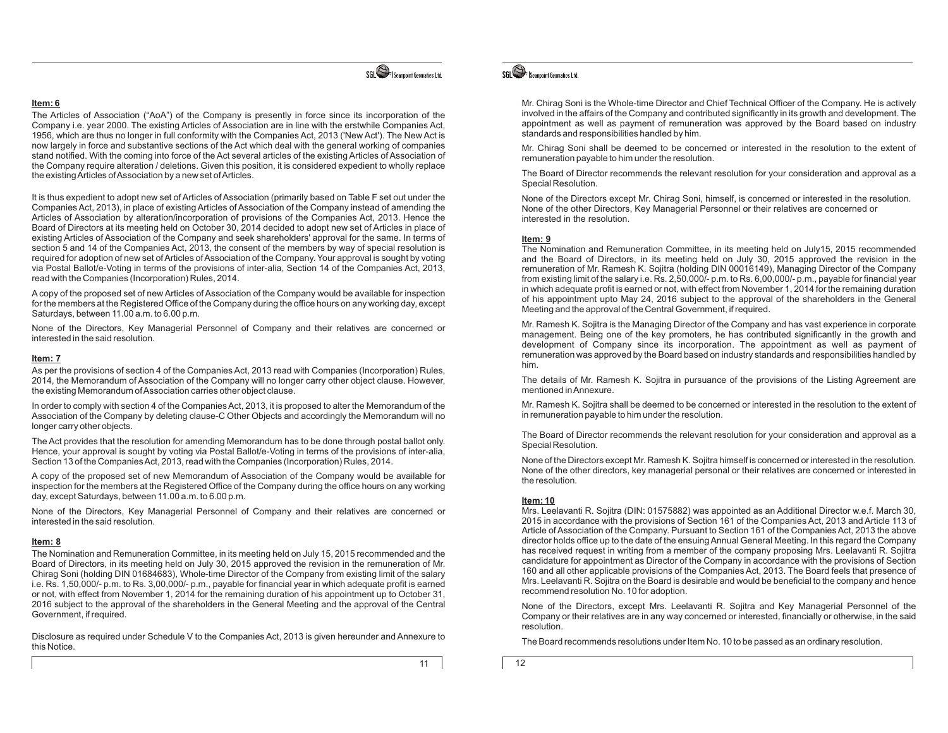

#### **Item: 6**

The Articles of Association ("AoA") of the Company is presently in force since its incorporation of the Company i.e. year 2000. The existing Articles of Association are in line with the erstwhile Companies Act, 1956, which are thus no longer in full conformity with the Companies Act, 2013 ('New Act'). The New Act is now largely in force and substantive sections of the Act which deal with the general working of companies stand notified. With the coming into force of the Act several articles of the existing Articles of Association of the Company require alteration / deletions. Given this position, it is considered expedient to wholly replace the existing Articles of Association by a new set of Articles.

It is thus expedient to adopt new set of Articles of Association (primarily based on Table F set out under the Companies Act, 2013), in place of existing Articles of Association of the Company instead of amending the Articles of Association by alteration/incorporation of provisions of the Companies Act, 2013. Hence the Board of Directors at its meeting held on October 30, 2014 decided to adopt new set of Articles in place of existing Articles of Association of the Company and seek shareholders' approval for the same. In terms of section 5 and 14 of the Companies Act, 2013, the consent of the members by way of special resolution is required for adoption of new set of Articles of Association of the Company. Your approval is sought by voting via Postal Ballot/e-Voting in terms of the provisions of inter-alia, Section 14 of the Companies Act, 2013, read with the Companies (Incorporation) Rules, 2014.

A copy of the proposed set of new Articles of Association of the Company would be available for inspection for the members at the Registered Office of the Company during the office hours on any working day, except Saturdays, between 11.00 a.m. to 6.00 p.m.

None of the Directors, Key Managerial Personnel of Company and their relatives are concerned or interested in the said resolution.

#### **Item: 7**

As per the provisions of section 4 of the Companies Act, 2013 read with Companies (Incorporation) Rules, 2014, the Memorandum of Association of the Company will no longer carry other object clause. However, the existing Memorandum ofAssociation carries other object clause.

In order to comply with section 4 of the Companies Act, 2013, it is proposed to alter the Memorandum of the Association of the Company by deleting clause-C Other Objects and accordingly the Memorandum will no longer carry other objects.

The Act provides that the resolution for amending Memorandum has to be done through postal ballot only. Hence, your approval is sought by voting via Postal Ballot/e-Voting in terms of the provisions of inter-alia, Section 13 of the CompaniesAct, 2013, read with the Companies (Incorporation) Rules, 2014.

A copy of the proposed set of new Memorandum of Association of the Company would be available for inspection for the members at the Registered Office of the Company during the office hours on any working day, except Saturdays, between 11.00 a.m. to 6.00 p.m.

None of the Directors, Key Managerial Personnel of Company and their relatives are concerned or interested in the said resolution.

#### **Item: 8**

The Nomination and Remuneration Committee, in its meeting held on July 15, 2015 recommended and the Board of Directors, in its meeting held on July 30, 2015 approved the revision in the remuneration of Mr. Chirag Soni (holding DIN 01684683), Whole-time Director of the Company from existing limit of the salary i.e. Rs. 1,50,000/- p.m. to Rs. 3,00,000/- p.m., payable for financial year in which adequate profit is earned or not, with effect from November 1, 2014 for the remaining duration of his appointment up to October 31, 2016 subject to the approval of the shareholders in the General Meeting and the approval of the Central Government, if required.

Disclosure as required under Schedule V to the Companies Act, 2013 is given hereunder and Annexure to this Notice.

Mr. Chirag Soni is the Whole-time Director and Chief Technical Officer of the Company. He is actively involved in the affairs of the Company and contributed significantly in its growth and development. The appointment as well as payment of remuneration was approved by the Board based on industry standards and responsibilities handled by him.

Mr. Chirag Soni shall be deemed to be concerned or interested in the resolution to the extent of remuneration payable to him under the resolution.

The Board of Director recommends the relevant resolution for your consideration and approval as <sup>a</sup> Special Resolution.

None of the Directors except Mr. Chirag Soni, himself, is concerned or interested in the resolution. None of the other Directors, Key Managerial Personnel or their relatives are concerned or interested in the resolution.

#### **Item: 9**

The Nomination and Remuneration Committee, in its meeting held on July15, 2015 recommended and the Board of Directors, in its meeting held on July 30, 2015 approved the revision in the remuneration of Mr. Ramesh K. Sojitra (holding DIN 00016149), Managing Director of the Company from existing limit of the salary i.e. Rs. 2,50,000/- p.m. to Rs. 6,00,000/- p.m., payable for financial year in which adequate profit is earned or not, with effect from November 1, 2014 for the remaining duration of his appointment upto May 24, 2016 subject to the approval of the shareholders in the General Meeting and the approval of the Central Government, if required.

Mr. Ramesh K. Sojitra is the Managing Director of the Company and has vast experience in corporate management. Being one of the key promoters, he has contributed significantly in the growth and development of Company since its incorporation. The appointment as well as payment of remuneration was approved by the Board based on industry standards and responsibilities handled by him.

The details of Mr. Ramesh K. Sojitra in pursuance of the provisions of the Listing Agreement are mentioned inAnnexure.

Mr. Ramesh K. Sojitra shall be deemed to be concerned or interested in the resolution to the extent of in remuneration payable to him under the resolution.

The Board of Director recommends the relevant resolution for your consideration and approval as <sup>a</sup> Special Resolution.

None of the Directors except Mr. Ramesh K. Sojitra himself is concerned or interested in the resolution. None of the other directors, key managerial personal or their relatives are concerned or interested in the resolution.

#### **Item: 10**

 Mrs. Leelavanti R. Sojitra (DIN: 01575882) was appointed as an Additional Director w.e.f. March 30, 2015 in accordance with the provisions of Section 161 of the Companies Act, 2013 and Article 113 of Article of Association of the Company. Pursuant to Section 161 of the Companies Act, 2013 the above director holds office up to the date of the ensuing Annual General Meeting. In this regard the Company has received request in writing from <sup>a</sup> member of the company proposing Mrs. Leelavanti R. Sojitra candidature for appointment as Director of the Company in accordance with the provisions of Section 160 and all other applicable provisions of the Companies Act, 2013. The Board feels that presence of Mrs. Leelavanti R. Sojitra on the Board is desirable and would be beneficial to the company and hence recommend resolution No. 10 for adoption.

None of the Directors, except Mrs. Leelavanti R. Sojitra and Key Managerial Personnel of the Company or their relatives are in any way concerned or interested, financially or otherwise, in the said resolution.

The Board recommends resolutions under Item No. 10 to be passed as an ordinary resolution.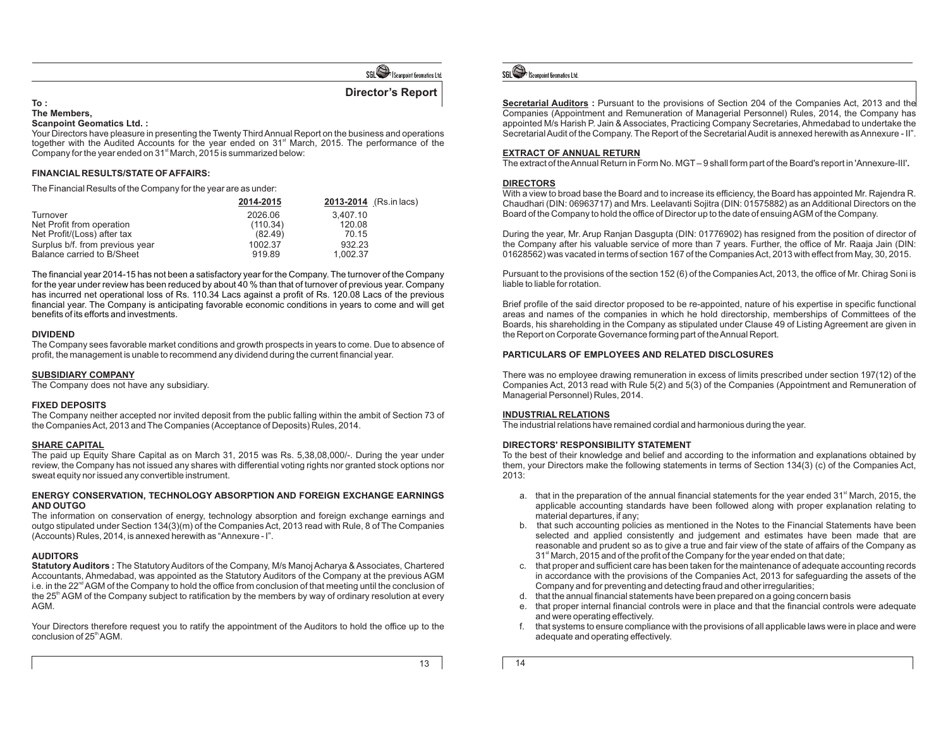$\operatorname{SGL} \bigoplus_\mathbb{R}$  | Scanpoint Geomatics Ltd.

**Director's Report**

#### **To :**

#### **The Members,**

#### **Scanpoint Geomatics Ltd. :**

Your Directors have pleasure in presenting the Twenty ThirdAnnual Report on the business and operations together with the Audited Accounts for the year ended on  $31<sup>st</sup>$  March, 2015. The performance of the Company for the year ended on  $31<sup>st</sup>$  March, 2015 is summarized below:

#### **FINANCIAL RESULTS/STATE OFAFFAIRS:**

The Financial Results of the Company for the year are as under:

|                                 | 2014-2015 | 2013-2014 (Rs.in lacs) |  |
|---------------------------------|-----------|------------------------|--|
| Turnover                        | 2026.06   | 3.407.10               |  |
| Net Profit from operation       | (110.34)  | 120.08                 |  |
| Net Profit/(Loss) after tax     | (82.49)   | 70.15                  |  |
| Surplus b/f. from previous year | 1002.37   | 932.23                 |  |
| Balance carried to B/Sheet      | 919.89    | 1.002.37               |  |

The financial year 2014-15 has not been <sup>a</sup> satisfactory year for the Company. The turnover of the Company for the year under review has been reduced by about 40 % than that of turnover of previous year. Company has incurred net operational loss of Rs. 110.34 Lacs against <sup>a</sup> profit of Rs. 120.08 Lacs of the previous financial year. The Company is anticipating favorable economic conditions in years to come and will get benefits of its efforts and investments.

#### **DIVIDEND**

The Company sees favorable market conditions and growth prospects in years to come. Due to absence of profit, the management is unable to recommend any dividend during the current financial year.

#### **SUBSIDIARY COMPANY**

The Company does not have any subsidiary.

#### **FIXED DEPOSITS**

 The Company neither accepted nor invited deposit from the public falling within the ambit of Section 73 of the Companies Act, 2013 and The Companies (Acceptance of Deposits) Rules, 2014.

#### **SHARE CAPITAL**

The paid up Equity Share Capital as on March 31, 2015 was Rs. 5,38,08,000/-. During the year under review, the Company has not issued any shares with differential voting rights nor granted stock options nor sweat equity nor issued any convertible instrument.

#### **ENERGY CONSERVATION, TECHNOLOGY ABSORPTION AND FOREIGN EXCHANGE EARNINGS AND OUTGO**

 The information on conservation of energy, technology absorption and foreign exchange earnings and outgo stipulated under Section 134(3)(m) of the Companies Act, 2013 read with Rule, 8 of The Companies (Accounts) Rules, 2014, is annexed herewith as "Annexure - I".

#### **AUDITORS**

 **Statutory Auditors :** The Statutory Auditors of the Company, M/s Manoj Acharya & Associates, Chartered Accountants, Ahmedabad, was appointed as the Statutory Auditors of the Company at the previous AGM i.e. in the  $22<sup>nd</sup>$  AGM of the Company to hold the office from conclusion of that meeting until the conclusion of the 25<sup>th</sup> AGM of the Company subject to ratification by the members by way of ordinary resolution at every AGM.

Your Directors therefore request you to ratify the appointment of the Auditors to hold the office up to the conclusion of 25<sup>th</sup> AGM.

SGL<sup>9</sup> | Seanpoint Geomatics Ltd.

**Secretarial Auditors :** Pursuant to the provisions of Section 204 of the Companies Act, 2013 and the Companies (Appointment and Remuneration of Managerial Personnel) Rules, 2014, the Company has appointed M/s Harish P. Jain & Associates, Practicing Company Secretaries, Ahmedabad to undertake the SecretarialAudit of the Company. The Report of the SecretarialAudit is annexed herewith asAnnexure - II".

#### **EXTRACT OF ANNUAL RETURN**

The extract of theAnnual Return in Form No. MGT – 9 shall form part of the Board's report in 'Annexure-III'**.**

#### **DIRECTORS**

 With <sup>a</sup> view to broad base the Board and to increase its efficiency, the Board has appointed Mr. Rajendra R. Chaudhari (DIN: 06963717) and Mrs. Leelavanti Sojitra (DIN: 01575882) as an Additional Directors on the Board of the Company to hold the office of Director up to the date of ensuingAGM of the Company.

During the year, Mr. Arup Ranjan Dasgupta (DIN: 01776902) has resigned from the position of director of the Company after his valuable service of more than 7 years. Further, the office of Mr. Raaja Jain (DIN: 01628562) was vacated in terms of section 167 of the CompaniesAct, 2013 with effect from May, 30, 2015.

Pursuant to the provisions of the section 152 (6) of the CompaniesAct, 2013, the office of Mr. Chirag Soni is liable to liable for rotation.

Brief profile of the said director proposed to be re-appointed, nature of his expertise in specific functional areas and names of the companies in which he hold directorship, memberships of Committees of the Boards, his shareholding in the Company as stipulated under Clause 49 of Listing Agreement are given in the Report on Corporate Governance forming part of the Annual Report.

#### **PARTICULARS OF EMPLOYEES AND RELATED DISCLOSURES**

There was no employee drawing remuneration in excess of limits prescribed under section 197(12) of the Companies Act, 2013 read with Rule 5(2) and 5(3) of the Companies (Appointment and Remuneration of Managerial Personnel) Rules, 2014.

#### **INDUSTRIAL RELATIONS**

The industrial relations have remained cordial and harmonious during the year.

#### **DIRECTORS' RESPONSIBILITY STATEMENT**

To the best of their knowledge and belief and according to the information and explanations obtained by them, your Directors make the following statements in terms of Section 134(3) (c) of the Companies Act, 2013:

- a. that in the preparation of the annual financial statements for the year ended  $31<sup>st</sup>$  March, 2015, the applicable accounting standards have been followed along with proper explanation relating to material departures, if any;
- b. that such accounting policies as mentioned in the Notes to the Financial Statements have been selected and applied consistently and judgement and estimates have been made that are reasonable and prudent so as to give <sup>a</sup> true and fair view of the state of affairs of the Company as 31<sup><sup>st</sup> March, 2015 and of the profit of the Company for the year ended on that date;</sup>
- c. that proper and sufficient care has been taken for the maintenance of adequate accounting records in accordance with the provisions of the Companies Act, 2013 for safeguarding the assets of the Company and for preventing and detecting fraud and other irregularities;
- d. that the annual financial statements have been prepared on <sup>a</sup> going concern basis
- e. that proper internal financial controls were in place and that the financial controls were adequate and were operating effectively.
- f. that systems to ensure compliance with the provisions of all applicable laws were in place and were adequate and operating effectively.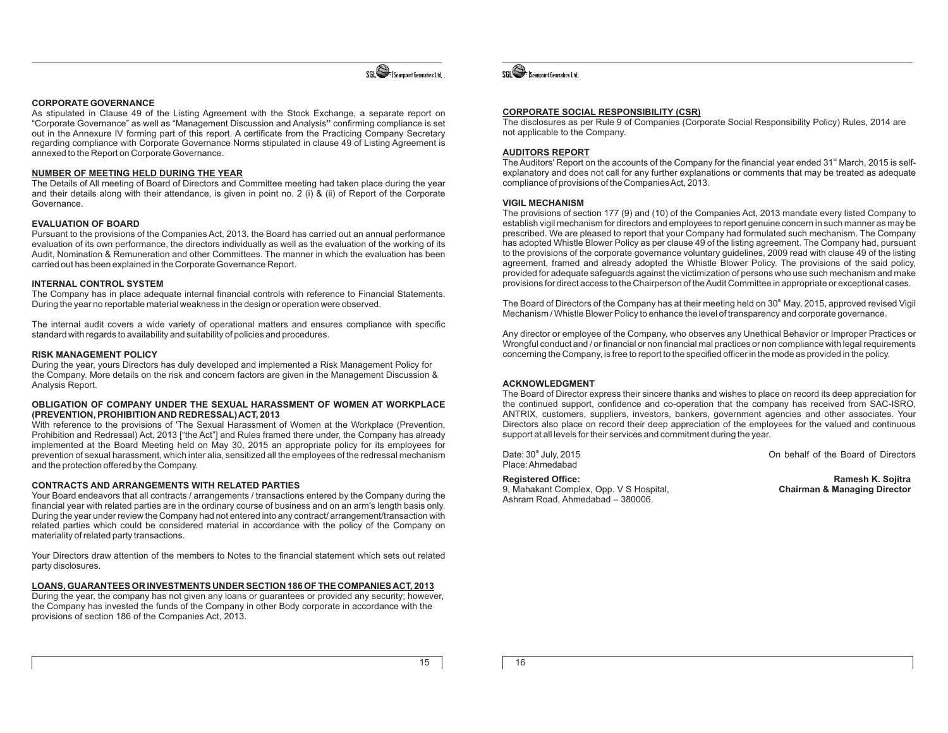

#### **CORPORATE GOVERNANCE**

As stipulated in Clause 49 of the Listing Agreement with the Stock Exchange, <sup>a</sup> separate report on "Corporate Governance" as well as "Management Discussion and Analysis" confirming compliance is set out in the Annexure IV forming part of this report. A certificate from the Practicing Company Secretary regarding compliance with Corporate Governance Norms stipulated in clause 49 of Listing Agreement is annexed to the Report on Corporate Governance.

#### **NUMBER OF MEETING HELD DURING THE YEAR**

 The Details of All meeting of Board of Directors and Committee meeting had taken place during the year and their details along with their attendance, is given in point no. 2 (i) & (ii) of Report of the Corporate Governance.

#### **EVALUATION OF BOARD**

 Pursuant to the provisions of the Companies Act, 2013, the Board has carried out an annual performance evaluation of its own performance, the directors individually as well as the evaluation of the working of its Audit, Nomination & Remuneration and other Committees. The manner in which the evaluation has been carried out has been explained in the Corporate Governance Report.

#### **INTERNAL CONTROL SYSTEM**

 The Company has in place adequate internal financial controls with reference to Financial Statements. During the year no reportable material weakness in the design or operation were observed.

The internal audit covers <sup>a</sup> wide variety of operational matters and ensures compliance with specific standard with regards to availability and suitability of policies and procedures.

#### **RISK MANAGEMENT POLICY**

During the year, yours Directors has duly developed and implemented a Risk Management Policy for the Company. More details on the risk and concern factors are given in the Management Discussion & Analysis Report.

#### **OBLIGATION OF COMPANY UNDER THE SEXUAL HARASSMENT OF WOMEN AT WORKPLACE(PREVENTION, PROHIBITIONAND REDRESSAL)ACT, 2013**

With reference to the provisions of 'The Sexual Harassment of Women at the Workplace (Prevention, Prohibition and Redressal) Act, 2013 ["the Act"] and Rules framed there under, the Company has already implemented at the Board Meeting held on May 30, 2015 an appropriate policy for its employees for prevention of sexual harassment, which inter alia, sensitized all the employees of the redressal mechanism and the protection offered by the Company.

#### **CONTRACTS AND ARRANGEMENTS WITH RELATED PARTIES**

Your Board endeavors that all contracts / arrangements / transactions entered by the Company during the financial year with related parties are in the ordinary course of business and on an arm's length basis only. During the year under review the Company had not entered into any contract/ arrangement/transaction with related parties which could be considered material in accordance with the policy of the Company on materiality of related party transactions.

Your Directors draw attention of the members to Notes to the financial statement which sets out relatedparty disclosures.

#### **LOANS, GUARANTEES OR INVESTMENTS UNDER SECTION 186 OF THE COMPANIESACT, 2013**

During the year, the company has not given any loans or guarantees or provided any security; however, the Company has invested the funds of the Company in other Body corporate in accordance with the provisions of section 186 of the Companies Act, 2013.

SGL<sup>S</sup> Seanpoint Geomatics Ltd.

#### **CORPORATE SOCIAL RESPONSIBILITY (CSR)**

The disclosures as per Rule 9 of Companies (Corporate Social Responsibility Policy) Rules, 2014 are not applicable to the Company.

#### **AUDITORS REPORT**

The Auditors' Report on the accounts of the Company for the financial year ended 31<sup>st</sup> March, 2015 is selfexplanatory and does not call for any further explanations or comments that may be treated as adequate compliance of provisions of the CompaniesAct, 2013.

#### **VIGIL MECHANISM**

 The provisions of section 177 (9) and (10) of the Companies Act, 2013 mandate every listed Company to establish vigil mechanism for directors and employees to report genuine concern in such manner as may be prescribed. We are pleased to report that your Company had formulated such mechanism. The Company has adopted Whistle Blower Policy as per clause 49 of the listing agreement. The Company had, pursuant to the provisions of the corporate governance voluntary guidelines, 2009 read with clause 49 of the listing agreement, framed and already adopted the Whistle Blower Policy. The provisions of the said policy, provided for adequate safeguards against the victimization of persons who use such mechanism and make provisions for direct access to the Chairperson of theAudit Committee in appropriate or exceptional cases.

The Board of Directors of the Company has at their meeting held on 30<sup>th</sup> May, 2015, approved revised Vigil Mechanism / Whistle Blower Policy to enhance the level of transparency and corporate governance.

Any director or employee of the Company, who observes any Unethical Behavior or Improper Practices or Wrongful conduct and / or financial or non financial mal practices or non compliance with legal requirements concerning the Company, is free to report to the specified officer in the mode as provided in the policy.

#### **ACKNOWLEDGMENT**

The Board of Director express their sincere thanks and wishes to place on record its deep appreciation for the continued support, confidence and co-operation that the company has received from SAC-ISRO, ANTRIX, customers, suppliers, investors, bankers, government agencies and other associates. Your Directors also place on record their deep appreciation of the employees for the valued and continuous support at all levels for their services and commitment during the year.

Place:Ahmedabad

Date: 30<sup>th</sup> July, 2015 **Date: 30<sup>th</sup> July, 2015 On behalf of the Board of Directors** 

**Registered Office: Ramesh K. Sojitra** 9, Mahakant Complex, Opp. V S Hospital, **Chairman & Managing Director** Ashram Road, Ahmedabad – 380006.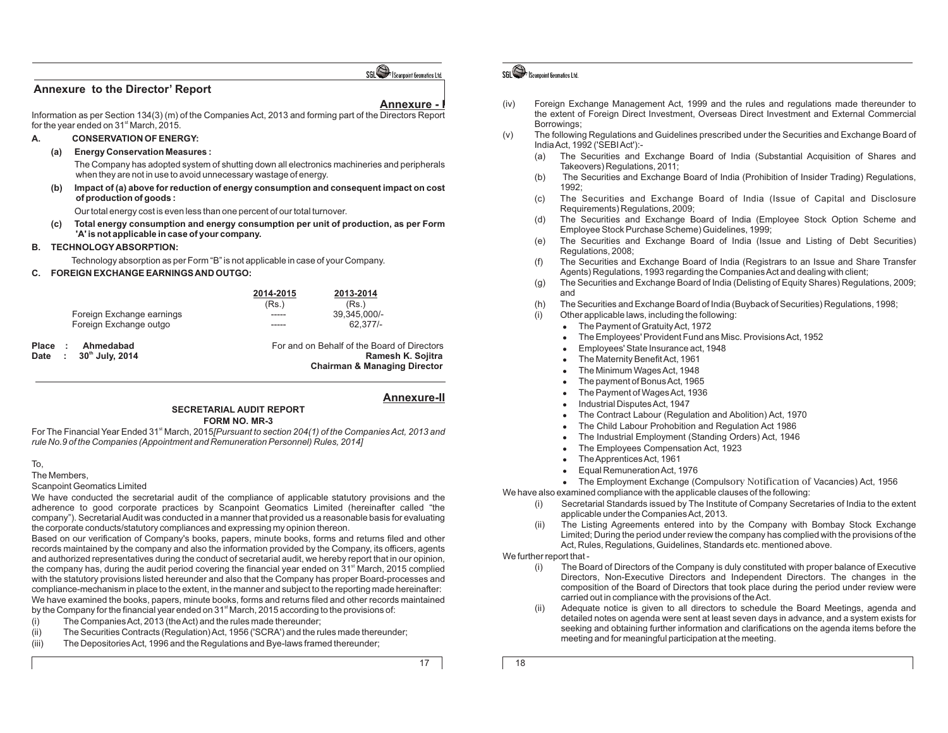## SGL Seanpoint Geomatics Ltd.

#### **Annexure to the Director' Report**

**Annexure - I**

Information as per Section 134(3) (m) of the Companies Act, 2013 and forming part of the Directors Report for the year ended on  $31<sup>st</sup>$  March, 2015.

#### **A. CONSERVATION OF ENERGY:**

#### **(a) Energy Conservation Measures :**

The Company has adopted system of shutting down all electronics machineries and peripherals when they are not in use to avoid unnecessary wastage of energy.

Impact of (a) above for reduction of energy consumption and consequent impact on cost **of production of goods :**

Our total energy cost is even less than one percent of our total turnover.

- Total energy consumption and energy consumption per unit of production, as per Form **'A' is not applicable in case of your company.**
- **B. TECHNOLOGYABSORPTION:**

Technology absorption as per Form "B" is not applicable in case of your Company.

#### **C. FOREIGN EXCHANGE EARNINGSAND OUTGO:**

|                                                           | 2014-2015 | 2013-2014                                                                                                   |  |
|-----------------------------------------------------------|-----------|-------------------------------------------------------------------------------------------------------------|--|
|                                                           | (Rs.)     | (Rs.)                                                                                                       |  |
| Foreign Exchange earnings                                 |           | 39.345.000/-                                                                                                |  |
| Foreign Exchange outgo                                    |           | 62.377/-                                                                                                    |  |
| Place :<br>Ahmedabad<br>Date: 30 <sup>th</sup> July, 2014 |           | For and on Behalf of the Board of Directors<br>Ramesh K. Sojitra<br><b>Chairman &amp; Managing Director</b> |  |

#### **Annexure-II**

#### **SECRETARIAL AUDIT REPORTFORM NO. MR-3**

For The Financial Year Ended 31<sup>st</sup> March, 2015/Pursuant to section 204(1) of the Companies Act, 2013 and rule No.9 of the Companies (Appointment and Remuneration Personnel) Rules, 2014]

#### To,

The Members,

Scanpoint Geomatics Limited

We have conducted the secretarial audit of the compliance of applicable statutory provisions and the adherence to good corporate practices by Scanpoint Geomatics Limited (hereinafter called "the company"). SecretarialAudit was conducted in <sup>a</sup> manner that provided us <sup>a</sup> reasonable basis for evaluating the corporate conducts/statutory compliances and expressing my opinion thereon.

Based on our verification of Company's books, papers, minute books, forms and returns filed and other records maintained by the company and also the information provided by the Company, its officers, agents and authorized representatives during the conduct of secretarial audit, we hereby report that in our opinion, the company has, during the audit period covering the financial year ended on  $31<sup>st</sup>$  March, 2015 complied with the statutory provisions listed hereunder and also that the Company has proper Board-processes and compliance-mechanism in place to the extent, in the manner and subject to the reporting made hereinafter: We have examined the books, papers, minute books, forms and returns filed and other records maintained by the Company for the financial year ended on  $31<sup>st</sup>$  March, 2015 according to the provisions of:

- (i) The CompaniesAct, 2013 (theAct) and the rules made thereunder;
- (ii) The Securities Contracts (Regulation)Act, 1956 ('SCRA') and the rules made thereunder;
- (iii) The DepositoriesAct, 1996 and the Regulations and Bye-laws framed thereunder;

17

## SGL<sup>9</sup> | Seanpoint Geomatics Ltd.

- (iv) Foreign Exchange Management Act, 1999 and the rules and regulations made thereunder to the extent of Foreign Direct Investment, Overseas Direct Investment and External Commercial Borrowings;
- (v) The following Regulations and Guidelines prescribed under the Securities and Exchange Board of IndiaAct, 1992 ('SEBIAct'):-
	- (a) The Securities and Exchange Board of India (Substantial Acquisition of Shares and Takeovers) Regulations, 2011;
	- (b) The Securities and Exchange Board of India (Prohibition of Insider Trading) Regulations, 1992;
	- (c) The Securities and Exchange Board of India (Issue of Capital and Disclosure Requirements) Regulations, 2009;
	- The Securities and Exchange Board of India (Employee Stock Option Scheme and Employee Stock Purchase Scheme) Guidelines, 1999;
	- (e) The Securities and Exchange Board of India (Issue and Listing of Debt Securities) Regulations, 2008;
	- (f) The Securities and Exchange Board of India (Registrars to an Issue and Share Transfer Agents) Regulations, 1993 regarding the Companies Act and dealing with client;
	- (g) The Securities and Exchange Board of India (Delisting of Equity Shares) Regulations, 2009; and
	- (h) The Securities and Exchange Board of India (Buyback of Securities) Regulations, 1998;
	- (i) Other applicable laws, including the following:
		- The Payment of GratuityAct, 1972
		- $\ddot{\phantom{0}}$ The Employees' Provident Fund ans Misc. ProvisionsAct, 1952
		- $\bullet$ Employees' State Insurance act, 1948
		- $\bullet$ The Maternity BenefitAct, 1961
		- -The Minimum WagesAct, 1948
		- $\bullet$ The payment of BonusAct, 1965
		- $\bullet$ The Payment of WagesAct, 1936
		- -Industrial DisputesAct, 1947
		- -The Contract Labour (Regulation and Abolition) Act, 1970
		- The Child Labour Prohobition and Regulation Act 1986
		- -The Industrial Employment (Standing Orders) Act, 1946
		- $\bullet$ The Employees Compensation Act, 1923
		- -TheApprenticesAct, 1961
		- $\bullet$ Equal RemunerationAct, 1976
		- The Employment Exchange (Compulsory Notification of Vacancies) Act, 1956

We have also examined compliance with the applicable clauses of the following:

- (i) Secretarial Standards issued by The Institute of Company Secretaries of India to the extent applicable under the CompaniesAct, 2013.
- (ii) The Listing Agreements entered into by the Company with Bombay Stock Exchange Limited; During the period under review the company has complied with the provisions of the Act, Rules, Regulations, Guidelines, Standards etc. mentioned above.

We further report that -

-

- (i) The Board of Directors of the Company is duly constituted with proper balance of Executive Directors, Non-Executive Directors and Independent Directors. The changes in the composition of the Board of Directors that took place during the period under review were carried out in compliance with the provisions of theAct.
- (ii) Adequate notice is given to all directors to schedule the Board Meetings, agenda and detailed notes on agenda were sent at least seven days in advance, and <sup>a</sup> system exists for seeking and obtaining further information and clarifications on the agenda items before the meeting and for meaningful participation at the meeting.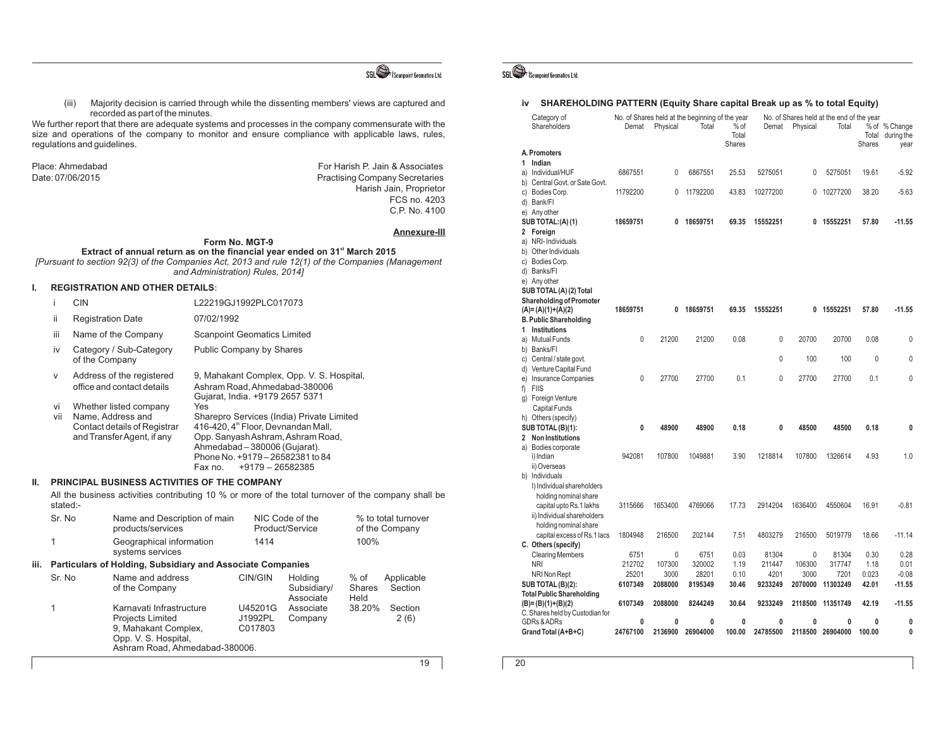SGL<sup>O</sup> | Scanpoint Geomatics Ltd.

(iii) Majority decision is carried through while the dissenting members' views are captured and recorded as part of the minutes.

We further report that there are adequate systems and processes in the company commensurate with the size and operations of the company to monitor and ensure compliance with applicable laws, rules, regulations and guidelines.

| Place: Ahmedabad                                                                                  | For Harish P. Jain & Associates       |
|---------------------------------------------------------------------------------------------------|---------------------------------------|
| Date: 07/06/2015                                                                                  | <b>Practising Company Secretaries</b> |
|                                                                                                   | Harish Jain, Proprietor               |
|                                                                                                   | FCS no. 4203                          |
|                                                                                                   | C.P. No. 4100                         |
|                                                                                                   |                                       |
|                                                                                                   | Annexure-III                          |
| Form No. MGT-9                                                                                    |                                       |
| Extract of annual return as on the financial year ended on 31 <sup>st</sup> March 2015            |                                       |
| [Pursuant to section 92(3) of the Companies Act, 2013 and rule 12(1) of the Companies (Management |                                       |
| and Administration) Rules, 2014]                                                                  |                                       |
| <b>REGISTRATION AND OTHER DETAILS:</b>                                                            |                                       |
|                                                                                                   |                                       |

|           | <b>CIN</b>                                                                                                | L22219GJ1992PLC017073                                                                                                                                                                                                                          |
|-----------|-----------------------------------------------------------------------------------------------------------|------------------------------------------------------------------------------------------------------------------------------------------------------------------------------------------------------------------------------------------------|
| ii        | <b>Registration Date</b>                                                                                  | 07/02/1992                                                                                                                                                                                                                                     |
| iii       | Name of the Company                                                                                       | <b>Scanpoint Geomatics Limited</b>                                                                                                                                                                                                             |
| iv        | Category / Sub-Category<br>of the Company                                                                 | Public Company by Shares                                                                                                                                                                                                                       |
| v         | Address of the registered<br>office and contact details                                                   | 9, Mahakant Complex, Opp. V. S. Hospital,<br>Ashram Road, Ahmedabad-380006<br>Gujarat, India. +9179 2657 5371                                                                                                                                  |
| vi<br>vii | Whether listed company<br>Name. Address and<br>Contact details of Registrar<br>and Transfer Agent, if any | Yes<br>Sharepro Services (India) Private Limited<br>416-420, 4 <sup>th</sup> Floor, Devnandan Mall,<br>Opp. Sanyash Ashram, Ashram Road,<br>Ahmedabad - 380006 (Gujarat).<br>Phone No. +9179 - 26582381 to 84<br>$+9179 - 26582385$<br>Fax no. |

#### **II. PRINCIPAL BUSINESS ACTIVITIES OF THE COMPANY**

All the business activities contributing 10 % or more of the total turnover of the company shall be stated:-

|      | Sr. No<br>Name and Description of main<br>products/services |                                                                                                                                       |                               | NIC Code of the<br>Product/Service  |                          | % to total turnover<br>of the Company |  |
|------|-------------------------------------------------------------|---------------------------------------------------------------------------------------------------------------------------------------|-------------------------------|-------------------------------------|--------------------------|---------------------------------------|--|
|      | 1                                                           | Geographical information<br>systems services                                                                                          | 1414                          |                                     | 100%                     |                                       |  |
| iii. | Particulars of Holding, Subsidiary and Associate Companies  |                                                                                                                                       |                               |                                     |                          |                                       |  |
|      | Sr. No                                                      | Name and address<br>of the Company                                                                                                    | CIN/GIN                       | Holding<br>Subsidiary/<br>Associate | $%$ of<br>Shares<br>Held | Applicable<br>Section                 |  |
|      | 1                                                           | Karnavati Infrastructure<br><b>Projects Limited</b><br>9. Mahakant Complex,<br>Opp. V. S. Hospital,<br>Ashram Road, Ahmedabad-380006. | U45201G<br>J1992PL<br>C017803 | Associate<br>Company                | 38.20%                   | Section<br>2(6)                       |  |
|      |                                                             |                                                                                                                                       |                               |                                     |                          | 19                                    |  |

## SGL<sup>9</sup> | Scanpoint Geomatics Ltd.

#### **iv SHAREHOLDING PATTERN (Equity Share capital Break up as % to total Equity)**

| Category of<br>Shareholders<br>A. Promoters                                                                                                           | Demat       | Physical | No. of Shares held at the beginning of the year<br>Total | % of<br>Total<br><b>Shares</b> | Demat        | Physical | No. of Shares held at the end of the year<br>Total | Shares | % of % Change<br>Total during the<br>year |
|-------------------------------------------------------------------------------------------------------------------------------------------------------|-------------|----------|----------------------------------------------------------|--------------------------------|--------------|----------|----------------------------------------------------|--------|-------------------------------------------|
| Indian<br>1.<br>a) Individual/HUF                                                                                                                     | 6867551     | 0        | 6867551                                                  | 25.53                          | 5275051      | 0        | 5275051                                            | 19.61  | $-5.92$                                   |
| b) Central Govt. or Sate Govt.<br>c) Bodies Corp.<br>d) Bank/FI                                                                                       | 11792200    | $\theta$ | 11792200                                                 | 43.83                          | 10277200     | 0        | 10277200                                           | 38.20  | $-5.63$                                   |
| e) Any other<br>SUB TOTAL:(A)(1)                                                                                                                      | 18659751    | 0        | 18659751                                                 | 69.35                          | 15552251     | 0        | 15552251                                           | 57.80  | $-11.55$                                  |
| Foreign<br>$\mathbf{2}$<br>a) NRI-Individuals<br>b) Other Individuals<br>Bodies Corp.<br>C)<br>d) Banks/FI<br>e) Any other<br>SUB TOTAL (A) (2) Total |             |          |                                                          |                                |              |          |                                                    |        |                                           |
| <b>Shareholding of Promoter</b><br>$(A)=(A)(1)+(A)(2)$                                                                                                | 18659751    | 0        | 18659751                                                 | 69.35                          | 15552251     | 0        | 15552251                                           | 57.80  | $-11.55$                                  |
| <b>B. Public Shareholding</b>                                                                                                                         |             |          |                                                          |                                |              |          |                                                    |        |                                           |
| <b>Institutions</b><br>1.<br>a) Mutual Funds<br>b) Banks/Fl                                                                                           | $\mathbf 0$ | 21200    | 21200                                                    | 0.08                           | 0            | 20700    | 20700                                              | 0.08   | 0                                         |
| c) Central / state govt.                                                                                                                              |             |          |                                                          |                                | $\mathbf{0}$ | 100      | 100                                                | 0      | $\mathbf{0}$                              |
| d) Venture Capital Fund<br>e) Insurance Companies                                                                                                     | $\mathbf 0$ | 27700    | 27700                                                    | 0.1                            | 0            | 27700    | 27700                                              | 0.1    | 0                                         |
| f) FIIS                                                                                                                                               |             |          |                                                          |                                |              |          |                                                    |        |                                           |
| g) Foreign Venture<br><b>Capital Funds</b>                                                                                                            |             |          |                                                          |                                |              |          |                                                    |        |                                           |
| h) Others (specify)<br>SUB TOTAL (B)(1):                                                                                                              | 0           | 48900    | 48900                                                    | 0.18                           | 0            | 48500    | 48500                                              | 0.18   | 0                                         |
| <b>Non Institutions</b><br>$\mathbf{2}$                                                                                                               |             |          |                                                          |                                |              |          |                                                    |        |                                           |
| a) Bodies corporate<br>i) Indian                                                                                                                      | 942081      | 107800   | 1049881                                                  | 3.90                           | 1218814      | 107800   | 1326614                                            | 4.93   | 1.0                                       |
| ii) Overseas<br>b) Individuals                                                                                                                        |             |          |                                                          |                                |              |          |                                                    |        |                                           |
| I) Individual shareholders                                                                                                                            |             |          |                                                          |                                |              |          |                                                    |        |                                           |
| holding nominal share<br>capital upto Rs.1 lakhs                                                                                                      | 3115666     | 1653400  | 4769066                                                  | 17.73                          | 2914204      | 1636400  | 4550604                                            | 16.91  | $-0.81$                                   |
| ii) Individual shareholders                                                                                                                           |             |          |                                                          |                                |              |          |                                                    |        |                                           |
| holding nominal share                                                                                                                                 | 1804948     | 216500   | 202144                                                   | 7.51                           | 4803279      | 216500   | 5019779                                            | 18.66  | $-11.14$                                  |
| capital excess of Rs.1 lacs<br>C. Others (specify)                                                                                                    |             |          |                                                          |                                |              |          |                                                    |        |                                           |
| <b>Clearing Members</b>                                                                                                                               | 6751        | 0        | 6751                                                     | 0.03                           | 81304        | 0        | 81304                                              | 0.30   | 0.28                                      |
| <b>NRI</b>                                                                                                                                            | 212702      | 107300   | 320002                                                   | 1.19                           | 211447       | 106300   | 317747                                             | 1.18   | 0.01                                      |
| NRI Non Rept                                                                                                                                          | 25201       | 3000     | 28201                                                    | 0.10                           | 4201         | 3000     | 7201                                               | 0.023  | $-0.08$                                   |
| SUB TOTAL (B)(2):                                                                                                                                     | 6107349     | 2088000  | 8195349                                                  | 30.46                          | 9233249      | 2070000  | 11303249                                           | 42.01  | $-11.55$                                  |
| <b>Total Public Shareholding</b><br>$(B)=(B)(1)+(B)(2)$                                                                                               | 6107349     | 2088000  | 8244249                                                  | 30.64                          | 9233249      | 2118500  | 11351749                                           | 42.19  | $-11.55$                                  |
| C. Shares held by Custodian for<br>GDRs & ADRs                                                                                                        | 0           | 0        | 0                                                        | 0                              | 0            | 0        | 0                                                  | 0      | 0                                         |
| Grand Total (A+B+C)                                                                                                                                   | 24767100    | 2136900  | 26904000                                                 | 100.00                         | 24785500     |          | 2118500 26904000                                   | 100.00 | 0                                         |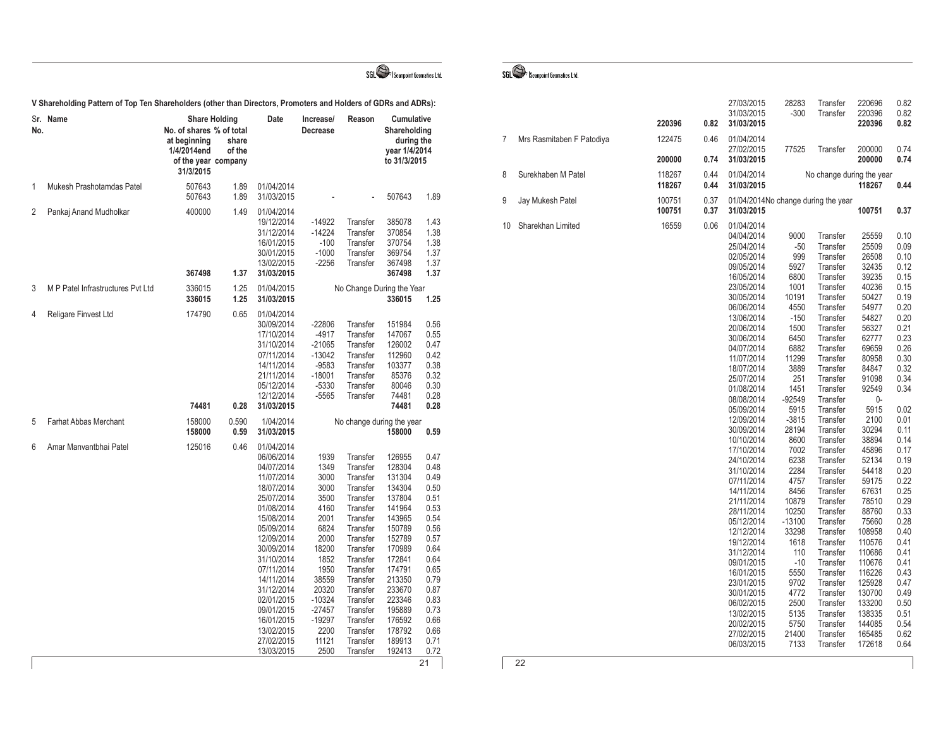## SGL<sup>S</sup> Scanpoint Geomatics Ltd.

# SGL<sup>SD</sup> Scanpoint Geomatics Ltd.

|  | V Shareholding Pattern of Top Ten Shareholders (other than Directors, Promoters and Holders of GDRs and ADRs): |  |  |
|--|----------------------------------------------------------------------------------------------------------------|--|--|
|  |                                                                                                                |  |  |

| <b>Share Holding</b><br>at beginning<br>1/4/2014end<br>31/3/2015 | No. of shares % of total<br>share<br>of the<br>of the year company | Date                                                                                                                                                                                                                                                                                               | Increase/<br>Decrease                                                                                                                                                      | Reason                                                                                                                                                                                                                                       | Cumulative<br>Shareholding                                                                                                                                                                           |                                                                                                                                                                    |
|------------------------------------------------------------------|--------------------------------------------------------------------|----------------------------------------------------------------------------------------------------------------------------------------------------------------------------------------------------------------------------------------------------------------------------------------------------|----------------------------------------------------------------------------------------------------------------------------------------------------------------------------|----------------------------------------------------------------------------------------------------------------------------------------------------------------------------------------------------------------------------------------------|------------------------------------------------------------------------------------------------------------------------------------------------------------------------------------------------------|--------------------------------------------------------------------------------------------------------------------------------------------------------------------|
|                                                                  |                                                                    |                                                                                                                                                                                                                                                                                                    |                                                                                                                                                                            |                                                                                                                                                                                                                                              | during the<br>year 1/4/2014<br>to 31/3/2015                                                                                                                                                          |                                                                                                                                                                    |
| 507643<br>507643                                                 | 1.89<br>1.89                                                       | 01/04/2014<br>31/03/2015                                                                                                                                                                                                                                                                           |                                                                                                                                                                            |                                                                                                                                                                                                                                              | 507643                                                                                                                                                                                               | 1.89                                                                                                                                                               |
| 400000<br>367498                                                 | 1.49<br>1.37                                                       | 01/04/2014<br>19/12/2014<br>31/12/2014<br>16/01/2015<br>30/01/2015<br>13/02/2015<br>31/03/2015                                                                                                                                                                                                     | $-14922$<br>$-14224$<br>$-100$<br>$-1000$<br>$-2256$                                                                                                                       | Transfer<br>Transfer<br>Transfer<br>Transfer<br>Transfer                                                                                                                                                                                     | 385078<br>370854<br>370754<br>369754<br>367498<br>367498                                                                                                                                             | 1.43<br>1.38<br>1.38<br>1.37<br>1.37<br>1.37                                                                                                                       |
| 336015<br>336015                                                 | 1.25<br>1.25                                                       | 01/04/2015<br>31/03/2015                                                                                                                                                                                                                                                                           |                                                                                                                                                                            | No Change During the Year<br>1.25                                                                                                                                                                                                            |                                                                                                                                                                                                      |                                                                                                                                                                    |
| 174790<br>74481                                                  | 0.65<br>0.28                                                       | 01/04/2014<br>30/09/2014<br>17/10/2014<br>31/10/2014<br>07/11/2014<br>14/11/2014<br>21/11/2014<br>05/12/2014<br>12/12/2014<br>31/03/2015                                                                                                                                                           | $-22806$<br>$-4917$<br>$-21065$<br>$-13042$<br>$-9583$<br>$-18001$<br>$-5330$<br>-5565                                                                                     | Transfer<br>Transfer<br>Transfer<br>Transfer<br>Transfer<br>Transfer<br>Transfer<br>Transfer                                                                                                                                                 | 151984<br>147067<br>126002<br>112960<br>103377<br>85376<br>80046<br>74481<br>74481                                                                                                                   | 0.56<br>0.55<br>0.47<br>0.42<br>0.38<br>0.32<br>0.30<br>0.28<br>0.28                                                                                               |
| 158000<br>158000                                                 | 0.590<br>0.59                                                      | 1/04/2014<br>31/03/2015                                                                                                                                                                                                                                                                            |                                                                                                                                                                            |                                                                                                                                                                                                                                              | 158000                                                                                                                                                                                               | 0.59                                                                                                                                                               |
| 125016                                                           | 0.46                                                               | 01/04/2014<br>06/06/2014<br>04/07/2014<br>11/07/2014<br>18/07/2014<br>25/07/2014<br>01/08/2014<br>15/08/2014<br>05/09/2014<br>12/09/2014<br>30/09/2014<br>31/10/2014<br>07/11/2014<br>14/11/2014<br>31/12/2014<br>02/01/2015<br>09/01/2015<br>16/01/2015<br>13/02/2015<br>27/02/2015<br>13/03/2015 | 1939<br>1349<br>3000<br>3000<br>3500<br>4160<br>2001<br>6824<br>2000<br>18200<br>1852<br>1950<br>38559<br>20320<br>$-10324$<br>$-27457$<br>-19297<br>2200<br>11121<br>2500 | Transfer<br>Transfer<br>Transfer<br>Transfer<br>Transfer<br>Transfer<br>Transfer<br>Transfer<br>Transfer<br>Transfer<br>Transfer<br>Transfer<br>Transfer<br>Transfer<br>Transfer<br>Transfer<br>Transfer<br>Transfer<br>Transfer<br>Transfer | 126955<br>128304<br>131304<br>134304<br>137804<br>141964<br>143965<br>150789<br>152789<br>170989<br>172841<br>174791<br>213350<br>233670<br>223346<br>195889<br>176592<br>178792<br>189913<br>192413 | 0.47<br>0.48<br>0.49<br>0.50<br>0.51<br>0.53<br>0.54<br>0.56<br>0.57<br>0.64<br>0.64<br>0.65<br>0.79<br>0.87<br>0.83<br>0.73<br>0.66<br>0.66<br>0.71<br>0.72<br>21 |
|                                                                  |                                                                    |                                                                                                                                                                                                                                                                                                    |                                                                                                                                                                            |                                                                                                                                                                                                                                              |                                                                                                                                                                                                      | 336015<br>No change during the year                                                                                                                                |

| 7<br>Mrs Rasmitaben F Patodiya<br>122475<br>0.46<br>01/04/2014<br>77525<br>27/02/2015<br>Transfer<br>200000<br>0.74<br>200000<br>200000<br>0.74<br>31/03/2015<br>Surekhaben M Patel<br>118267<br>0.44<br>01/04/2014<br>8<br>No change during the year<br>118267<br>0.44<br>31/03/2015<br>118267<br>100751<br>9<br>Jay Mukesh Patel<br>0.37<br>01/04/2014No change during the year<br>100751<br>0.37<br>100751<br>31/03/2015<br>0.06<br>01/04/2014<br>16559<br>Sharekhan Limited<br>10<br>04/04/2014<br>9000<br>Transfer<br>25559<br>Transfer<br>25509<br>25/04/2014<br>$-50$<br>999<br>02/05/2014<br>Transfer<br>26508<br>Transfer<br>09/05/2014<br>5927<br>32435<br>6800<br>39235<br>16/05/2014<br>Transfer<br>40236<br>23/05/2014<br>1001<br>Transfer<br>10191<br>Transfer<br>50427<br>30/05/2014<br>06/06/2014<br>4550<br>Transfer<br>54977<br>13/06/2014<br>$-150$<br>Transfer<br>54827<br>1500<br>Transfer<br>56327<br>20/06/2014<br>6450<br>30/06/2014<br><b>Transfer</b><br>62777<br>04/07/2014<br>6882<br>Transfer<br>69659<br>11299<br><b>Transfer</b><br>80958<br>11/07/2014<br>18/07/2014<br>3889<br>Transfer<br>84847<br>251<br>Transfer<br>25/07/2014<br>91098<br>1451<br>Transfer<br>92549<br>01/08/2014<br>$-92549$<br>Transfer<br>0-<br>08/08/2014<br>05/09/2014<br>5915<br><b>Transfer</b><br>5915<br>$-3815$<br>Transfer<br>2100<br>12/09/2014<br>28194<br>30294<br>30/09/2014<br><b>Transfer</b><br>10/10/2014<br>8600<br>Transfer<br>38894<br>7002<br>17/10/2014<br>Transfer<br>45896<br>6238<br>Transfer<br>52134<br>24/10/2014<br>2284<br>Transfer<br>31/10/2014<br>54418<br>07/11/2014<br>4757<br>Transfer<br>59175<br><b>Transfer</b><br>14/11/2014<br>8456<br>67631<br>21/11/2014<br>10879<br><b>Transfer</b><br>78510<br>28/11/2014<br>10250<br>Transfer<br>88760<br>05/12/2014<br>$-13100$<br>Transfer<br>75660<br>12/12/2014<br>33298<br>Transfer<br>108958<br>1618<br>19/12/2014<br>Transfer<br>110576<br>31/12/2014<br>110<br>Transfer<br>110686<br>09/01/2015<br>$-10$<br><b>Transfer</b><br>110676<br>5550<br>Transfer<br>16/01/2015<br>116226 |  | 220396 | 0.82 | 27/03/2015<br>31/03/2015<br>31/03/2015 | 28283<br>$-300$ | Transfer<br>Transfer | 220696<br>220396<br>220396 | 0.82<br>0.82<br>0.82                                                                                                                                                                                                                                                                                                         |
|--------------------------------------------------------------------------------------------------------------------------------------------------------------------------------------------------------------------------------------------------------------------------------------------------------------------------------------------------------------------------------------------------------------------------------------------------------------------------------------------------------------------------------------------------------------------------------------------------------------------------------------------------------------------------------------------------------------------------------------------------------------------------------------------------------------------------------------------------------------------------------------------------------------------------------------------------------------------------------------------------------------------------------------------------------------------------------------------------------------------------------------------------------------------------------------------------------------------------------------------------------------------------------------------------------------------------------------------------------------------------------------------------------------------------------------------------------------------------------------------------------------------------------------------------------------------------------------------------------------------------------------------------------------------------------------------------------------------------------------------------------------------------------------------------------------------------------------------------------------------------------------------------------------------------------------------------------------------------------------------------------------------------------------------------------------------------------|--|--------|------|----------------------------------------|-----------------|----------------------|----------------------------|------------------------------------------------------------------------------------------------------------------------------------------------------------------------------------------------------------------------------------------------------------------------------------------------------------------------------|
|                                                                                                                                                                                                                                                                                                                                                                                                                                                                                                                                                                                                                                                                                                                                                                                                                                                                                                                                                                                                                                                                                                                                                                                                                                                                                                                                                                                                                                                                                                                                                                                                                                                                                                                                                                                                                                                                                                                                                                                                                                                                                |  |        |      |                                        |                 |                      |                            |                                                                                                                                                                                                                                                                                                                              |
|                                                                                                                                                                                                                                                                                                                                                                                                                                                                                                                                                                                                                                                                                                                                                                                                                                                                                                                                                                                                                                                                                                                                                                                                                                                                                                                                                                                                                                                                                                                                                                                                                                                                                                                                                                                                                                                                                                                                                                                                                                                                                |  |        |      |                                        |                 |                      |                            | 0.74                                                                                                                                                                                                                                                                                                                         |
|                                                                                                                                                                                                                                                                                                                                                                                                                                                                                                                                                                                                                                                                                                                                                                                                                                                                                                                                                                                                                                                                                                                                                                                                                                                                                                                                                                                                                                                                                                                                                                                                                                                                                                                                                                                                                                                                                                                                                                                                                                                                                |  |        |      |                                        |                 |                      |                            | 0.44                                                                                                                                                                                                                                                                                                                         |
|                                                                                                                                                                                                                                                                                                                                                                                                                                                                                                                                                                                                                                                                                                                                                                                                                                                                                                                                                                                                                                                                                                                                                                                                                                                                                                                                                                                                                                                                                                                                                                                                                                                                                                                                                                                                                                                                                                                                                                                                                                                                                |  |        |      |                                        |                 |                      |                            | 0.37                                                                                                                                                                                                                                                                                                                         |
| 9702<br>125928<br>23/01/2015<br>Transfer<br>4772<br>Transfer<br>30/01/2015<br>130700<br>06/02/2015<br>2500<br>Transfer<br>133200<br>13/02/2015<br>5135<br>Transfer<br>138335<br>20/02/2015<br>5750<br>Transfer<br>144085<br>21400<br>27/02/2015<br>Transfer<br>165485<br>06/03/2015<br>7133<br>Transfer<br>172618                                                                                                                                                                                                                                                                                                                                                                                                                                                                                                                                                                                                                                                                                                                                                                                                                                                                                                                                                                                                                                                                                                                                                                                                                                                                                                                                                                                                                                                                                                                                                                                                                                                                                                                                                              |  |        |      |                                        |                 |                      |                            | 0.10<br>0.09<br>0.10<br>0.12<br>0.15<br>0.15<br>0.19<br>0.20<br>0.20<br>0.21<br>0.23<br>0.26<br>0.30<br>0.32<br>0.34<br>0.34<br>0.02<br>0.01<br>0.11<br>0.14<br>0.17<br>0.19<br>0.20<br>0.22<br>0.25<br>0.29<br>0.33<br>0.28<br>0.40<br>0.41<br>0.41<br>0.41<br>0.43<br>0.47<br>0.49<br>0.50<br>0.51<br>0.54<br>0.62<br>0.64 |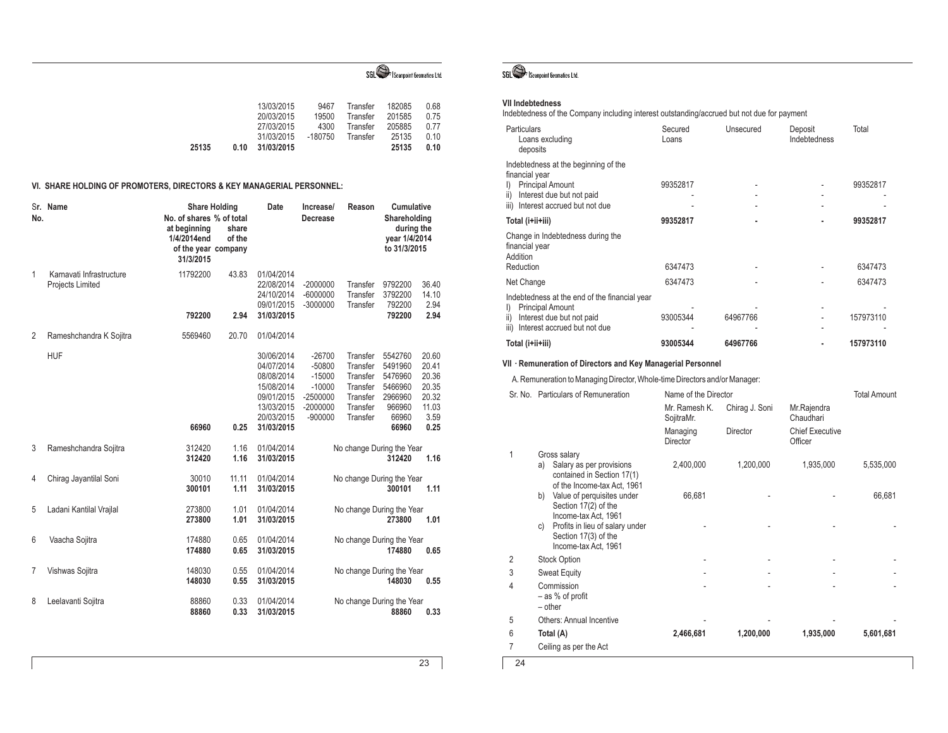## SGL<sup>O</sup> | Scanpoint Geomatics Ltd.

| 25135 | 0.10 | 31/03/2015<br>31/03/2015 | -180750       | Transfer             | 25135<br>25135   | 0.10<br>0.10 |
|-------|------|--------------------------|---------------|----------------------|------------------|--------------|
|       |      | 27/03/2015               | 4300          | Transfer             | 205885           | 0.77         |
|       |      | 13/03/2015<br>20/03/2015 | 9467<br>19500 | Transfer<br>Transfer | 182085<br>201585 | 0.68<br>0.75 |
|       |      |                          |               |                      |                  |              |

#### **VI. SHARE HOLDING OF PROMOTERS, DIRECTORS & KEY MANAGERIAL PERSONNEL:**

| No.            | Sr. Name                                     | <b>Share Holding</b><br>No. of shares % of total<br>at beginning<br>1/4/2014end<br>of the year company<br>31/3/2015 | share<br>of the | <b>Date</b>                                                                                                  | Increase/<br><b>Decrease</b>                                                          | Reason                                                                           | Cumulative<br>Shareholding<br>during the<br>year 1/4/2014<br>to 31/3/2015       |                                                                    |
|----------------|----------------------------------------------|---------------------------------------------------------------------------------------------------------------------|-----------------|--------------------------------------------------------------------------------------------------------------|---------------------------------------------------------------------------------------|----------------------------------------------------------------------------------|---------------------------------------------------------------------------------|--------------------------------------------------------------------|
| 1              | Karnavati Infrastructure<br>Projects Limited | 11792200<br>792200                                                                                                  | 43.83<br>2.94   | 01/04/2014<br>22/08/2014<br>24/10/2014<br>09/01/2015<br>31/03/2015                                           | $-2000000$<br>$-6000000$<br>$-3000000$                                                | Transfer<br>Transfer<br>Transfer                                                 | 9792200<br>3792200<br>792200<br>792200                                          | 36.40<br>14.10<br>2.94<br>2.94                                     |
| $\overline{2}$ | Rameshchandra K Sojitra                      | 5569460                                                                                                             | 20.70           | 01/04/2014                                                                                                   |                                                                                       |                                                                                  |                                                                                 |                                                                    |
|                | <b>HUF</b>                                   | 66960                                                                                                               | 0.25            | 30/06/2014<br>04/07/2014<br>08/08/2014<br>15/08/2014<br>09/01/2015<br>13/03/2015<br>20/03/2015<br>31/03/2015 | $-26700$<br>$-50800$<br>$-15000$<br>$-10000$<br>$-2500000$<br>$-2000000$<br>$-900000$ | Transfer<br>Transfer<br>Transfer<br>Transfer<br>Transfer<br>Transfer<br>Transfer | 5542760<br>5491960<br>5476960<br>5466960<br>2966960<br>966960<br>66960<br>66960 | 20.60<br>20.41<br>20.36<br>20.35<br>20.32<br>11.03<br>3.59<br>0.25 |
| 3              | Rameshchandra Sojitra                        | 312420<br>312420                                                                                                    | 1.16<br>1.16    | 01/04/2014<br>31/03/2015                                                                                     |                                                                                       | No change During the Year                                                        | 312420                                                                          | 1.16                                                               |
| 4              | Chiraq Jayantilal Soni                       | 30010<br>300101                                                                                                     | 11.11<br>1.11   | 01/04/2014<br>31/03/2015                                                                                     |                                                                                       | No change During the Year                                                        | 300101                                                                          | 1.11                                                               |
| 5              | Ladani Kantilal Vrajlal                      | 273800<br>273800                                                                                                    | 1.01<br>1.01    | 01/04/2014<br>31/03/2015                                                                                     |                                                                                       | No change During the Year                                                        | 273800                                                                          | 1.01                                                               |
| 6              | Vaacha Sojitra                               | 174880<br>174880                                                                                                    | 0.65<br>0.65    | 01/04/2014<br>31/03/2015                                                                                     |                                                                                       | No change During the Year                                                        | 174880                                                                          | 0.65                                                               |
| 7              | Vishwas Sojitra                              | 148030<br>148030                                                                                                    | 0.55<br>0.55    | 01/04/2014<br>31/03/2015                                                                                     |                                                                                       | No change During the Year                                                        | 148030                                                                          | 0.55                                                               |
| 8              | Leelavanti Sojitra                           | 88860<br>88860                                                                                                      | 0.33<br>0.33    | 01/04/2014<br>31/03/2015                                                                                     |                                                                                       | No change During the Year                                                        | 88860                                                                           | 0.33                                                               |

## SGL Seanpoint Geomatics Ltd.

#### **VII Indebtedness**

Indebtedness of the Company including interest outstanding/accrued but not due for payment

| Particulars<br>Loans excluding<br>deposits                                                                                            | Secured<br>Loans | Unsecured | Deposit<br>Indebtedness | Total     |
|---------------------------------------------------------------------------------------------------------------------------------------|------------------|-----------|-------------------------|-----------|
| Indebtedness at the beginning of the<br>financial year<br><b>Principal Amount</b><br>$\mathbf{D}$<br>Interest due but not paid<br>ii) | 99352817         |           |                         | 99352817  |
| Interest accrued but not due<br>iii)                                                                                                  |                  |           |                         |           |
| Total (i+ii+iii)                                                                                                                      | 99352817         |           |                         | 99352817  |
| Change in Indebtedness during the<br>financial year<br>Addition<br>Reduction                                                          | 6347473          |           |                         | 6347473   |
| Net Change                                                                                                                            | 6347473          |           |                         | 6347473   |
| Indebtedness at the end of the financial year<br><b>Principal Amount</b><br>$\mathbf{D}$                                              |                  |           |                         |           |
| Interest due but not paid<br>ii)<br>Interest accrued but not due<br>iii)                                                              | 93005344         | 64967766  |                         | 157973110 |
| Total (i+ii+iii)                                                                                                                      | 93005344         | 64967766  |                         | 157973110 |

#### **VII · Remuneration of Directors and Key Managerial Personnel**

A. Remuneration to Managing Director, Whole-time Directors and/or Manager:

Sr. No. Particulars of Remuneration Name of the Director

|                |                                                                                             | Mr. Ramesh K.<br>SojitraMr. | Chirag J. Soni  | Mr.Rajendra<br>Chaudhari          |           |
|----------------|---------------------------------------------------------------------------------------------|-----------------------------|-----------------|-----------------------------------|-----------|
|                |                                                                                             | Managing<br><b>Director</b> | <b>Director</b> | <b>Chief Executive</b><br>Officer |           |
| 1              | Gross salary                                                                                |                             |                 |                                   |           |
|                | Salary as per provisions<br>a)<br>contained in Section 17(1)<br>of the Income-tax Act, 1961 | 2,400,000                   | 1,200,000       | 1,935,000                         | 5,535,000 |
|                | b)<br>Value of perquisites under<br>Section 17(2) of the<br>Income-tax Act, 1961            | 66,681                      |                 |                                   | 66,681    |
|                | Profits in lieu of salary under<br>C)<br>Section 17(3) of the<br>Income-tax Act, 1961       |                             |                 |                                   |           |
| $\overline{2}$ | <b>Stock Option</b>                                                                         |                             |                 |                                   |           |
| 3              | <b>Sweat Equity</b>                                                                         |                             |                 |                                   |           |
| 4              | Commission<br>- as % of profit<br>$-$ other                                                 |                             |                 |                                   |           |
| 5              | <b>Others: Annual Incentive</b>                                                             |                             |                 |                                   |           |
| 6              | Total (A)                                                                                   | 2,466,681                   | 1,200,000       | 1,935,000                         | 5,601,681 |
| 7              | Ceiling as per the Act                                                                      |                             |                 |                                   |           |
| 24             |                                                                                             |                             |                 |                                   |           |

**Total Amount**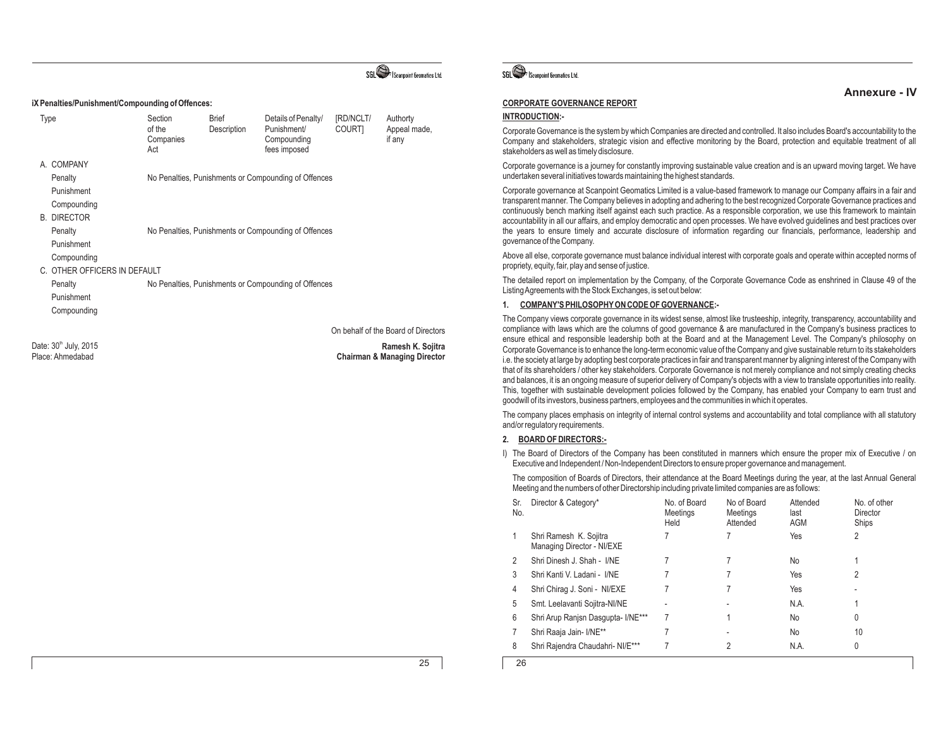## SGL<sup>3</sup> |Scanpoint Geomatics Ltd.

**Chairman & Managing Director**

#### **iX Penalties/Punishment/Compounding of Offences:**

| Type |                                   | Section<br>of the<br>Companies<br>Act                | <b>Brief</b><br>Description | Details of Penalty/<br>Punishment/<br>Compounding<br>fees imposed | [RD/NCLT/<br><b>COURTI</b> | Authorty<br>Appeal made,<br>if any  |  |  |
|------|-----------------------------------|------------------------------------------------------|-----------------------------|-------------------------------------------------------------------|----------------------------|-------------------------------------|--|--|
|      | A. COMPANY                        |                                                      |                             |                                                                   |                            |                                     |  |  |
|      | Penalty                           |                                                      |                             | No Penalties, Punishments or Compounding of Offences              |                            |                                     |  |  |
|      | Punishment                        |                                                      |                             |                                                                   |                            |                                     |  |  |
|      | Compounding                       |                                                      |                             |                                                                   |                            |                                     |  |  |
|      | <b>B. DIRECTOR</b>                |                                                      |                             |                                                                   |                            |                                     |  |  |
|      | Penalty                           | No Penalties, Punishments or Compounding of Offences |                             |                                                                   |                            |                                     |  |  |
|      | Punishment                        |                                                      |                             |                                                                   |                            |                                     |  |  |
|      | Compounding                       |                                                      |                             |                                                                   |                            |                                     |  |  |
|      | C. OTHER OFFICERS IN DEFAULT      |                                                      |                             |                                                                   |                            |                                     |  |  |
|      | Penalty                           |                                                      |                             | No Penalties, Punishments or Compounding of Offences              |                            |                                     |  |  |
|      | Punishment                        |                                                      |                             |                                                                   |                            |                                     |  |  |
|      | Compounding                       |                                                      |                             |                                                                   |                            |                                     |  |  |
|      |                                   |                                                      |                             |                                                                   |                            | On behalf of the Board of Directors |  |  |
|      | Date: 30 <sup>th</sup> July, 2015 |                                                      |                             |                                                                   |                            | Ramesh K. Soiitra                   |  |  |

Place: Ahmedabad

SGL<sup>9</sup> | Seanpoint Geomatics Ltd.

#### **CORPORATE GOVERNANCE REPORT**

#### **INTRODUCTION:-**

Corporate Governance is the system by which Companies are directed and controlled. It also includes Board's accountability to the Company and stakeholders, strategic vision and effective monitoring by the Board, protection and equitable treatment of all stakeholders as well as timely disclosure.

Corporate governance is <sup>a</sup> journey for constantly improving sustainable value creation and is an upward moving target. We have undertaken several initiatives towards maintaining the highest standards.

Corporate governance at Scanpoint Geomatics Limited is <sup>a</sup> value-based framework to manage our Company affairs in <sup>a</sup> fair and transparent manner. The Company believes in adopting and adhering to the best recognized Corporate Governance practices and continuously bench marking itself against each such practice. As <sup>a</sup> responsible corporation, we use this framework to maintain accountability in all our affairs, and employ democratic and open processes. We have evolved guidelines and best practices over the years to ensure timely and accurate disclosure of information regarding our financials, performance, leadership and governance of the Company.

Above all else, corporate governance must balance individual interest with corporate goals and operate within accepted norms of propriety, equity, fair, play and sense of justice.

The detailed report on implementation by the Company, of the Corporate Governance Code as enshrined in Clause 49 of the ListingAgreements with the Stock Exchanges, is set out below:

#### **1. COMPANY'S PHILOSOPHY ON CODE OF GOVERNANCE:-**

The Company views corporate governance in its widest sense, almost like trusteeship, integrity, transparency, accountability and compliance with laws which are the columns of good governance & are manufactured in the Company's business practices to ensure ethical and responsible leadership both at the Board and at the Management Level. The Company's philosophy on Corporate Governance is to enhance the long-term economic value of the Company and give sustainable return to its stakeholders i.e. the society at large by adopting best corporate practices in fair and transparent manner by aligning interest of the Company with that of its shareholders / other key stakeholders. Corporate Governance is not merely compliance and not simply creating checks and balances, it is an ongoing measure of superior delivery of Company's objects with <sup>a</sup> view to translate opportunities into reality. This, together with sustainable development policies followed by the Company, has enabled your Company to earn trust and goodwill of its investors, business partners, employees and the communities in which it operates.

The company places emphasis on integrity of internal control systems and accountability and total compliance with all statutory and/or regulatory requirements.

#### **2. BOARD OF DIRECTORS:-**

I) The Board of Directors of the Company has been constituted in manners which ensure the proper mix of Executive / on Executive and Independent / Non-Independent Directors to ensure proper governance and management.

The composition of Boards of Directors, their attendance at the Board Meetings during the year, at the last Annual General Meeting and the numbers of other Directorship including private limited companies are as follows:

| Sr.<br>No. | Director & Category*                                 | No. of Board<br>Meetings<br>Held | No of Board<br>Meetings<br>Attended | Attended<br>last<br>AGM | No. of other<br>Director<br>Ships |
|------------|------------------------------------------------------|----------------------------------|-------------------------------------|-------------------------|-----------------------------------|
|            | Shri Ramesh K. Sojitra<br>Managing Director - NI/EXE |                                  |                                     | <b>Yes</b>              | 2                                 |
| 2          | Shri Dinesh J. Shah - I/NE                           |                                  |                                     | No.                     |                                   |
| 3          | Shri Kanti V. Ladani - I/NE                          |                                  |                                     | Yes                     | 2                                 |
| 4          | Shri Chiraq J. Soni - NI/EXE                         |                                  |                                     | Yes                     |                                   |
| 5          | Smt. Leelavanti Sojitra-NI/NE                        |                                  |                                     | N.A.                    |                                   |
| 6          | Shri Arup Ranjsn Dasgupta- I/NE***                   | 7                                |                                     | No                      | 0                                 |
|            | Shri Raaja Jain- I/NE**                              |                                  |                                     | No.                     | 10                                |
| 8          | Shri Rajendra Chaudahri- NI/E***                     |                                  |                                     | N.A.                    | 0                                 |

26

**Annexure - IV**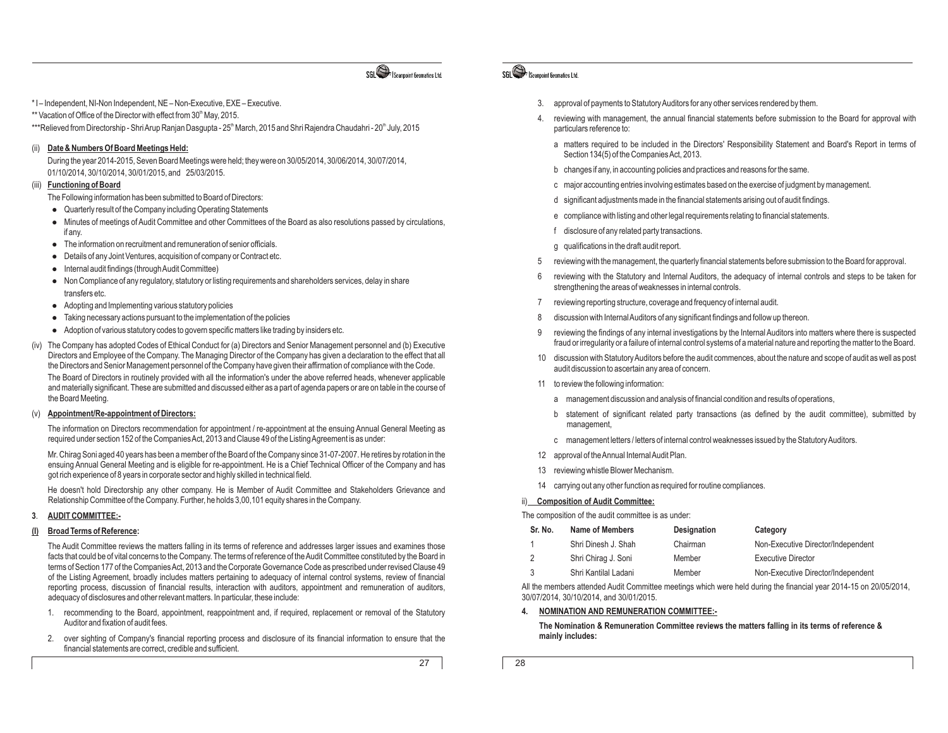## SGL<sup>9</sup> |Scanpoint Geomatics Ltd.

\* I – Independent, NI-Non Independent, NE – Non-Executive, EXE – Executive.

\*\* Vacation of Office of the Director with effect from  $30<sup>th</sup>$  May, 2015.

\*\*\*Relieved from Directorship - Shri Arup Ranjan Dasgupta - 25<sup>th</sup> March, 2015 and Shri Rajendra Chaudahri - 20<sup>th</sup> July, 2015

#### (ii) **Date & Numbers Of Board Meetings Held:**

During the year 2014-2015, Seven Board Meetings were held; they were on 30/05/2014, 30/06/2014, 30/07/2014, 01/10/2014, 30/10/2014, 30/01/2015, and 25/03/2015.

#### (iii) **Functioning of Board**

The Following information has been submitted to Board of Directors:

- Quarterly result of the Company including Operating Statements
- Minutes of meetings of Audit Committee and other Committees of the Board as also resolutions passed by circulations, if any.
- -The information on recruitment and remuneration of senior officials.
- -Details of any Joint Ventures, acquisition of company or Contract etc.
- -Internal audit findings (throughAudit Committee)
- -Non Compliance of any regulatory, statutory or listing requirements and shareholders services, delay in share transfers etc.
	- -Adopting and Implementing various statutory policies
	- -Taking necessary actions pursuant to the implementation of the policies
	- -Adoption of various statutory codes to govern specific matters like trading by insiders etc.
- (iv) The Company has adopted Codes of Ethical Conduct for (a) Directors and Senior Management personnel and (b) Executive Directors and Employee of the Company. The Managing Director of the Company has given <sup>a</sup> declaration to the effect that all the Directors and Senior Management personnel of the Company have given their affirmation of compliance with the Code. The Board of Directors in routinely provided with all the information's under the above referred heads, whenever applicable and materially significant. These are submitted and discussed either as <sup>a</sup> part of agenda papers or are on table in the course of the Board Meeting.

#### (v) **Appointment/Re-appointment of Directors:**

The information on Directors recommendation for appointment / re-appointment at the ensuing Annual General Meeting as required under section 152 of the CompaniesAct, 2013 and Clause 49 of the ListingAgreement is as under:

Mr. Chirag Soni aged 40 years has been <sup>a</sup> member of the Board of the Company since 31-07-2007. He retires by rotation in the ensuing Annual General Meeting and is eligible for re-appointment. He is <sup>a</sup> Chief Technical Officer of the Company and has got rich experience of 8 years in corporate sector and highly skilled in technical field.

He doesn't hold Directorship any other company. He is Member of Audit Committee and Stakeholders Grievance and Relationship Committee of the Company. Further, he holds 3,00,101 equity shares in the Company.

#### **3**. **AUDIT COMMITTEE:-**

#### **(I) Broad Terms of Reference:**

The Audit Committee reviews the matters falling in its terms of reference and addresses larger issues and examines those facts that could be of vital concerns to the Company. The terms of reference of theAudit Committee constituted by the Board in terms of Section 177 of the CompaniesAct, 2013 and the Corporate Governance Code as prescribed under revised Clause 49 of the Listing Agreement, broadly includes matters pertaining to adequacy of internal control systems, review of financial reporting process, discussion of financial results, interaction with auditors, appointment and remuneration of auditors, adequacy of disclosures and other relevant matters. In particular, these include:

- 1. recommending to the Board, appointment, reappointment and, if required, replacement or removal of the Statutory Auditor and fixation of audit fees.
- 2. over sighting of Company's financial reporting process and disclosure of its financial information to ensure that the financial statements are correct, credible and sufficient.

28

## SGL<sup>9</sup> | Seanpoint Geomatics Ltd.

- 3. approval of payments to StatutoryAuditors for any other services rendered by them.
- 4. reviewing with management, the annual financial statements before submission to the Board for approval with particulars reference to:
	- <sup>a</sup> matters required to be included in the Directors' Responsibility Statement and Board's Report in terms of Section 134(5) of the Companies Act, 2013.
	- b changes if any, in accounting policies and practices and reasons for the same.
	- <sup>c</sup> major accounting entries involving estimates based on the exercise of judgment by management.
	- d significant adjustments made in the financial statements arising out of audit findings.
	- <sup>e</sup> compliance with listing and other legal requirements relating to financial statements.
	- f disclosure of any related party transactions.
	- g qualifications in the draft audit report.
- 5 reviewing with the management, the quarterly financial statements before submission to the Board for approval.
- 6 reviewing with the Statutory and Internal Auditors, the adequacy of internal controls and steps to be taken for strengthening the areas of weaknesses in internal controls.
- 7 reviewing reporting structure, coverage and frequency of internal audit.
- 8 discussion with InternalAuditors of any significant findings and follow up thereon.
- 9 reviewing the findings of any internal investigations by the Internal Auditors into matters where there is suspected fraud or irregularity or <sup>a</sup> failure of internal control systems of <sup>a</sup> material nature and reporting the matter to the Board.
- 10 discussion with StatutoryAuditors before the audit commences, about the nature and scope of audit as well as post audit discussion to ascertain any area of concern.
- 11 to review the following information:
	- <sup>a</sup> management discussion and analysis of financial condition and results of operations,
	- b statement of significant related party transactions (as defined by the audit committee), submitted by management,
	- c management letters / letters of internal control weaknesses issued by the Statutory Auditors.
- 12 approval of the Annual Internal Audit Plan.
- 13 reviewing whistle Blower Mechanism.
- 14 carrying out any other function as required for routine compliances.

#### ii) **Composition of Audit Committee:**

The composition of the audit committee is as under:

| Sr. No. | Name of Members      | <b>Designation</b> | Category                           |
|---------|----------------------|--------------------|------------------------------------|
|         | Shri Dinesh J. Shah  | Chairman           | Non-Executive Director/Independent |
|         | Shri Chirag J. Soni  | Member             | <b>Executive Director</b>          |
|         | Shri Kantilal Ladani | Member             | Non-Executive Director/Independent |

All the members attended Audit Committee meetings which were held during the financial year 2014-15 on 20/05/2014, 30/07/2014, 30/10/2014, and 30/01/2015.

#### **4. NOMINATION AND REMUNERATION COMMITTEE:-**

**The Nomination & Remuneration Committee reviews the matters falling in its terms of reference & mainly includes:**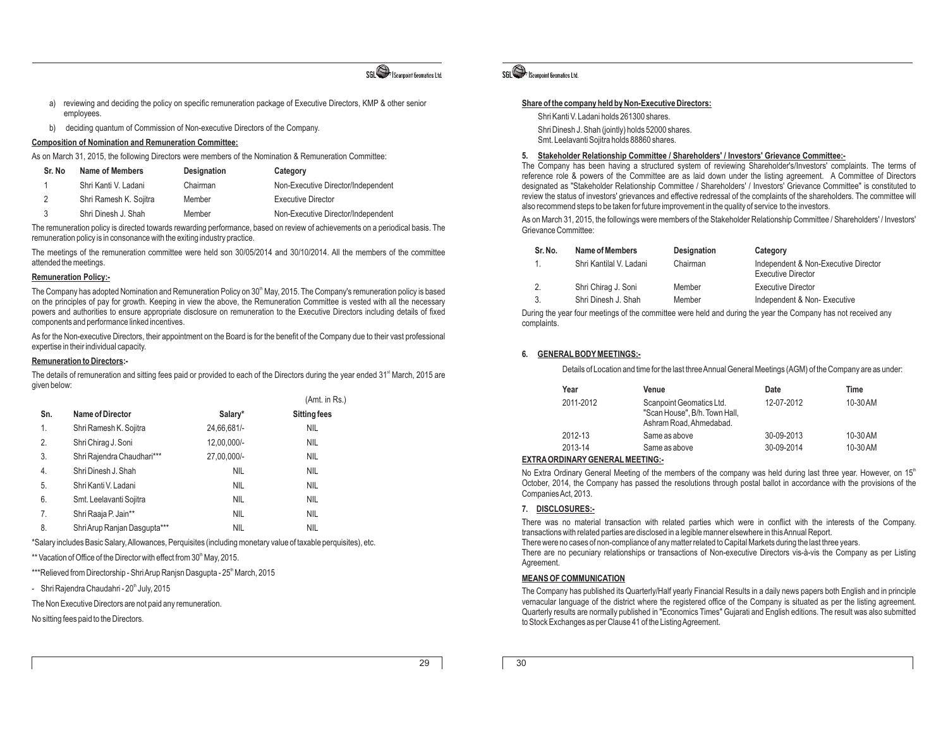SGL<sup>3</sup> |Scanpoint Geomatics Ltd.

- a) reviewing and deciding the policy on specific remuneration package of Executive Directors, KMP & other senior employees.
- b) deciding quantum of Commission of Non-executive Directors of the Company.

#### **Composition of Nomination and Remuneration Committee:**

As on March 31, 2015, the following Directors were members of the Nomination & Remuneration Committee:

| Sr. No | Name of Members        | <b>Designation</b> | Category                           |
|--------|------------------------|--------------------|------------------------------------|
|        | Shri Kanti V. Ladani   | Chairman           | Non-Executive Director/Independent |
| 2      | Shri Ramesh K. Sojitra | Member             | <b>Executive Director</b>          |
| 3      | Shri Dinesh J. Shah    | Member             | Non-Executive Director/Independent |

The remuneration policy is directed towards rewarding performance, based on review of achievements on <sup>a</sup> periodical basis. The remuneration policy is in consonance with the exiting industry practice.

The meetings of the remuneration committee were held son 30/05/2014 and 30/10/2014. All the members of the committee attended the meetings.

#### **Remuneration Policy:-**

The Company has adopted Nomination and Remuneration Policy on 30<sup>th</sup> May, 2015. The Company's remuneration policy is based on the principles of pay for growth. Keeping in view the above, the Remuneration Committee is vested with all the necessary powers and authorities to ensure appropriate disclosure on remuneration to the Executive Directors including details of fixed components and performance linked incentives.

As for the Non-executive Directors, their appointment on the Board is for the benefit of the Company due to their vast professional expertise in their individual capacity.

#### **Remuneration to Directors:-**

The details of remuneration and sitting fees paid or provided to each of the Directors during the year ended 31<sup>st</sup> March, 2015 are given below:

|     |                              |             | (Amt. in Rs.)       |
|-----|------------------------------|-------------|---------------------|
| Sn. | Name of Director             | Salary*     | <b>Sitting fees</b> |
| 1.  | Shri Ramesh K. Sojitra       | 24,66,681/- | <b>NIL</b>          |
| 2.  | Shri Chirag J. Soni          | 12,00,000/- | <b>NIL</b>          |
| 3.  | Shri Rajendra Chaudhari***   | 27,00,000/- | <b>NIL</b>          |
| 4.  | Shri Dinesh J. Shah          | <b>NIL</b>  | <b>NIL</b>          |
| 5.  | Shri Kanti V. Ladani         | NIL         | <b>NIL</b>          |
| 6.  | Smt. Leelavanti Sojitra      | NIL         | <b>NIL</b>          |
| 7.  | Shri Raaja P. Jain**         | <b>NIL</b>  | <b>NIL</b>          |
| 8.  | Shri Arup Ranjan Dasqupta*** | <b>NIL</b>  | <b>NIL</b>          |
|     |                              |             |                     |

\*Salary includes Basic Salary,Allowances, Perquisites (including monetary value of taxable perquisites), etc.

\*\* Vacation of Office of the Director with effect from  $30<sup>th</sup>$  May, 2015.

\*\*\*Relieved from Directorship - Shri Arup Ranjsn Dasgupta - 25<sup>th</sup> March, 2015

- Shri Rajendra Chaudahri - 20<sup>th</sup> July, 2015

The Non Executive Directors are not paid any remuneration.

No sitting fees paid to the Directors.

SGL<sup>O</sup> | Scanpoint Geomatics Ltd.

#### **Share of the company held by Non-Executive Directors:**

Shri Kanti V. Ladani holds 261300 shares. Shri Dinesh J. Shah (jointly) holds 52000 shares. Smt. Leelavanti Sojitra holds 88860 shares.

#### **5. Stakeholder Relationship Committee / Shareholders' / Investors' Grievance Committee:-**

The Company has been having <sup>a</sup> structured system of reviewing Shareholder's/Investors' complaints. The terms of reference role & powers of the Committee are as laid down under the listing agreement. A Committee of Directors designated as "Stakeholder Relationship Committee / Shareholders' / Investors' Grievance Committee" is constituted to review the status of investors' grievances and effective redressal of the complaints of the shareholders. The committee will also recommend steps to be taken for future improvement in the quality of service to the investors.

As on March 31, 2015, the followings were members of the Stakeholder Relationship Committee / Shareholders' / Investors' Grievance Committee:

| Sr. No. | Name of Members         | <b>Designation</b> | Category                                                          |
|---------|-------------------------|--------------------|-------------------------------------------------------------------|
| 1.      | Shri Kantilal V. Ladani | Chairman           | Independent & Non-Executive Director<br><b>Executive Director</b> |
| 2.      | Shri Chirag J. Soni     | Member             | <b>Executive Director</b>                                         |
| 3.      | Shri Dinesh J. Shah     | Member             | Independent & Non-Executive                                       |

During the year four meetings of the committee were held and during the year the Company has not received any complaints.

#### **6. GENERAL BODY MEETINGS:-**

Details of Location and time for the last threeAnnual General Meetings (AGM) of the Company are as under:

| Year      | Venue                                                                                | Date       | Time     |
|-----------|--------------------------------------------------------------------------------------|------------|----------|
| 2011-2012 | Scanpoint Geomatics Ltd.<br>"Scan House", B/h. Town Hall,<br>Ashram Road, Ahmedabad. | 12-07-2012 | 10-30 AM |
| 2012-13   | Same as above                                                                        | 30-09-2013 | 10-30 AM |
| 2013-14   | Same as above                                                                        | 30-09-2014 | 10-30 AM |

#### **EXTRAORDINARY GENERAL MEETING:-**

No Extra Ordinary General Meeting of the members of the company was held during last three year. However, on 15<sup>th</sup> October, 2014, the Company has passed the resolutions through postal ballot in accordance with the provisions of the CompaniesAct, 2013.

#### **7. DISCLOSURES:-**

There was no material transaction with related parties which were in conflict with the interests of the Company. transactions with related parties are disclosed in <sup>a</sup> legible manner elsewhere in thisAnnual Report.

There were no cases of non-compliance of any matter related to Capital Markets during the last three years.

There are no pecuniary relationships or transactions of Non-executive Directors vis-à-vis the Company as per Listing Agreement.

#### **MEANS OF COMMUNICATION**

The Company has published its Quarterly/Half yearly Financial Results in <sup>a</sup> daily news papers both English and in principle vernacular language of the district where the registered office of the Company is situated as per the listing agreement. Quarterly results are normally published in "Economics Times" Gujarati and English editions. The result was also submitted to Stock Exchanges as per Clause 41 of the Listing Agreement.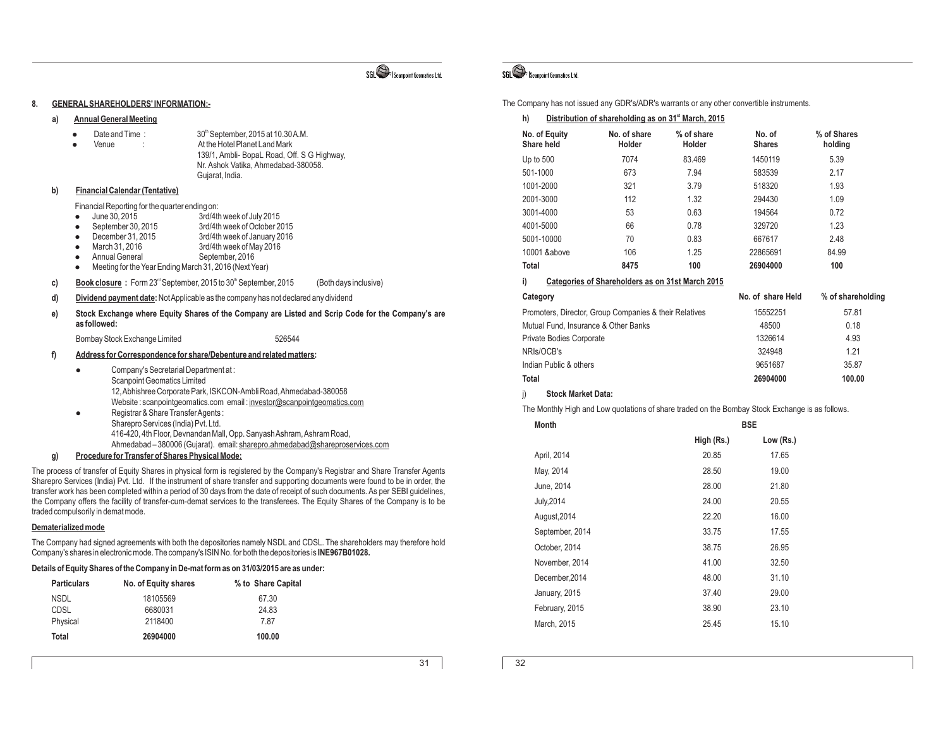$\textsf{SGL}\bigoplus_\textsf{e}|\textsf{Scanpoint}\textsf{Geomatics}\textsf{Ltd}.$ 

#### **8. GENERAL SHAREHOLDERS' INFORMATION:-**

| <b>Annual General Meeting</b><br>a) |
|-------------------------------------|
|-------------------------------------|

- -Date and Time :  $30<sup>th</sup>$  September, 2015 at 10.30 A.M.
- $\bullet$  Venue : At the Hotel Planet Land Mark
	- 139/1, Ambli- BopaL Road, Off. S G Highway, Nr. Ashok Vatika, Ahmedabad-380058. Gujarat, India.

#### **b) Financial Calendar (Tentative)**

Financial Reporting for the quarter ending on:<br>June 30, 2015 3rd/4th 3rd/4th week of July 2015

- $\bullet$
- -September 30, 2015 3rd/4th week of October 2015
- -December 31, 2015 3rd/4th week of January 2016<br>March 31, 2016 3rd/4th week of May 2016
- -3rd/4th week of May 2016
- $\bullet$ Annual General September, 2016
- $\bullet$ Meeting for the Year Ending March 31, 2016 (Next Year)
- **c) Book closure**: Form 23<sup>rd</sup> September, 2015 to 30<sup>th</sup> September, 2015 (Both days inclusive)
- **d) Dividend payment date:** NotApplicable as the company has not declared any dividend
- e) Stock Exchange where Equity Shares of the Company are Listed and Scrip Code for the Company's are **as followed:**
	- Bombay Stock Exchange Limited 526544
- **f) : Address for Correspondence for share/Debenture and related matters**
	- $\bullet$  Company's Secretarial Department at : Scanpoint Geomatics Limited 12,Abhishree Corporate Park, ISKCON-Ambli Road,Ahmedabad-380058 Website : scanpointgeomatics.com email : investor@scanpointgeomatics.com
	- Registrar & Share TransferAgents : Sharepro Services (India) Pvt. Ltd. 416-420, 4th Floor, Devnandan Mall, Opp. SanyashAshram,Ashram Road, Ahmedabad – 380006 (Gujarat). email: sharepro.ahmedabad@shareproservices.com
- **g) Procedure for Transfer of Shares Physical Mode:**

The process of transfer of Equity Shares in physical form is registered by the Company's Registrar and Share Transfer Agents Sharepro Services (India) Pvt. Ltd. If the instrument of share transfer and supporting documents were found to be in order, the transfer work has been completed within <sup>a</sup> period of 30 days from the date of receipt of such documents. As per SEBI guidelines, the Company offers the facility of transfer-cum-demat services to the transferees. The Equity Shares of the Company is to be traded compulsorily in demat mode.

#### **Dematerialized mode**

-

The Company had signed agreements with both the depositories namely NSDL and CDSL. The shareholders may therefore hold Company's shares in electronic mode. The company's ISIN No. for both the depositories is **INE967B01028.**

#### Details of Equity Shares of the Company in De-mat form as on 31/03/2015 are as under:

| <b>Particulars</b> | No. of Equity shares | % to Share Capital |
|--------------------|----------------------|--------------------|
| <b>NSDL</b>        | 18105569             | 67.30              |
| <b>CDSL</b>        | 6680031              | 24.83              |
| Physical           | 2118400              | 787                |
| Total              | 26904000             | 100.00             |

## SGL Seanpoint Geomatics Ltd.

The Company has not issued any GDR's/ADR's warrants or any other convertible instruments.

### **h) Distribution of shareholding as on 31 March, 2015 st No. of Equity No. of share % of share No. of % of Shares Share held Holder Holder Shares holding** Up to 500 7074 83.469 1450119 5.39 501-1000 673 7.94 583539 2.171001-2000 321 3.79 518320 1.932001-3000 112 1.32 294430 1.093001-4000 53 0.63 194564 0.724001-5000 66 0.78 329720 1.235001-10000 70 0.83 667617 2.4810001 &above 106 1.25 22865691 84.99**Total 8475 100 26904000 100**

#### **i) Categories of Shareholders as on 31st March 2015**

| Category                                               | No. of share Held | % of shareholding |
|--------------------------------------------------------|-------------------|-------------------|
| Promoters, Director, Group Companies & their Relatives | 15552251          | 57.81             |
| Mutual Fund, Insurance & Other Banks                   | 48500             | 0.18              |
| Private Bodies Corporate                               | 1326614           | 4.93              |
| NRIs/OCB's                                             | 324948            | 1.21              |
| Indian Public & others                                 | 9651687           | 35.87             |
| Total                                                  | 26904000          | 100.00            |
|                                                        |                   |                   |

#### j) **Stock Market Data:**

The Monthly High and Low quotations of share traded on the Bombay Stock Exchange is as follows.

| <b>Month</b>    | <b>BSE</b> |           |
|-----------------|------------|-----------|
|                 | High (Rs.) | Low (Rs.) |
| April, 2014     | 20.85      | 17.65     |
| May, 2014       | 28.50      | 19.00     |
| June, 2014      | 28.00      | 21.80     |
| July, 2014      | 24.00      | 20.55     |
| August, 2014    | 22.20      | 16.00     |
| September, 2014 | 33.75      | 17.55     |
| October, 2014   | 38.75      | 26.95     |
| November, 2014  | 41.00      | 32.50     |
| December, 2014  | 48.00      | 31.10     |
| January, 2015   | 37.40      | 29.00     |
| February, 2015  | 38.90      | 23.10     |
| March, 2015     | 25.45      | 15.10     |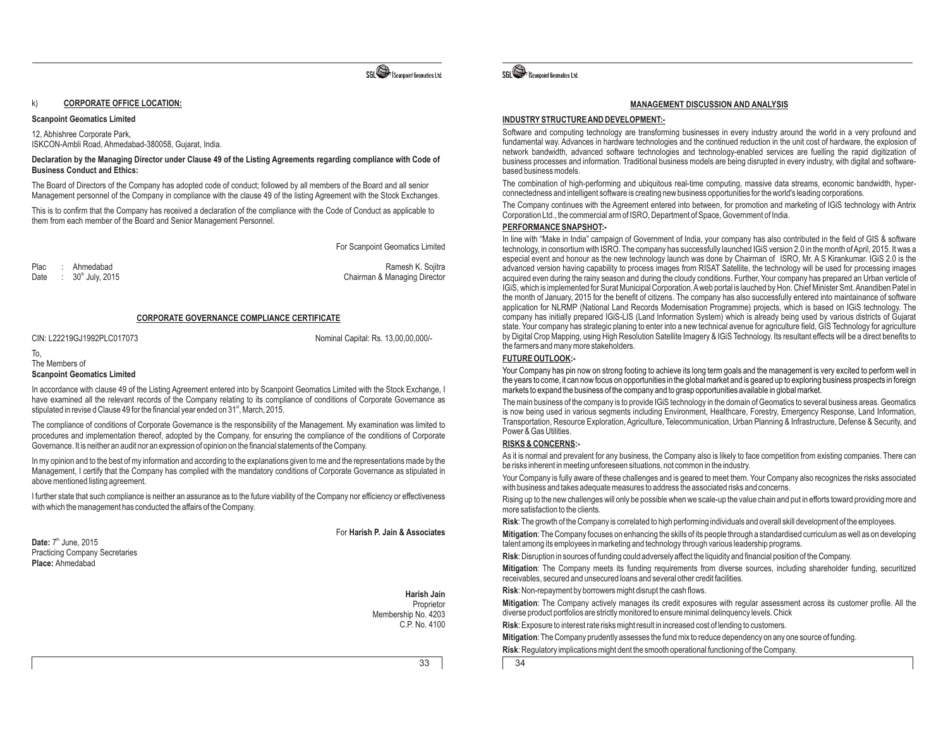SGL<sup>9</sup> | Seanpoint Geomatics Ltd.

#### **CORPORATE OFFICE LOCATION:**

**Scanpoint Geomatics Limited**

12, Abhishree Corporate Park, ISKCON-Ambli Road, Ahmedabad-380058, Gujarat, India.

#### **Declaration by the Managing Director under Clause 49 of the Listing Agreements regarding compliance with Code of Business Conduct and Ethics:**

The Board of Directors of the Company has adopted code of conduct; followed by all members of the Board and all senior Management personnel of the Company in compliance with the clause 49 of the listing Agreement with the Stock Exchanges.

This is to confirm that the Company has received a declaration of the compliance with the Code of Conduct as applicable to them from each member of the Board and Senior Management Personnel.

For Scanpoint Geomatics Limited

Plac : Ahmedabad Ramesh K. Sojitra<br>Date : 30<sup>th</sup> July 2015 Chairman & Managing Director

#### **CORPORATE GOVERNANCE COMPLIANCE CERTIFICATE**

CIN: L22219GJ1992PLC017073 Nominal Capital: Rs. 13,00,00,000/-

#### To, The Members of**Scanpoint Geomatics Limited**

In accordance with clause 49 of the Listing Agreement entered into by Scanpoint Geomatics Limited with the Stock Exchange, I have examined all the relevant records of the Company relating to its compliance of conditions of Corporate Governance as stipulated in revise d Clause 49 for the financial year ended on 31<sup>st</sup>, March, 2015.

The compliance of conditions of Corporate Governance is the responsibility of the Management. My examination was limited to procedures and implementation thereof, adopted by the Company, for ensuring the compliance of the conditions of Corporate Governance. It is neither an audit nor an expression of opinion on the financial statements of the Company.

In my opinion and to the best of my information and according to the explanations given to me and the representations made by the Management, I certify that the Company has complied with the mandatory conditions of Corporate Governance as stipulated in above mentioned listing agreement.

I further state that such compliance is neither an assurance as to the future viability of the Company nor efficiency or effectiveness with which the management has conducted the affairs of the Company.

For **Harish P. Jain & Associates**

**Date:** 7<sup>th</sup> June, 2015 Practicing Company Secretaries **Place:** Ahmedabad

> **Harish Jain**Proprietor Membership No. 4203 C.P. No. 4100

SGL<sup>O</sup> | Scanpoint Geomatics Ltd.

#### **MANAGEMENT DISCUSSION AND ANALYSIS**

#### **INDUSTRY STRUCTUREAND DEVELOPMENT:-**

Software and computing technology are transforming businesses in every industry around the world in <sup>a</sup> very profound and fundamental way. Advances in hardware technologies and the continued reduction in the unit cost of hardware, the explosion of network bandwidth, advanced software technologies and technology-enabled services are fuelling the rapid digitization of business processes and information. Traditional business models are being disrupted in every industry, with digital and softwarebased business models.

The combination of high-performing and ubiquitous real-time computing, massive data streams, economic bandwidth, hyperconnectedness and intelligent software is creating new business opportunities for the world's leading corporations.

The Company continues with the Agreement entered into between, for promotion and marketing of IGiS technology with Antrix Corporation Ltd., the commercial arm of ISRO, Department of Space, Government of India.

#### **PERFORMANCE SNAPSHOT:-**

In line with "Make in India" campaign of Government of India, your company has also contributed in the field of GIS & software technology, in consortium with ISRO. The company has successfully launched IGiS version 2.0 in the month ofApril, 2015. It was <sup>a</sup> especial event and honour as the new technology launch was done by Chairman of ISRO, Mr. A S Kirankumar. IGiS 2.0 is the advanced version having capability to process images from RISAT Satellite, the technology will be used for processing images acquired even during the rainy season and during the cloudy conditions. Further, Your company has prepared an Urban verticle of IGiS, which is implemented for Surat Municipal Corporation.Aweb portal is lauched by Hon. Chief Minister Smt.Anandiben Patel in the month of January, 2015 for the benefit of citizens. The company has also successfully entered into maintainance of software application for NLRMP (National Land Records Modernisation Programme) projects, which is based on IGiS technology. The company has initially prepared IGiS-LIS (Land Information System) which is already being used by various districts of Gujarat state. Your company has strategic planing to enter into <sup>a</sup> new technical avenue for agriculture field, GIS Technology for agriculture by Digital Crop Mapping, using High Resolution Satellite Imagery & IGiS Technology. Its resultant effects will be <sup>a</sup> direct benefits to the farmers and many more stakeholders.

#### **FUTURE OUTLOOK:-**

Your Company has pin now on strong footing to achieve its long term goals and the management is very excited to perform well in the years to come, it can now focus on opportunities in the global market and is geared up to exploring business prospects in foreign markets to expand the business of the company and to grasp opportunities available in global market.

The main business of the company is to provide IGiS technology in the domain of Geomatics to several business areas. Geomatics is now being used in various segments including Environment, Healthcare, Forestry, Emergency Response, Land Information, Transportation, Resource Exploration, Agriculture, Telecommunication, Urban Planning & Infrastructure, Defense & Security, and Power & Gas Utilities.

#### **RISKS & CONCERNS:-**

34

As it is normal and prevalent for any business, the Company also is likely to face competition from existing companies. There can be risks inherent in meeting unforeseen situations, not common in the industry.

Your Company is fully aware of these challenges and is geared to meet them. Your Company also recognizes the risks associated with business and takes adequate measures to address the associated risks and concerns.

Rising up to the new challenges will only be possible when we scale-up the value chain and put in efforts toward providing more and more satisfaction to the clients.

**Risk**: The growth of the Company is correlated to high performing individuals and overall skill development of the employees.

**Mitigation**: The Company focuses on enhancing the skills of its people through <sup>a</sup> standardised curriculum as well as on developing talent among its employees in marketing and technology through various leadership programs.

**Risk**: Disruption in sources of funding could adversely affect the liquidity and financial position of the Company.

**Mitigation**: The Company meets its funding requirements from diverse sources, including shareholder funding, securitized receivables, secured and unsecured loans and several other credit facilities.

**Risk**: Non-repayment by borrowers might disrupt the cash flows.

**Mitigation**: The Company actively manages its credit exposures with regular assessment across its customer profile. All the diverse product portfolios are strictly monitored to ensure minimal delinquency levels. Chick

**Risk**: Exposure to interest rate risks might result in increased cost of lending to customers.

**Mitigation**: The Company prudently assesses the fund mix to reduce dependency on any one source of funding. **Risk**: Regulatory implications might dent the smooth operational functioning of the Company.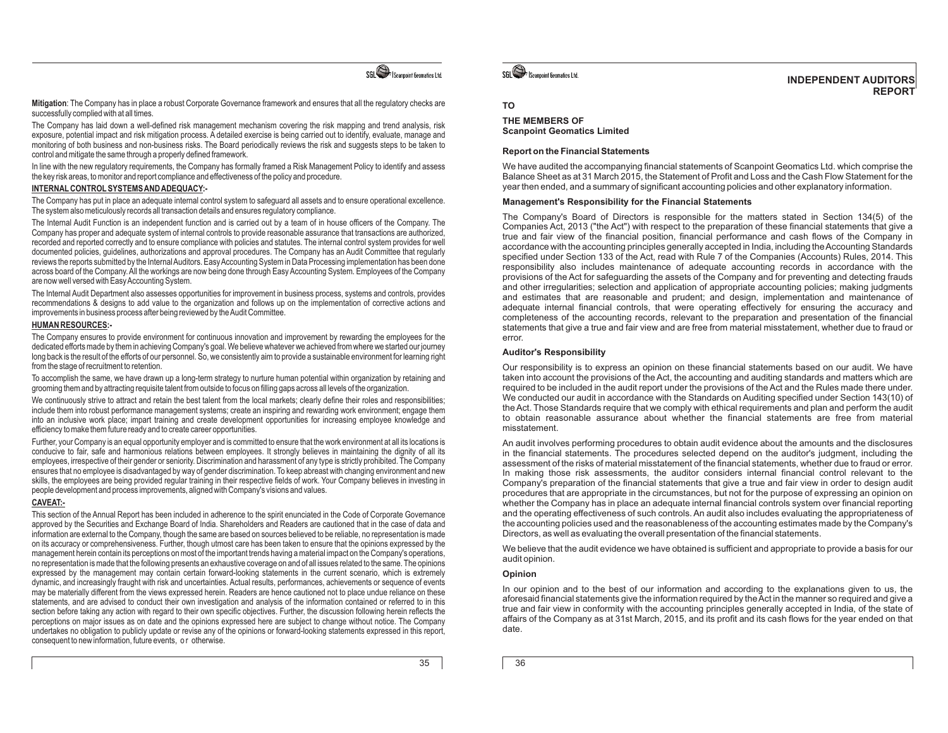

SGL<sup>9</sup> | Seanpoint Geomatics Ltd.

**INDEPENDENT AUDITORSREPORT**

**TO**

**THE MEMBERS OFScanpoint Geomatics Limited**

#### **Report on the Financial Statements**

We have audited the accompanying financial statements of Scanpoint Geomatics Ltd. which comprise the Balance Sheet as at 31 March 2015, the Statement of Profit and Loss and the Cash Flow Statement for the year then ended, and <sup>a</sup> summary of significant accounting policies and other explanatory information.

#### **Management's Responsibility for the Financial Statements**

The Company's Board of Directors is responsible for the matters stated in Section 134(5) of the Companies Act, 2013 ("the Act") with respect to the preparation of these financial statements that give <sup>a</sup> true and fair view of the financial position, financial performance and cash flows of the Company in accordance with the accounting principles generally accepted in India, including theAccounting Standards specified under Section 133 of the Act, read with Rule 7 of the Companies (Accounts) Rules, 2014. This responsibility also includes maintenance of adequate accounting records in accordance with the provisions of the Act for safeguarding the assets of the Company and for preventing and detecting frauds and other irregularities; selection and application of appropriate accounting policies; making judgments and estimates that are reasonable and prudent; and design, implementation and maintenance of adequate internal financial controls, that were operating effectively for ensuring the accuracy and completeness of the accounting records, relevant to the preparation and presentation of the financial statements that give <sup>a</sup> true and fair view and are free from material misstatement, whether due to fraud or error.

#### **Auditor's Responsibility**

Our responsibility is to express an opinion on these financial statements based on our audit. We have taken into account the provisions of the Act, the accounting and auditing standards and matters which are required to be included in the audit report under the provisions of the Act and the Rules made there under. We conducted our audit in accordance with the Standards on Auditing specified under Section 143(10) of the Act. Those Standards require that we comply with ethical requirements and plan and perform the audit to obtain reasonable assurance about whether the financial statements are free from materialmisstatement.

An audit involves performing procedures to obtain audit evidence about the amounts and the disclosures in the financial statements. The procedures selected depend on the auditor's judgment, including the assessment of the risks of material misstatement of the financial statements, whether due to fraud or error. In making those risk assessments, the auditor considers internal financial control relevant to the Company's preparation of the financial statements that give <sup>a</sup> true and fair view in order to design audit procedures that are appropriate in the circumstances, but not for the purpose of expressing an opinion on whether the Company has in place an adequate internal financial controls system over financial reporting and the operating effectiveness of such controls. An audit also includes evaluating the appropriateness of the accounting policies used and the reasonableness of the accounting estimates made by the Company's Directors, as well as evaluating the overall presentation of the financial statements.

We believe that the audit evidence we have obtained is sufficient and appropriate to provide <sup>a</sup> basis for our audit opinion.

#### **Opinion**

In our opinion and to the best of our information and according to the explanations given to us, the aforesaid financial statements give the information required by theAct in the manner so required and give <sup>a</sup> true and fair view in conformity with the accounting principles generally accepted in India, of the state of affairs of the Company as at 31st March, 2015, and its profit and its cash flows for the year ended on that date.

**Mitigation**: The Company has in place <sup>a</sup> robust Corporate Governance framework and ensures that all the regulatory checks are successfully complied with at all times.

The Company has laid down <sup>a</sup> well-defined risk management mechanism covering the risk mapping and trend analysis, risk exposure, potential impact and risk mitigation process. A detailed exercise is being carried out to identify, evaluate, manage and monitoring of both business and non-business risks. The Board periodically reviews the risk and suggests steps to be taken to control and mitigate the same through <sup>a</sup> properly defined framework.

In line with the new regulatory requirements, the Company has formally framed <sup>a</sup> Risk Management Policy to identify and assess the key risk areas, to monitor and report compliance and effectiveness of the policy and procedure.

#### **INTERNAL CONTROL SYSTEMSANDADEQUACY:-**

The Company has put in place an adequate internal control system to safeguard all assets and to ensure operational excellence. The system also meticulously records all transaction details and ensures regulatory compliance.

The Internal Audit Function is an independent function and is carried out by <sup>a</sup> team of in house officers of the Company. The Company has proper and adequate system of internal controls to provide reasonable assurance that transactions are authorized, recorded and reported correctly and to ensure compliance with policies and statutes. The internal control system provides for well documented policies, guidelines, authorizations and approval procedures. The Company has an Audit Committee that regularly reviews the reports submitted by the Internal Auditors. Easy Accounting System in Data Processing implementation has been done across board of the Company. All the workings are now being done through Easy Accounting System. Employees of the Company are now well versed with EasyAccounting System.

The Internal Audit Department also assesses opportunities for improvement in business process, systems and controls, provides recommendations & designs to add value to the organization and follows up on the implementation of corrective actions and improvements in business process after being reviewed by the Audit Committee.

#### **HUMAN RESOURCES:-**

The Company ensures to provide environment for continuous innovation and improvement by rewarding the employees for the dedicated efforts made by them in achieving Company's goal. We believe whatever we achieved from where we started our journey long back is the result of the efforts of our personnel. So, we consistently aim to provide <sup>a</sup> sustainable environment for learning right from the stage of recruitment to retention.

To accomplish the same, we have drawn up <sup>a</sup> long-term strategy to nurture human potential within organization by retaining and grooming them and by attracting requisite talent from outside to focus on filling gaps across all levels of the organization.

We continuously strive to attract and retain the best talent from the local markets; clearly define their roles and responsibilities; include them into robust performance management systems; create an inspiring and rewarding work environment; engage them into an inclusive work place; impart training and create development opportunities for increasing employee knowledge and efficiency to make them future ready and to create career opportunities.

Further, your Company is an equal opportunity employer and is committed to ensure that the work environment at all its locations is conducive to fair, safe and harmonious relations between employees. It strongly believes in maintaining the dignity of all its employees, irrespective of their gender or seniority. Discrimination and harassment of any type is strictly prohibited. The Company ensures that no employee is disadvantaged by way of gender discrimination. To keep abreast with changing environment and new skills, the employees are being provided regular training in their respective fields of work. Your Company believes in investing in people development and process improvements, aligned with Company's visions and values.

#### **CAVEAT:-**

This section of the Annual Report has been included in adherence to the spirit enunciated in the Code of Corporate Governance approved by the Securities and Exchange Board of India. Shareholders and Readers are cautioned that in the case of data and information are external to the Company, though the same are based on sources believed to be reliable, no representation is made on its accuracy or comprehensiveness. Further, though utmost care has been taken to ensure that the opinions expressed by the management herein contain its perceptions on most of the important trends having <sup>a</sup> material impact on the Company's operations, no representation is made that the following presents an exhaustive coverage on and of all issues related to the same. The opinions expressed by the management may contain certain forward-looking statements in the current scenario, which is extremely dynamic, and increasingly fraught with risk and uncertainties. Actual results, performances, achievements or sequence of events may be materially different from the views expressed herein. Readers are hence cautioned not to place undue reliance on these statements, and are advised to conduct their own investigation and analysis of the information contained or referred to in this section before taking any action with regard to their own specific objectives. Further, the discussion following herein reflects the perceptions on major issues as on date and the opinions expressed here are subject to change without notice. The Company undertakes no obligation to publicly update or revise any of the opinions or forward-looking statements expressed in this report, consequent to new information, future events, <sup>o</sup> <sup>r</sup> otherwise.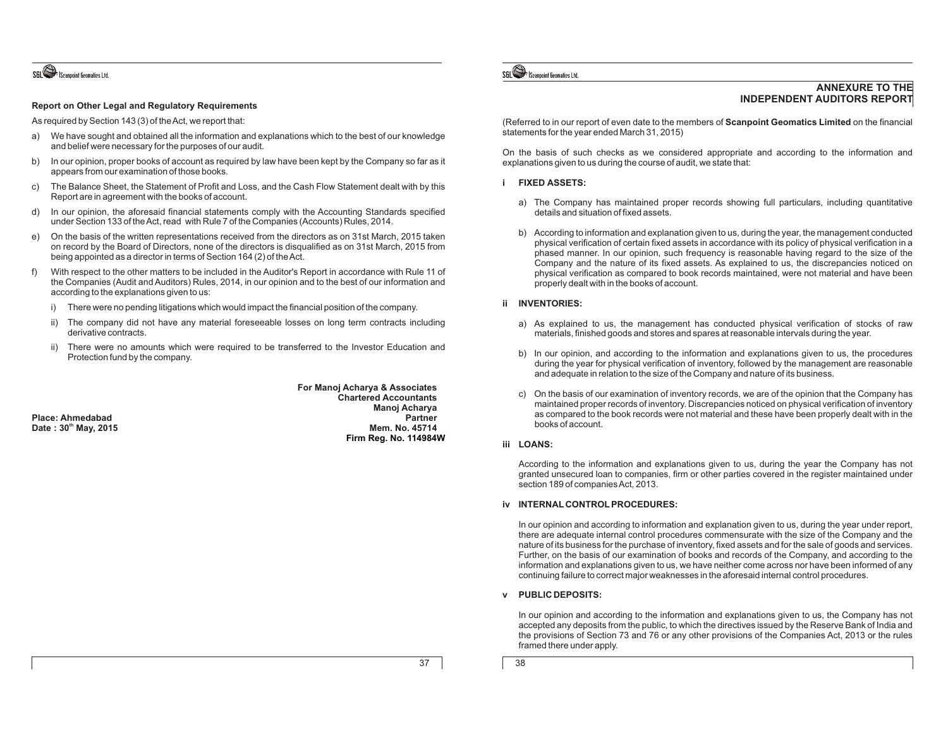

#### **Report on Other Legal and Regulatory Requirements**

As required by Section 143 (3) of theAct, we report that:

- a) We have sought and obtained all the information and explanations which to the best of our knowledge and belief were necessary for the purposes of our audit.
- b) In our opinion, proper books of account as required by law have been kept by the Company so far as it appears from our examination of those books.
- c) The Balance Sheet, the Statement of Profit and Loss, and the Cash Flow Statement dealt with by this Report are in agreement with the books of account.
- d) In our opinion, the aforesaid financial statements comply with the Accounting Standards specified under Section 133 of theAct, read with Rule 7 of the Companies (Accounts) Rules, 2014.
- e) On the basis of the written representations received from the directors as on 31st March, 2015 taken on record by the Board of Directors, none of the directors is disqualified as on 31st March, 2015 from being appointed as <sup>a</sup> director in terms of Section 164 (2) of theAct.
- f) With respect to the other matters to be included in the Auditor's Report in accordance with Rule 11 of the Companies (Audit and Auditors) Rules, 2014, in our opinion and to the best of our information and according to the explanations given to us:
	- i) There were no pending litigations which would impact the financial position of the company.
	- ii) The company did not have any material foreseeable losses on long term contracts including derivative contracts.
	- ii) There were no amounts which were required to be transferred to the Investor Education and Protection fund by the company.

**Place: Ahmedabad**

**For Manoj Acharya & Associates Chartered AccountantsManoj Acharya d** Partner and Partner and Partner **Date : 30 May, 2015 Mem. No. 45714 th Firm Reg. No. 114984W** SGL Seanpoint Geomatics Ltd.

#### **ANNEXURE TO THEINDEPENDENT AUDITORS REPORT**

**(Referred to in our report of even date to the members of <b>Scanpoint Geomatics Limited** on the financial statements for the year ended March 31, 2015)

On the basis of such checks as we considered appropriate and according to the information and explanations given to us during the course of audit, we state that:

#### **i FIXED ASSETS:**

- a) The Company has maintained proper records showing full particulars, including quantitative details and situation of fixed assets.
- b) According to information and explanation given to us, during the year, the management conducted physical verification of certain fixed assets in accordance with its policy of physical verification in <sup>a</sup> phased manner. In our opinion, such frequency is reasonable having regard to the size of the Company and the nature of its fixed assets. As explained to us, the discrepancies noticed on physical verification as compared to book records maintained, were not material and have been properly dealt with in the books of account.

#### **ii INVENTORIES:**

- a) As explained to us, the management has conducted physical verification of stocks of raw materials, finished goods and stores and spares at reasonable intervals during the year.
- b) In our opinion, and according to the information and explanations given to us, the procedures during the year for physical verification of inventory, followed by the management are reasonable and adequate in relation to the size of the Company and nature of its business.
- c) On the basis of our examination of inventory records, we are of the opinion that the Company has maintained proper records of inventory. Discrepancies noticed on physical verification of inventory as compared to the book records were not material and these have been properly dealt with in the books of account.

#### **iii LOANS:**

According to the information and explanations given to us, during the year the Company has not granted unsecured loan to companies, firm or other parties covered in the register maintained under section 189 of companiesAct, 2013.

#### **iv INTERNAL CONTROL PROCEDURES:**

In our opinion and according to information and explanation given to us, during the year under report, there are adequate internal control procedures commensurate with the size of the Company and the nature of its business for the purchase of inventory, fixed assets and for the sale of goods and services. Further, on the basis of our examination of books and records of the Company, and according to the information and explanations given to us, we have neither come across nor have been informed of any continuing failure to correct major weaknesses in the aforesaid internal control procedures.

#### **v PUBLIC DEPOSITS:**

In our opinion and according to the information and explanations given to us, the Company has not accepted any deposits from the public, to which the directives issued by the Reserve Bank of India and the provisions of Section 73 and 76 or any other provisions of the Companies Act, 2013 or the rules framed there under apply.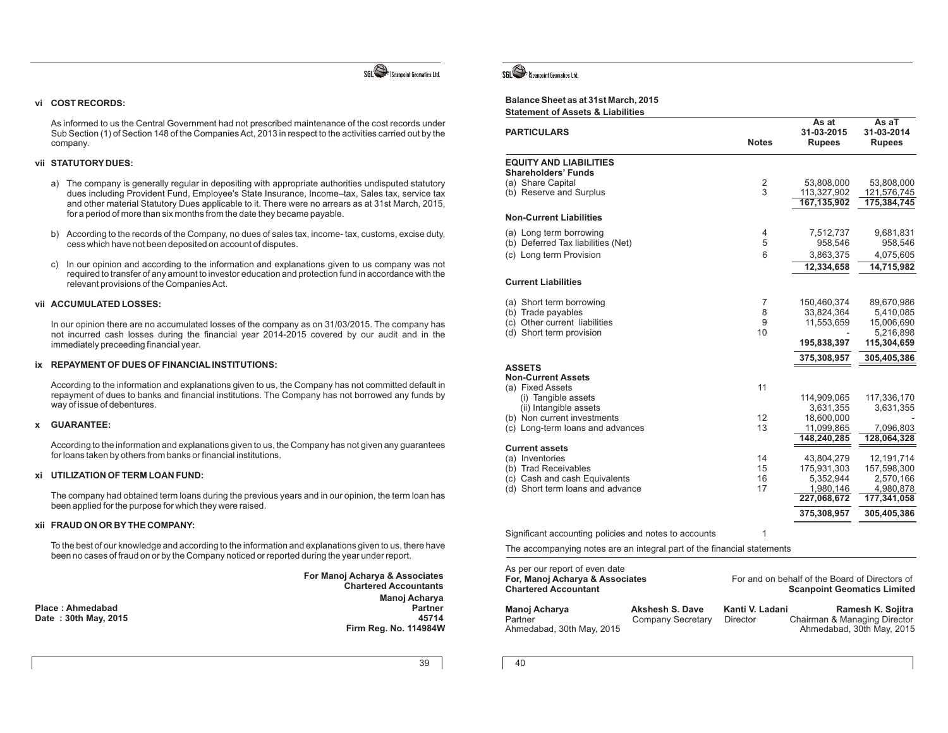SGL<sup>S</sup> Seanpoint Geomatics Ltd

#### **vi COST RECORDS:**

As informed to us the Central Government had not prescribed maintenance of the cost records under Sub Section (1) of Section 148 of the Companies Act, 2013 in respect to the activities carried out by the company.

#### **vii STATUTORY DUES:**

- a) The company is generally regular in depositing with appropriate authorities undisputed statutory dues including Provident Fund, Employee's State Insurance, Income–tax, Sales tax, service tax and other material Statutory Dues applicable to it. There were no arrears as at 31st March, 2015, for <sup>a</sup> period of more than six months from the date they became payable.
- b) According to the records of the Company, no dues of sales tax, income- tax, customs, excise duty, cess which have not been deposited on account of disputes.
- c) In our opinion and according to the information and explanations given to us company was not required to transfer of any amount to investor education and protection fund in accordance with the relevant provisions of the CompaniesAct.

#### **vii ACCUMULATED LOSSES:**

In our opinion there are no accumulated losses of the company as on 31/03/2015. The company has not incurred cash losses during the financial year 2014-2015 covered by our audit and in the immediately preceeding financial year.

#### **ix REPAYMENT OF DUES OF FINANCIAL INSTITUTIONS:**

According to the information and explanations given to us, the Company has not committed default in repayment of dues to banks and financial institutions. The Company has not borrowed any funds by way of issue of debentures.

#### **x GUARANTEE:**

**Place : Ahmedabad**

According to the information and explanations given to us, the Company has not given any guarantees for loans taken by others from banks or financial institutions.

#### **xi UTILIZATION OF TERM LOAN FUND:**

The company had obtained term loans during the previous years and in our opinion, the term loan has been applied for the purpose for which they were raised.

#### **xii FRAUD ON OR BY THE COMPANY:**

To the best of our knowledge and according to the information and explanations given to us, there have been no cases of fraud on or by the Company noticed or reported during the year under report.

**For Manoj Acharya & Associates Chartered AccountantsManoj Acharya d** Partner and Partner and Partner **Date : 30th May, 2015 45714 Firm Reg. No. 114984W**

#### **Balance Sheet as at 31st March, 2015**

**Statement of Assets & Liabilities**

| <b>PARTICULARS</b>                                              | <b>Notes</b>                 | As at<br>31-03-2015<br><b>Rupees</b> | As aT<br>31-03-2014<br><b>Rupees</b> |
|-----------------------------------------------------------------|------------------------------|--------------------------------------|--------------------------------------|
| <b>EQUITY AND LIABILITIES</b>                                   |                              |                                      |                                      |
| <b>Shareholders' Funds</b>                                      |                              |                                      |                                      |
| (a) Share Capital                                               | $\overline{\mathbf{c}}$<br>3 | 53,808,000                           | 53,808,000                           |
| (b) Reserve and Surplus                                         |                              | 113,327,902<br>167,135,902           | 121,576,745<br>175,384,745           |
|                                                                 |                              |                                      |                                      |
| <b>Non-Current Liabilities</b>                                  |                              |                                      |                                      |
| (a) Long term borrowing                                         | 4                            | 7,512,737                            | 9,681,831                            |
| (b) Deferred Tax liabilities (Net)                              | 5                            | 958,546                              | 958,546                              |
| (c) Long term Provision                                         | 6                            | 3,863,375                            | 4,075,605                            |
|                                                                 |                              | 12,334,658                           | 14,715,982                           |
|                                                                 |                              |                                      |                                      |
| <b>Current Liabilities</b>                                      |                              |                                      |                                      |
| (a) Short term borrowing                                        | $\overline{7}$               | 150,460,374                          | 89,670,986                           |
| (b) Trade payables                                              | 8                            | 33,824,364                           | 5,410,085                            |
| (c) Other current liabilities                                   | 9                            | 11,553,659                           | 15,006,690                           |
| (d) Short term provision                                        | 10                           |                                      | 5,216,898                            |
|                                                                 |                              | 195,838,397                          | 115,304,659                          |
|                                                                 |                              | 375,308,957                          | 305,405,386                          |
| <b>ASSETS</b>                                                   |                              |                                      |                                      |
| <b>Non-Current Assets</b>                                       |                              |                                      |                                      |
| (a) Fixed Assets                                                | 11                           |                                      |                                      |
| (i) Tangible assets                                             |                              | 114,909,065                          | 117,336,170                          |
| (ii) Intangible assets                                          |                              | 3,631,355                            | 3,631,355                            |
| (b) Non current investments<br>(c) Long-term loans and advances | 12<br>13                     | 18,600,000<br>11,099,865             | 7,096,803                            |
|                                                                 |                              | 148,240,285                          | 128,064,328                          |
| <b>Current assets</b>                                           |                              |                                      |                                      |
| (a) Inventories                                                 | 14                           | 43,804,279                           | 12,191,714                           |
| (b) Trad Receivables                                            | 15                           | 175,931,303                          | 157,598,300                          |
| (c) Cash and cash Equivalents                                   | 16                           | 5,352,944                            | 2,570,166                            |
| (d) Short term loans and advance                                | 17                           | 1,980,146                            | 4,980,878                            |
|                                                                 |                              | 227,068,672                          | 177,341,058                          |
|                                                                 |                              | 375,308,957                          | 305,405,386                          |
| Cianificant accounting policies and poten to accounte           | $\overline{A}$               |                                      |                                      |

Significant accounting policies and notes to accounts 1

The accompanying notes are an integral part of the financial statements

| As per our report of even date<br>For, Manoj Acharya & Associates<br><b>Chartered Accountant</b> |                                             |                             | For and on behalf of the Board of Directors of<br><b>Scanpoint Geomatics Limited</b> |
|--------------------------------------------------------------------------------------------------|---------------------------------------------|-----------------------------|--------------------------------------------------------------------------------------|
| Manoj Acharya<br>Partner<br>Ahmedabad, 30th May, 2015                                            | <b>Akshesh S. Dave</b><br>Company Secretary | Kanti V. Ladani<br>Director | Ramesh K. Sojitra<br>Chairman & Managing Director<br>Ahmedabad, 30th May, 2015       |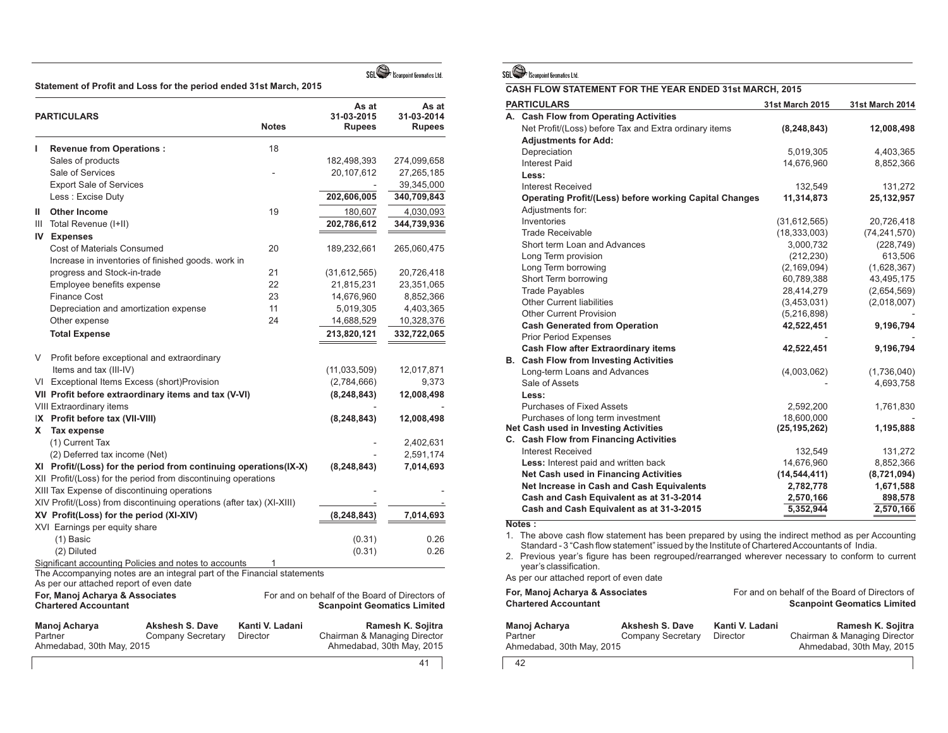| SGL <sup>9</sup>   Scanpoint Geomatics Ltd.<br>Statement of Profit and Loss for the period ended 31st March, 2015     |                             |                                                                                      |                                      |  |
|-----------------------------------------------------------------------------------------------------------------------|-----------------------------|--------------------------------------------------------------------------------------|--------------------------------------|--|
| <b>PARTICULARS</b>                                                                                                    | <b>Notes</b>                | As at<br>31-03-2015<br><b>Rupees</b>                                                 | As at<br>31-03-2014<br><b>Rupees</b> |  |
| <b>Revenue from Operations:</b><br>I.                                                                                 | 18                          |                                                                                      |                                      |  |
| Sales of products                                                                                                     |                             | 182,498,393                                                                          | 274,099,658                          |  |
| Sale of Services                                                                                                      |                             | 20,107,612                                                                           | 27,265,185                           |  |
| <b>Export Sale of Services</b>                                                                                        |                             |                                                                                      | 39,345,000                           |  |
| Less: Excise Duty                                                                                                     |                             | 202,606,005                                                                          | 340,709,843                          |  |
| <b>II</b> Other Income                                                                                                | 19                          | 180,607                                                                              | 4,030,093                            |  |
| III Total Revenue (I+II)                                                                                              |                             | 202,786,612                                                                          | 344,739,936                          |  |
| <b>IV Expenses</b>                                                                                                    |                             |                                                                                      |                                      |  |
| Cost of Materials Consumed                                                                                            | 20                          | 189,232,661                                                                          | 265,060,475                          |  |
| Increase in inventories of finished goods, work in                                                                    |                             |                                                                                      |                                      |  |
| progress and Stock-in-trade                                                                                           | 21                          | (31,612,565)                                                                         | 20,726,418                           |  |
| Employee benefits expense                                                                                             | 22                          | 21,815,231                                                                           | 23,351,065                           |  |
| <b>Finance Cost</b>                                                                                                   | 23                          | 14,676,960                                                                           | 8,852,366                            |  |
| Depreciation and amortization expense                                                                                 | 11                          | 5,019,305                                                                            | 4,403,365                            |  |
| Other expense                                                                                                         | 24                          | 14,688,529                                                                           | 10,328,376                           |  |
| <b>Total Expense</b>                                                                                                  |                             | 213,820,121                                                                          | 332,722,065                          |  |
|                                                                                                                       |                             |                                                                                      |                                      |  |
| V Profit before exceptional and extraordinary                                                                         |                             |                                                                                      |                                      |  |
| Items and tax (III-IV)                                                                                                |                             | (11,033,509)                                                                         | 12,017,871                           |  |
| VI Exceptional Items Excess (short) Provision                                                                         |                             | (2,784,666)                                                                          | 9,373                                |  |
| VII Profit before extraordinary items and tax (V-VI)                                                                  |                             | (8, 248, 843)                                                                        | 12,008,498                           |  |
| <b>VIII Extraordinary items</b>                                                                                       |                             |                                                                                      |                                      |  |
| IX Profit before tax (VII-VIII)                                                                                       |                             | (8, 248, 843)                                                                        | 12,008,498                           |  |
| X Tax expense                                                                                                         |                             |                                                                                      |                                      |  |
| (1) Current Tax                                                                                                       |                             |                                                                                      | 2,402,631                            |  |
| (2) Deferred tax income (Net)                                                                                         |                             |                                                                                      | 2,591,174                            |  |
| XI Profit/(Loss) for the period from continuing operations(IX-X)                                                      |                             | (8, 248, 843)                                                                        | 7,014,693                            |  |
| XII Profit/(Loss) for the period from discontinuing operations                                                        |                             |                                                                                      |                                      |  |
| XIII Tax Expense of discontinuing operations<br>XIV Profit/(Loss) from discontinuing operations (after tax) (XI-XIII) |                             |                                                                                      |                                      |  |
| XV Profit(Loss) for the period (XI-XIV)                                                                               |                             | (8, 248, 843)                                                                        | 7,014,693                            |  |
| XVI Earnings per equity share                                                                                         |                             |                                                                                      |                                      |  |
| (1) Basic                                                                                                             |                             | (0.31)                                                                               | 0.26                                 |  |
| (2) Diluted                                                                                                           |                             | (0.31)                                                                               | 0.26                                 |  |
| Significant accounting Policies and notes to accounts                                                                 |                             |                                                                                      |                                      |  |
| The Accompanying notes are an integral part of the Financial statements<br>As per our attached report of even date    |                             |                                                                                      |                                      |  |
| For, Manoj Acharya & Associates<br><b>Chartered Accountant</b>                                                        |                             | For and on behalf of the Board of Directors of<br><b>Scanpoint Geomatics Limited</b> |                                      |  |
| Akshesh S. Dave<br>Manoj Acharya<br>Partner<br>Company Secretary<br>Ahmedabad, 30th May, 2015                         | Kanti V. Ladani<br>Director | Chairman & Managing Director<br>Ahmedabad, 30th May, 2015                            | Ramesh K. Sojitra                    |  |
|                                                                                                                       |                             |                                                                                      |                                      |  |

## SGL<sup>S</sup> | Seanpoint Geomatics Ltd.

| <b>PARTICULARS</b>                                            | 31st March 2015 | <b>31st March 2014</b> |
|---------------------------------------------------------------|-----------------|------------------------|
| A. Cash Flow from Operating Activities                        |                 |                        |
| Net Profit/(Loss) before Tax and Extra ordinary items         | (8, 248, 843)   | 12,008,498             |
| <b>Adjustments for Add:</b>                                   |                 |                        |
| Depreciation                                                  | 5,019,305       | 4,403,365              |
| <b>Interest Paid</b>                                          | 14,676,960      | 8,852,366              |
| Less:                                                         |                 |                        |
| <b>Interest Received</b>                                      | 132.549         | 131.272                |
| <b>Operating Profit/(Less) before working Capital Changes</b> | 11,314,873      | 25,132,957             |
| Adjustments for:                                              |                 |                        |
| Inventories                                                   | (31,612,565)    | 20,726,418             |
| <b>Trade Receivable</b>                                       | (18, 333, 003)  | (74, 241, 570)         |
| Short term Loan and Advances                                  | 3,000,732       | (228, 749)             |
| Long Term provision                                           | (212, 230)      | 613,506                |
| Long Term borrowing                                           | (2, 169, 094)   | (1,628,367)            |
| Short Term borrowing                                          | 60,789,388      | 43,495,175             |
| <b>Trade Payables</b>                                         | 28,414,279      | (2,654,569)            |
| Other Current liabilities                                     | (3,453,031)     | (2,018,007)            |
| Other Current Provision                                       | (5,216,898)     |                        |
| <b>Cash Generated from Operation</b>                          | 42,522,451      | 9,196,794              |
| <b>Prior Period Expenses</b>                                  |                 |                        |
| <b>Cash Flow after Extraordinary items</b>                    | 42,522,451      | 9,196,794              |
| <b>B.</b> Cash Flow from Investing Activities                 |                 |                        |
| Long-term Loans and Advances                                  | (4,003,062)     | (1,736,040)            |
| Sale of Assets                                                |                 | 4,693,758              |
| Less:                                                         |                 |                        |
| <b>Purchases of Fixed Assets</b>                              | 2,592,200       | 1,761,830              |
| Purchases of long term investment                             | 18,600,000      |                        |
| <b>Net Cash used in Investing Activities</b>                  | (25, 195, 262)  | 1,195,888              |
| C. Cash Flow from Financing Activities                        |                 |                        |
| <b>Interest Received</b>                                      | 132,549         | 131,272                |
| Less: Interest paid and written back                          | 14,676,960      | 8,852,366              |
| <b>Net Cash used in Financing Activities</b>                  | (14, 544, 411)  | (8,721,094)            |
| Net Increase in Cash and Cash Equivalents                     | 2,782,778       | 1,671,588              |
| Cash and Cash Equivalent as at 31-3-2014                      | 2,570,166       | 898,578                |
| Cash and Cash Equivalent as at 31-3-2015                      | 5,352,944       | 2,570,166              |

**Notes :**

1. The above cash flow statement has been prepared by using the indirect method as per Accounting Standard - 3 "Cash flow statement" issued by the Institute of CharteredAccountants of India.

2. Previous year's figure has been regrouped/rearranged wherever necessary to conform to current year's classification.

As per our attached report of even date

| For, Manoj Acharya & Associates<br><b>Chartered Accountant</b> |                                      |                             | For and on behalf of the Board of Directors of<br><b>Scanpoint Geomatics Limited</b> |
|----------------------------------------------------------------|--------------------------------------|-----------------------------|--------------------------------------------------------------------------------------|
| Manoj Acharya<br>Partner<br>Ahmedabad, 30th May, 2015          | Akshesh S. Dave<br>Company Secretary | Kanti V. Ladani<br>Director | Ramesh K. Sojitra<br>Chairman & Managing Director<br>Ahmedabad, 30th May, 2015       |
| 42                                                             |                                      |                             |                                                                                      |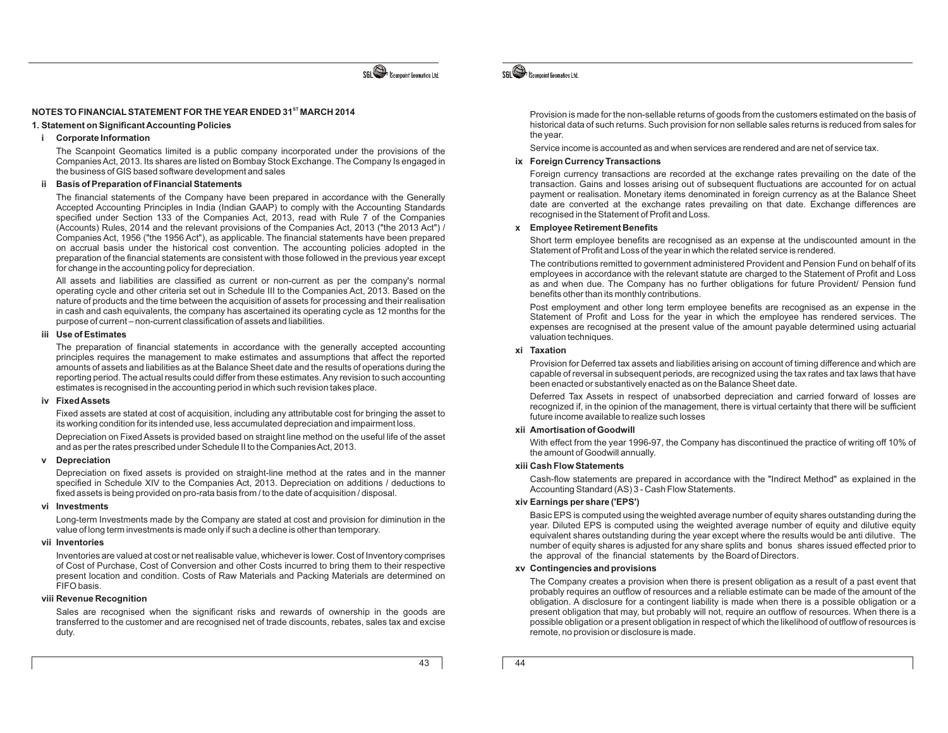

#### **NOTES TO FINANCIAL STATEMENT FOR THE YEAR ENDED 31 MARCH 2014 ST**

#### **1. Statement on SignificantAccounting Policies**

#### **i Corporate Information**

The Scanpoint Geomatics limited is <sup>a</sup> public company incorporated under the provisions of the CompaniesAct, 2013. Its shares are listed on Bombay Stock Exchange. The Company Is engaged in the business of GIS based software development and sales

#### **ii Basis of Preparation of Financial Statements**

The financial statements of the Company have been prepared in accordance with the Generally Accepted Accounting Principles in India (Indian GAAP) to comply with the Accounting Standards specified under Section 133 of the Companies Act, 2013, read with Rule 7 of the Companies (Accounts) Rules, 2014 and the relevant provisions of the Companies Act, 2013 ("the 2013 Act") / Companies Act, 1956 ("the 1956 Act"), as applicable. The financial statements have been prepared on accrual basis under the historical cost convention. The accounting policies adopted in the preparation of the financial statements are consistent with those followed in the previous year except for change in the accounting policy for depreciation.

All assets and liabilities are classified as current or non-current as per the company's normal operating cycle and other criteria set out in Schedule III to the Companies Act, 2013. Based on the nature of products and the time between the acquisition of assets for processing and their realisation in cash and cash equivalents, the company has ascertained its operating cycle as 12 months for the purpose of current – non-current classification of assets and liabilities.

#### **iii Use of Estimates**

The preparation of financial statements in accordance with the generally accepted accounting principles requires the management to make estimates and assumptions that affect the reported amounts of assets and liabilities as at the Balance Sheet date and the results of operations during the reporting period. The actual results could differ from these estimates.Any revision to such accounting estimates is recognised in the accounting period in which such revision takes place.

#### **iv FixedAssets**

Fixed assets are stated at cost of acquisition, including any attributable cost for bringing the asset to its working condition for its intended use, less accumulated depreciation and impairment loss.

Depreciation on Fixed Assets is provided based on straight line method on the useful life of the asset and as per the rates prescribed under Schedule II to the CompaniesAct, 2013.

#### **<sup>v</sup> Depreciation**

Depreciation on fixed assets is provided on straight-line method at the rates and in the manner specified in Schedule XIV to the Companies Act, 2013. Depreciation on additions / deductions to fixed assets is being provided on pro-rata basis from / to the date of acquisition / disposal.

#### **vi Investments**

Long-term Investments made by the Company are stated at cost and provision for diminution in the value of long term investments is made only if such <sup>a</sup> decline is other than temporary.

#### **vii Inventories**

Inventories are valued at cost or net realisable value, whichever is lower. Cost of Inventory comprises of Cost of Purchase, Cost of Conversion and other Costs incurred to bring them to their respective present location and condition. Costs of Raw Materials and Packing Materials are determined on FIFO basis.

#### **viii Revenue Recognition**

Sales are recognised when the significant risks and rewards of ownership in the goods are transferred to the customer and are recognised net of trade discounts, rebates, sales tax and excise duty.

Provision is made for the non-sellable returns of goods from the customers estimated on the basis of historical data of such returns. Such provision for non sellable sales returns is reduced from sales for the year.

Service income is accounted as and when services are rendered and are net of service tax.

#### **ix Foreign Currency Transactions**

Foreign currency transactions are recorded at the exchange rates prevailing on the date of the transaction. Gains and losses arising out of subsequent fluctuations are accounted for on actual payment or realisation. Monetary items denominated in foreign currency as at the Balance Sheet date are converted at the exchange rates prevailing on that date. Exchange differences are recognised in the Statement of Profit and Loss.

#### **<sup>x</sup> Employee Retirement Benefits**

Short term employee benefits are recognised as an expense at the undiscounted amount in the Statement of Profit and Loss of the year in which the related service is rendered.

The contributions remitted to government administered Provident and Pension Fund on behalf of its employees in accordance with the relevant statute are charged to the Statement of Profit and Loss as and when due. The Company has no further obligations for future Provident/ Pension fund benefits other than its monthly contributions.

Post employment and other long term employee benefits are recognised as an expense in the Statement of Profit and Loss for the year in which the employee has rendered services. The expenses are recognised at the present value of the amount payable determined using actuarial valuation techniques.

#### **xi Taxation**

Provision for Deferred tax assets and liabilities arising on account of timing difference and which are capable of reversal in subsequent periods, are recognized using the tax rates and tax laws that have been enacted or substantively enacted as on the Balance Sheet date.

Deferred Tax Assets in respect of unabsorbed depreciation and carried forward of losses are recognized if, in the opinion of the management, there is virtual certainty that there will be sufficient future income available to realize such losses

#### **xii Amortisation of Goodwill**

With effect from the year 1996-97, the Company has discontinued the practice of writing off 10% of the amount of Goodwill annually.

#### **xiii Cash Flow Statements**

Cash-flow statements are prepared in accordance with the "Indirect Method" as explained in the Accounting Standard (AS) 3 - Cash Flow Statements.

#### **xiv Earnings per share ('EPS')**

Basic EPS is computed using the weighted average number of equity shares outstanding during the year. Diluted EPS is computed using the weighted average number of equity and dilutive equity equivalent shares outstanding during the year except where the results would be anti dilutive. The number of equity shares is adjusted for any share splits and bonus shares issued effected prior to the approval of the financial statements by the Board of Directors.

#### **xv Contingencies and provisions**

The Company creates <sup>a</sup> provision when there is present obligation as <sup>a</sup> result of <sup>a</sup> past event that probably requires an outflow of resources and <sup>a</sup> reliable estimate can be made of the amount of the obligation. A disclosure for <sup>a</sup> contingent liability is made when there is <sup>a</sup> possible obligation or <sup>a</sup> present obligation that may, but probably will not, require an outflow of resources. When there is <sup>a</sup> possible obligation or <sup>a</sup> present obligation in respect of which the likelihood of outflow of resources is remote, no provision or disclosure is made.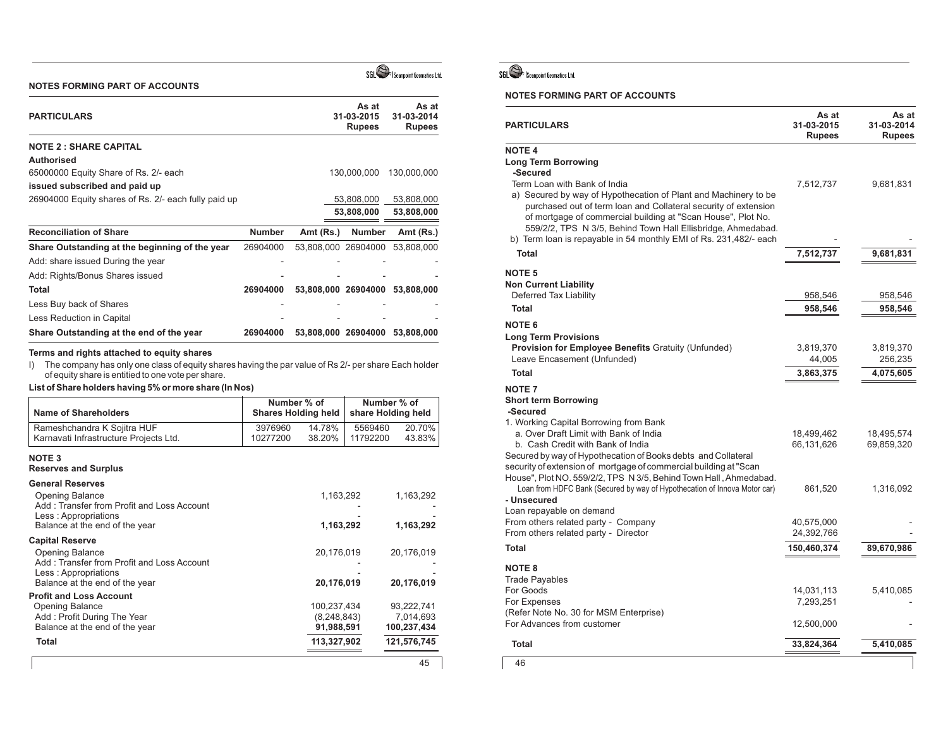|                                                      |               |           |                                      | Seanpoint Geomatics Ltd.             |
|------------------------------------------------------|---------------|-----------|--------------------------------------|--------------------------------------|
| <b>NOTES FORMING PART OF ACCOUNTS</b>                |               |           |                                      |                                      |
| <b>PARTICULARS</b>                                   |               |           | As at<br>31-03-2015<br><b>Rupees</b> | As at<br>31-03-2014<br><b>Rupees</b> |
| <b>NOTE 2: SHARE CAPITAL</b>                         |               |           |                                      |                                      |
| <b>Authorised</b>                                    |               |           |                                      |                                      |
| 65000000 Equity Share of Rs. 2/- each                |               |           | 130,000,000                          | 130,000,000                          |
| issued subscribed and paid up                        |               |           |                                      |                                      |
| 26904000 Equity shares of Rs. 2/- each fully paid up |               |           | 53,808,000                           | 53,808,000                           |
|                                                      |               |           | 53,808,000                           | 53,808,000                           |
| <b>Reconciliation of Share</b>                       | <b>Number</b> | Amt (Rs.) | <b>Number</b>                        | Amt (Rs.)                            |
| Share Outstanding at the beginning of the year       | 26904000      |           | 53,808,000 26904000                  | 53.808.000                           |
| Add: share issued During the year                    |               |           |                                      |                                      |
| Add: Rights/Bonus Shares issued                      |               |           |                                      |                                      |
| Total                                                | 26904000      |           | 53,808,000 26904000                  | 53,808,000                           |
| Less Buy back of Shares                              |               |           |                                      |                                      |
| Less Reduction in Capital                            |               |           |                                      |                                      |
| Share Outstanding at the end of the year             | 26904000      |           | 53,808,000 26904000                  | 53,808,000                           |

#### **Terms and rights attached to equity shares**

I) The company has only one class of equity shares having the par value of Rs 2/- per share Each holder of equity share is entitied to one vote per share.

## **List of Share holders having 5% or more share (In Nos)**

| Name of Shareholders                   | Number % of<br>Shares Holding held |        | Number % of<br>share Holding held |        |
|----------------------------------------|------------------------------------|--------|-----------------------------------|--------|
| Rameshchandra K Sojitra HUF            | 3976960                            | 14.78% | 5569460                           | 20.70% |
| Karnavati Infrastructure Projects Ltd. | 10277200                           | 38.20% | 11792200                          | 43.83% |

## **NOTE 3**

### **Reserves and Surplus**

| <b>General Reserves</b>                                              |               |             |              |
|----------------------------------------------------------------------|---------------|-------------|--------------|
| <b>Opening Balance</b><br>Add: Transfer from Profit and Loss Account | 1,163,292     | 1,163,292   | Lo<br>- Uns  |
| Less: Appropriations                                                 |               |             | Loan         |
| Balance at the end of the year                                       | 1,163,292     | 1,163,292   | From         |
|                                                                      |               |             | From         |
| <b>Capital Reserve</b>                                               |               |             | <b>Total</b> |
| Opening Balance                                                      | 20.176.019    | 20.176.019  |              |
| Add: Transfer from Profit and Loss Account                           |               |             | <b>NOTE</b>  |
| Less: Appropriations                                                 |               |             | Trade        |
| Balance at the end of the year                                       | 20,176,019    | 20,176,019  | For G        |
| <b>Profit and Loss Account</b>                                       |               |             |              |
| Opening Balance                                                      | 100.237.434   | 93.222.741  | For E        |
| Add: Profit During The Year                                          | (8, 248, 843) | 7.014.693   | (Refe        |
| Balance at the end of the year                                       | 91,988,591    | 100,237,434 | For A        |
| <b>Total</b>                                                         | 113.327.902   | 121.576.745 | Tota         |
|                                                                      |               | 45          | 46           |
|                                                                      |               |             |              |

## SGL Seanpoint Geomatics Ltd.

#### **NOTES FORMING PART OF ACCOUNTS**

| <b>PARTICULARS</b>                                                                                                                                                                                                                                                                                                                      | As at<br>31-03-2015<br><b>Rupees</b> | As at<br>31-03-2014<br><b>Rupees</b> |
|-----------------------------------------------------------------------------------------------------------------------------------------------------------------------------------------------------------------------------------------------------------------------------------------------------------------------------------------|--------------------------------------|--------------------------------------|
| <b>NOTE 4</b>                                                                                                                                                                                                                                                                                                                           |                                      |                                      |
| <b>Long Term Borrowing</b>                                                                                                                                                                                                                                                                                                              |                                      |                                      |
| -Secured<br>Term Loan with Bank of India                                                                                                                                                                                                                                                                                                | 7,512,737                            | 9,681,831                            |
| a) Secured by way of Hypothecation of Plant and Machinery to be<br>purchased out of term loan and Collateral security of extension<br>of mortgage of commercial building at "Scan House", Plot No.<br>559/2/2, TPS N 3/5, Behind Town Hall Ellisbridge, Ahmedabad.<br>b) Term loan is repayable in 54 monthly EMI of Rs. 231,482/- each |                                      |                                      |
| Total                                                                                                                                                                                                                                                                                                                                   | 7,512,737                            | 9,681,831                            |
| <b>NOTE 5</b>                                                                                                                                                                                                                                                                                                                           |                                      |                                      |
| <b>Non Current Liability</b>                                                                                                                                                                                                                                                                                                            |                                      |                                      |
| Deferred Tax Liability                                                                                                                                                                                                                                                                                                                  | 958,546                              | 958,546                              |
| <b>Total</b>                                                                                                                                                                                                                                                                                                                            | 958,546                              | 958,546                              |
| <b>NOTE 6</b>                                                                                                                                                                                                                                                                                                                           |                                      |                                      |
| <b>Long Term Provisions</b>                                                                                                                                                                                                                                                                                                             |                                      |                                      |
| <b>Provision for Employee Benefits Gratuity (Unfunded)</b>                                                                                                                                                                                                                                                                              | 3,819,370                            | 3,819,370                            |
| Leave Encasement (Unfunded)                                                                                                                                                                                                                                                                                                             | 44,005                               | 256,235                              |
| <b>Total</b>                                                                                                                                                                                                                                                                                                                            | 3,863,375                            | 4,075,605                            |
| <b>NOTE 7</b><br><b>Short term Borrowing</b><br>-Secured                                                                                                                                                                                                                                                                                |                                      |                                      |
| 1. Working Capital Borrowing from Bank                                                                                                                                                                                                                                                                                                  |                                      |                                      |
| a. Over Draft Limit with Bank of India                                                                                                                                                                                                                                                                                                  | 18,499,462                           | 18,495,574                           |
| b. Cash Credit with Bank of India<br>Secured by way of Hypothecation of Books debts and Collateral<br>security of extension of mortgage of commercial building at "Scan<br>House", Plot NO. 559/2/2, TPS N 3/5, Behind Town Hall, Ahmedabad.                                                                                            | 66,131,626                           | 69,859,320                           |
| Loan from HDFC Bank (Secured by way of Hypothecation of Innova Motor car)<br>- Unsecured                                                                                                                                                                                                                                                | 861,520                              | 1,316,092                            |
| Loan repayable on demand                                                                                                                                                                                                                                                                                                                |                                      |                                      |
| From others related party - Company<br>From others related party - Director                                                                                                                                                                                                                                                             | 40,575,000<br>24,392,766             |                                      |
| Total                                                                                                                                                                                                                                                                                                                                   | 150,460,374                          | 89,670,986                           |
|                                                                                                                                                                                                                                                                                                                                         |                                      |                                      |
| <b>NOTE 8</b>                                                                                                                                                                                                                                                                                                                           |                                      |                                      |
| <b>Trade Payables</b><br>For Goods                                                                                                                                                                                                                                                                                                      | 14,031,113                           | 5,410,085                            |
| For Expenses                                                                                                                                                                                                                                                                                                                            | 7,293,251                            |                                      |
| (Refer Note No. 30 for MSM Enterprise)<br>For Advances from customer                                                                                                                                                                                                                                                                    | 12,500,000                           |                                      |
| Total                                                                                                                                                                                                                                                                                                                                   | 33,824,364                           | 5,410,085                            |
| 46                                                                                                                                                                                                                                                                                                                                      |                                      |                                      |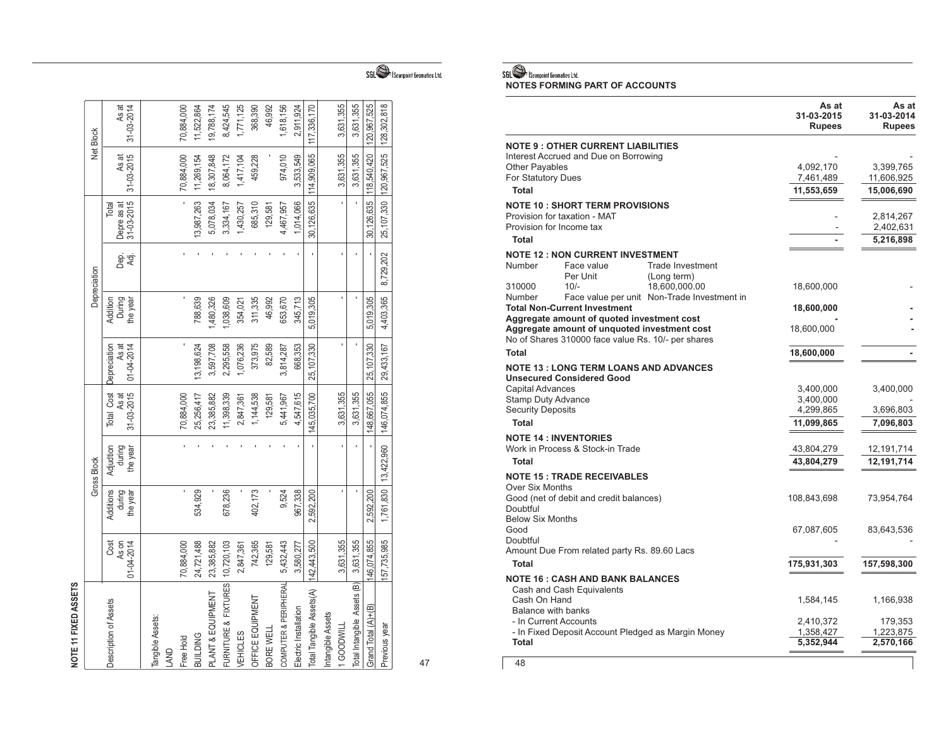| NOTE 11 FIXED ASSETS                                               |                             |                                                            |                                 |                                            |                                            |                                           |                   |                                          |                               |                     |
|--------------------------------------------------------------------|-----------------------------|------------------------------------------------------------|---------------------------------|--------------------------------------------|--------------------------------------------|-------------------------------------------|-------------------|------------------------------------------|-------------------------------|---------------------|
|                                                                    |                             |                                                            | Gross Block                     |                                            |                                            |                                           | Depreciation      |                                          |                               | Net Block           |
| Description of Assets                                              | Cost<br>01-04-2014<br>As on | Additions<br>during<br>the year                            | Adjudtion<br>during<br>the year | As at<br>31-03-2015<br>Total Cost          | As at<br>01-04-2014<br><b>Depreciation</b> | During<br>Addition<br>the year            | Dep.i             | $31 - 03 - 2015$<br>Depre as at<br>Total | As at<br>31-03-2015           | As at<br>31-03-2014 |
| Tangible Assets:                                                   |                             |                                                            |                                 |                                            |                                            |                                           |                   |                                          |                               |                     |
| LAND                                                               |                             |                                                            |                                 |                                            |                                            |                                           |                   |                                          |                               |                     |
| Free Hold                                                          | 70,884,000                  |                                                            |                                 | 70,884,000                                 |                                            |                                           |                   |                                          | 70,884,000                    | 70,884,000          |
| BUILDING                                                           | 24,721,488                  | 534,929                                                    |                                 | 25,256,417                                 | 13, 198, 624                               | 788,639                                   |                   | 13,987,263                               | 11,269,154                    | 11,522,864          |
| PLANT & EQUIPMENT                                                  | 23,385,882                  |                                                            |                                 | 23,385,882                                 | 3,597,708                                  | ,480,326                                  |                   | 5,078,034                                | 18,307,848                    | 19,788,174          |
| FURNITURE & FIXTURES                                               | 10,720,103                  | 678,236                                                    |                                 | 11,398,339                                 | 2,295,558                                  | 1,038,609                                 |                   | 3,334,167                                | 8,064,172                     | 8,424,545           |
| VEHICLES                                                           | 2,847,361                   |                                                            |                                 | 2,847,361                                  | 1,076,236                                  | 354,021                                   |                   | 1,430,257                                | 1,417,104                     | 1,771,125           |
| OFFICE EQUIPMENT                                                   | 742,365                     | 402,173                                                    |                                 | 1,144,538                                  | 373,975                                    | 311,335                                   |                   | 685,310                                  | 459,228                       | 368,390             |
| BORE WELL                                                          | 129,581                     |                                                            |                                 | 129,581                                    | 82,589                                     | 46,992                                    |                   | 129,581                                  |                               | 46,992              |
| COMPUTER & PERIPHERAL                                              | 5,432,443                   | 9,524                                                      |                                 | 5,441,967                                  | 3,814,287                                  | 653,670                                   |                   | 4,467,957                                | 974,010                       | 1,618,156           |
| Electric Installation                                              | 3,580,277                   | 967,338                                                    |                                 | 4,547,615                                  | 668,353                                    | 345,713                                   |                   | 1,014,066                                | 3,533,549                     | 2,911,924           |
| Total Tangible Assets(A)                                           | 142,443,500                 | 2,592,200                                                  |                                 | 145,035,700                                | 25,107,330                                 | 5,019,305                                 |                   | 30, 126, 635                             | 114,909,065                   | 117,336,170         |
| ntangible Assets                                                   |                             |                                                            |                                 |                                            |                                            |                                           |                   |                                          |                               |                     |
| 1 GOODWILL                                                         | 3,631,355                   |                                                            |                                 | 3,631,355                                  |                                            |                                           |                   |                                          | 3,631,355                     | 3,631,355           |
| Total Intangible Assets (B)                                        | 3,631,355                   |                                                            |                                 | 3,631,355                                  |                                            |                                           |                   |                                          | 3,631,355                     | 3,631,355           |
| Grand Total (A)+(B)                                                | 46,074,855                  | 2.592.200                                                  |                                 | 148,667,055                                | 25,107,330                                 | 5,019,305                                 |                   | 30,126,635                               | 118,540,420                   | 120,967,525         |
| Previous year                                                      | 57,735,985                  | 1,761,830                                                  | 13,422,960                      | 146,074,855                                | 29,433,167                                 | 4,403,365                                 | 8,729,202         | 25,107,330                               | 20,967,525                    | 128,302,818         |
| 47                                                                 |                             |                                                            |                                 |                                            |                                            |                                           |                   |                                          |                               |                     |
| NOT<br>Ca<br>Ca<br>Ca<br>Bal<br>In<br>In<br>Tot<br>$\overline{48}$ | Tot                         | NOT<br>Over<br>Good<br>Dout<br>Belo<br>Good<br>Dout<br>Amo | NOT<br>Work<br>Tot              | NOT<br>Unse<br>Capi<br>Stam<br>Secu<br>Tot | Tota                                       | 3100<br>Num<br>Tota<br>Agg<br>Agg<br>No o | <b>NOT</b><br>Num | <b>NOT</b><br>Prov<br>Prov<br>Tot        | Inter<br>Othe<br>Por S<br>Tot | <b>NOT</b>          |

# SGL Scanpoint Geomatics Ltd.

**NOTES FORMING PART OF ACCOUNTS**

|                                                             |                                                              | As at<br>31-03-2015<br><b>Rupees</b> | As at<br>31-03-2014<br><b>Rupees</b> |
|-------------------------------------------------------------|--------------------------------------------------------------|--------------------------------------|--------------------------------------|
| <b>NOTE 9 : OTHER CURRENT LIABILITIES</b>                   |                                                              |                                      |                                      |
| Interest Accrued and Due on Borrowing                       |                                                              |                                      |                                      |
| <b>Other Payables</b>                                       |                                                              | 4,092,170                            | 3,399,765                            |
| For Statutory Dues                                          |                                                              | 7,461,489                            | 11,606,925                           |
| <b>Total</b>                                                |                                                              | 11,553,659                           | 15,006,690                           |
| <b>NOTE 10: SHORT TERM PROVISIONS</b>                       |                                                              |                                      |                                      |
| Provision for taxation - MAT                                |                                                              |                                      | 2,814,267                            |
| Provision for Income tax                                    |                                                              |                                      | 2,402,631                            |
| Total                                                       |                                                              |                                      | 5,216,898                            |
| <b>NOTE 12 : NON CURRENT INVESTMENT</b>                     |                                                              |                                      |                                      |
| Number<br>Face value                                        | Trade Investment                                             |                                      |                                      |
| Per Unit                                                    | (Long term)                                                  |                                      |                                      |
| $10/-$<br>310000<br>Number                                  | 18,600,000.00<br>Face value per unit Non-Trade Investment in | 18,600,000                           |                                      |
| <b>Total Non-Current Investment</b>                         |                                                              | 18,600,000                           |                                      |
| Aggregate amount of quoted investment cost                  |                                                              |                                      |                                      |
| Aggregate amount of unquoted investment cost                |                                                              | 18,600,000                           |                                      |
| No of Shares 310000 face value Rs. 10/- per shares          |                                                              |                                      |                                      |
| Total                                                       |                                                              | 18,600,000                           |                                      |
| <b>NOTE 13 : LONG TERM LOANS AND ADVANCES</b>               |                                                              |                                      |                                      |
| <b>Unsecured Considered Good</b>                            |                                                              |                                      |                                      |
| <b>Capital Advances</b>                                     |                                                              | 3,400,000                            | 3,400,000                            |
| Stamp Duty Advance                                          |                                                              | 3,400,000                            |                                      |
| <b>Security Deposits</b>                                    |                                                              | 4,299,865                            | 3,696,803                            |
| <b>Total</b>                                                |                                                              | 11,099,865                           | 7,096,803                            |
| <b>NOTE 14 : INVENTORIES</b>                                |                                                              |                                      |                                      |
| Work in Process & Stock-in Trade                            |                                                              | 43,804,279                           | 12,191,714                           |
| <b>Total</b>                                                |                                                              | 43,804,279                           | 12,191,714                           |
| <b>NOTE 15: TRADE RECEIVABLES</b>                           |                                                              |                                      |                                      |
| <b>Over Six Months</b>                                      |                                                              |                                      |                                      |
| Good (net of debit and credit balances)                     |                                                              | 108,843,698                          | 73,954,764                           |
| Doubtful<br><b>Below Six Months</b>                         |                                                              |                                      |                                      |
| Good                                                        |                                                              | 67,087,605                           | 83,643,536                           |
| Doubtful                                                    |                                                              |                                      |                                      |
| Amount Due From related party Rs. 89.60 Lacs                |                                                              |                                      |                                      |
| <b>Total</b>                                                |                                                              | 175,931,303                          | 157,598,300                          |
| <b>NOTE 16 : CASH AND BANK BALANCES</b>                     |                                                              |                                      |                                      |
| Cash and Cash Equivalents                                   |                                                              |                                      |                                      |
| Cash On Hand                                                |                                                              | 1,584,145                            | 1,166,938                            |
| <b>Balance with banks</b>                                   |                                                              |                                      |                                      |
| - In Current Accounts                                       |                                                              | 2,410,372                            | 179,353                              |
| - In Fixed Deposit Account Pledged as Margin Money<br>Total |                                                              | 1,358,427<br>5,352,944               | 1,223,875<br>2,570,166               |
|                                                             |                                                              |                                      |                                      |

SGL<sup>S</sup> |Scanpoint Geomatics Ltd.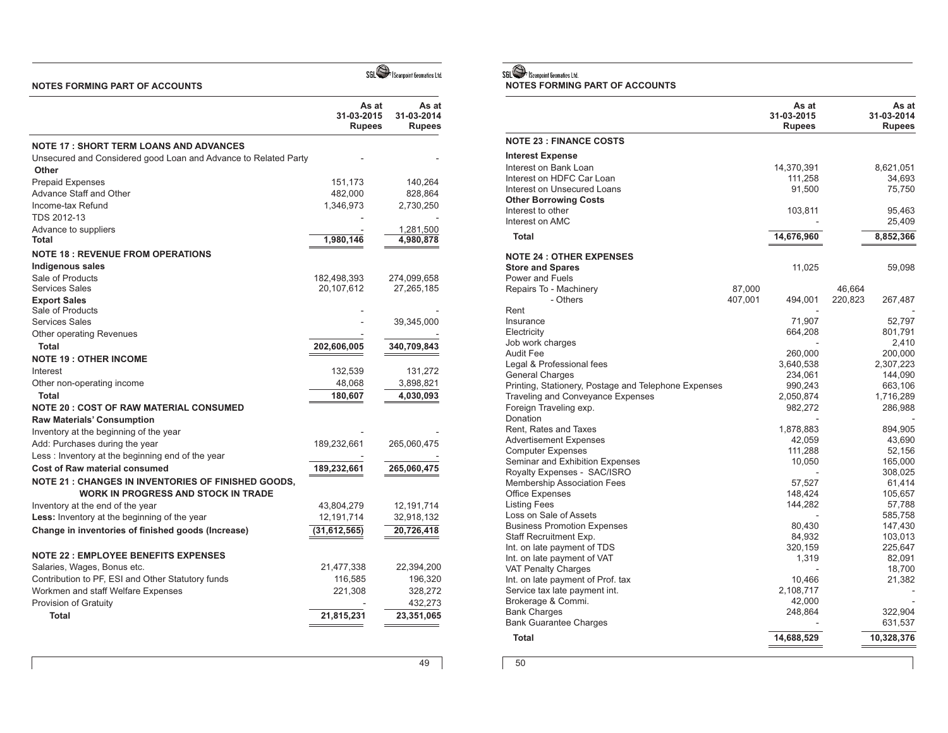| <b>NOTE 17 : SHORT TERM LOANS AND ADVANCES</b><br>Unsecured and Considered good Loan and Advance to Related Party<br><b>Other</b> | As at<br>31-03-2015<br><b>Rupees</b> | As at<br>31-03-2014<br><b>Rupees</b> |
|-----------------------------------------------------------------------------------------------------------------------------------|--------------------------------------|--------------------------------------|
|                                                                                                                                   |                                      |                                      |
|                                                                                                                                   |                                      |                                      |
|                                                                                                                                   |                                      |                                      |
|                                                                                                                                   |                                      |                                      |
| <b>Prepaid Expenses</b><br>Advance Staff and Other                                                                                | 151,173                              | 140,264                              |
| Income-tax Refund                                                                                                                 | 482,000                              | 828,864                              |
| TDS 2012-13                                                                                                                       | 1,346,973                            | 2,730,250                            |
| Advance to suppliers                                                                                                              |                                      | 1,281,500                            |
| Total                                                                                                                             | 1,980,146                            | 4,980,878                            |
| <b>NOTE 18: REVENUE FROM OPERATIONS</b>                                                                                           |                                      |                                      |
| Indigenous sales                                                                                                                  |                                      |                                      |
| Sale of Products                                                                                                                  | 182,498,393                          | 274,099,658                          |
| <b>Services Sales</b>                                                                                                             | 20,107,612                           | 27,265,185                           |
| <b>Export Sales</b>                                                                                                               |                                      |                                      |
| Sale of Products                                                                                                                  |                                      |                                      |
| <b>Services Sales</b>                                                                                                             |                                      | 39,345,000                           |
| <b>Other operating Revenues</b>                                                                                                   |                                      |                                      |
| <b>Total</b>                                                                                                                      | 202,606,005                          | 340,709,843                          |
| <b>NOTE 19: OTHER INCOME</b>                                                                                                      |                                      |                                      |
| Interest                                                                                                                          | 132,539                              | 131,272                              |
| Other non-operating income                                                                                                        | 48,068                               | 3,898,821                            |
| Total                                                                                                                             | 180,607                              | 4,030,093                            |
| <b>NOTE 20 : COST OF RAW MATERIAL CONSUMED</b>                                                                                    |                                      |                                      |
| Raw Materials' Consumption                                                                                                        |                                      |                                      |
| Inventory at the beginning of the year                                                                                            |                                      |                                      |
| Add: Purchases during the year                                                                                                    | 189,232,661                          | 265,060,475                          |
| Less: Inventory at the beginning end of the year                                                                                  |                                      |                                      |
| <b>Cost of Raw material consumed</b>                                                                                              | 189,232,661                          | 265,060,475                          |
| <b>NOTE 21: CHANGES IN INVENTORIES OF FINISHED GOODS.</b><br><b>WORK IN PROGRESS AND STOCK IN TRADE</b>                           |                                      |                                      |
| Inventory at the end of the year                                                                                                  | 43,804,279                           | 12,191,714                           |
| <b>Less:</b> Inventory at the beginning of the year                                                                               | 12,191,714                           | 32,918,132                           |
| Change in inventories of finished goods (Increase)                                                                                | (31,612,565)                         | 20,726,418                           |
| <b>NOTE 22 : EMPLOYEE BENEFITS EXPENSES</b>                                                                                       |                                      |                                      |
| Salaries, Wages, Bonus etc.                                                                                                       | 21,477,338                           | 22,394,200                           |
| Contribution to PF, ESI and Other Statutory funds                                                                                 | 116,585                              | 196,320                              |
| Workmen and staff Welfare Expenses                                                                                                | 221,308                              | 328,272                              |
| Provision of Gratuity                                                                                                             |                                      | 432,273                              |
| <b>Total</b>                                                                                                                      | 21,815,231                           | 23,351,065                           |
|                                                                                                                                   |                                      |                                      |

# SGL Scanpoint Geomatics Ltd.

#### **NOTES FORMING PART OF ACCOUNTS**

|                                                      |         | As at<br>31-03-2015<br><b>Rupees</b> | As at<br>31-03-2014<br><b>Rupees</b> |  |
|------------------------------------------------------|---------|--------------------------------------|--------------------------------------|--|
| <b>NOTE 23 : FINANCE COSTS</b>                       |         |                                      |                                      |  |
| <b>Interest Expense</b>                              |         |                                      |                                      |  |
| Interest on Bank Loan                                |         | 14,370,391                           | 8,621,051                            |  |
| Interest on HDFC Car Loan                            |         | 111,258                              | 34,693                               |  |
| Interest on Unsecured Loans                          |         | 91,500                               | 75,750                               |  |
| <b>Other Borrowing Costs</b>                         |         |                                      |                                      |  |
| Interest to other                                    |         | 103,811                              | 95,463                               |  |
| Interest on AMC                                      |         |                                      | 25,409                               |  |
| <b>Total</b>                                         |         | 14,676,960                           | 8,852,366                            |  |
| <b>NOTE 24 : OTHER EXPENSES</b>                      |         |                                      |                                      |  |
| <b>Store and Spares</b>                              |         | 11,025                               | 59,098                               |  |
| Power and Fuels                                      |         |                                      |                                      |  |
| Repairs To - Machinery                               | 87,000  |                                      | 46,664                               |  |
| - Others                                             | 407,001 | 494,001                              | 220,823<br>267,487                   |  |
| Rent                                                 |         |                                      |                                      |  |
| Insurance                                            |         | 71,907                               | 52,797                               |  |
| Electricity                                          |         | 664,208                              | 801,791                              |  |
| Job work charges                                     |         |                                      | 2,410                                |  |
| <b>Audit Fee</b>                                     |         | 260,000                              | 200,000                              |  |
| Legal & Professional fees                            |         | 3,640,538                            | 2,307,223                            |  |
| <b>General Charges</b>                               |         | 234,061                              | 144,090                              |  |
| Printing, Stationery, Postage and Telephone Expenses |         | 990,243                              | 663,106                              |  |
| <b>Traveling and Conveyance Expenses</b>             |         | 2,050,874                            | 1,716,289                            |  |
| Foreign Traveling exp.<br>Donation                   |         | 982,272                              | 286,988                              |  |
| Rent, Rates and Taxes                                |         | 1,878,883                            | 894,905                              |  |
| <b>Advertisement Expenses</b>                        |         | 42,059                               | 43,690                               |  |
| <b>Computer Expenses</b>                             |         | 111,288                              | 52,156                               |  |
| Seminar and Exhibition Expenses                      |         | 10,050                               | 165,000                              |  |
| Royalty Expenses - SAC/ISRO                          |         |                                      | 308,025                              |  |
| <b>Membership Association Fees</b>                   |         | 57,527                               | 61,414                               |  |
| <b>Office Expenses</b>                               |         | 148,424                              | 105,657                              |  |
| Listing Fees                                         |         | 144,282                              | 57,788                               |  |
| Loss on Sale of Assets                               |         |                                      | 585,758                              |  |
| <b>Business Promotion Expenses</b>                   |         | 80,430                               | 147,430                              |  |
| Staff Recruitment Exp.                               |         | 84,932                               | 103,013                              |  |
| Int. on late payment of TDS                          |         | 320,159                              | 225,647                              |  |
| Int. on late payment of VAT                          |         | 1,319                                | 82,091                               |  |
| <b>VAT Penalty Charges</b>                           |         |                                      | 18,700                               |  |
| Int. on late payment of Prof. tax                    |         | 10,466                               | 21,382                               |  |
| Service tax late payment int.                        |         | 2,108,717                            |                                      |  |
| Brokerage & Commi.                                   |         | 42,000                               |                                      |  |
| <b>Bank Charges</b>                                  |         | 248,864                              | 322,904                              |  |
| <b>Bank Guarantee Charges</b>                        |         |                                      | 631,537                              |  |
| Total                                                |         | 14,688,529                           | 10,328,376                           |  |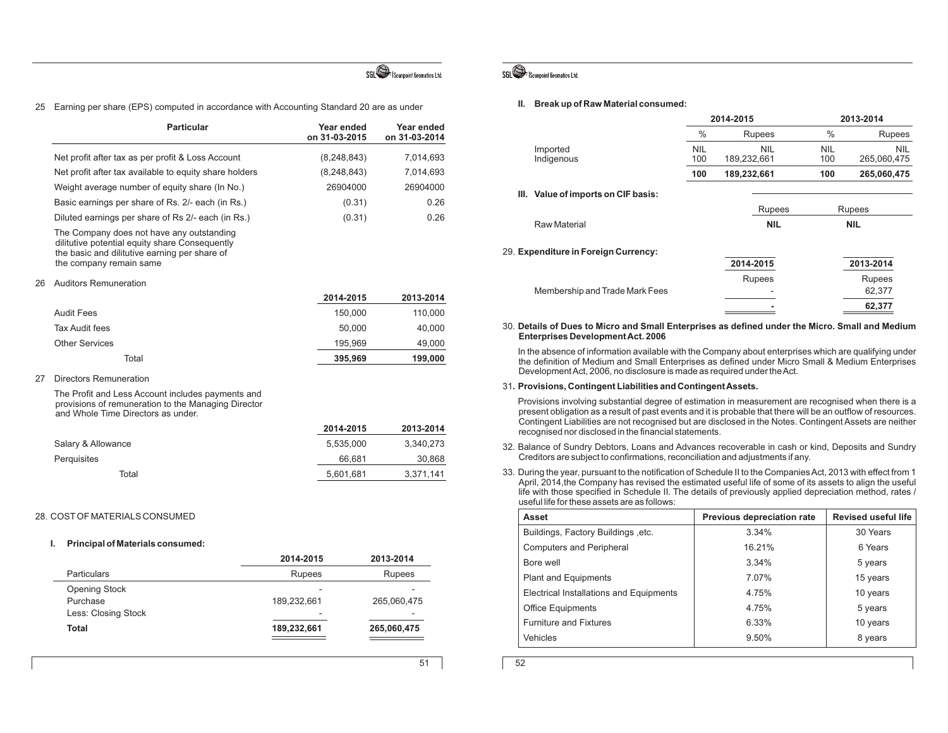## $\textsf{SGL}\bigoplus_\textsf{e}[\textsf{Scanpoint}\textsf{Geomatics}\textsf{Ltd}]$

#### 25 Earning per share (EPS) computed in accordance with Accounting Standard 20 are as under

| <b>Particular</b>                                                                           | Year ended<br>on 31-03-2015 | Year ended<br>on 31-03-2014 |
|---------------------------------------------------------------------------------------------|-----------------------------|-----------------------------|
| Net profit after tax as per profit & Loss Account                                           | (8,248,843)                 | 7,014,693                   |
| Net profit after tax available to equity share holders                                      | (8,248,843)                 | 7,014,693                   |
| Weight average number of equity share (In No.)                                              | 26904000                    | 26904000                    |
| Basic earnings per share of Rs. 2/- each (in Rs.)                                           | (0.31)                      | 0.26                        |
| Diluted earnings per share of Rs 2/- each (in Rs.)                                          | (0.31)                      | 0.26                        |
| The Company does not have any outstanding<br>dilitutive peteptial caujty above Consequently |                             |                             |

dilitutive potential equity share Consequently the basic and dilitutive earning per share of the company remain same

#### 26 Auditors Remuneration

|                | 2014-2015 | 2013-2014 |
|----------------|-----------|-----------|
| Audit Fees     | 150.000   | 110,000   |
| Tax Audit fees | 50.000    | 40.000    |
| Other Services | 195.969   | 49,000    |
| Total          | 395.969   | 199,000   |

#### 27 Directors Remuneration

The Profit and Less Account includes payments and provisions of remuneration to the Managing Director and Whole Time Directors as under.

|                    | 2014-2015 | 2013-2014 |
|--------------------|-----------|-----------|
| Salary & Allowance | 5.535.000 | 3.340.273 |
| Perquisites        | 66.681    | 30,868    |
| Total              | 5,601,681 | 3,371,141 |

#### 28. COST OF MATERIALS CONSUMED

#### **I. Principal of Materials consumed:**

|                      | 2014-2015     | 2013-2014     |
|----------------------|---------------|---------------|
| Particulars          | <b>Rupees</b> | <b>Rupees</b> |
| <b>Opening Stock</b> | ۰             | -             |
| Purchase             | 189,232,661   | 265,060,475   |
| Less: Closing Stock  | ۰             | -             |
| Total                | 189,232,661   | 265,060,475   |
|                      |               |               |

## SGL<sup>9</sup> | Seanpoint Geomatics Ltd.

#### **II. Break up of Raw Material consumed:**

|                                      | 2014-2015  |               | 2013-2014     |               |
|--------------------------------------|------------|---------------|---------------|---------------|
|                                      | $\%$       | Rupees        | $\frac{0}{0}$ | <b>Rupees</b> |
| Imported                             | <b>NIL</b> | <b>NIL</b>    | <b>NIL</b>    | <b>NIL</b>    |
| Indigenous                           | 100        | 189,232,661   | 100           | 265,060,475   |
|                                      | 100        | 189,232,661   | 100           | 265,060,475   |
| III. Value of imports on CIF basis:  |            |               |               |               |
|                                      |            | <b>Rupees</b> |               | <b>Rupees</b> |
| Raw Material                         |            | <b>NIL</b>    |               | <b>NIL</b>    |
| 29. Expenditure in Foreign Currency: |            |               |               |               |
|                                      |            | 2014-2015     |               | 2013-2014     |
|                                      |            | <b>Rupees</b> |               | <b>Rupees</b> |
| Membership and Trade Mark Fees       |            |               |               | 62,377        |
|                                      |            |               |               | 62,377        |

#### 30. Details of Dues to Micro and Small Enterprises as defined under the Micro. Small and Medium **Enterprises DevelopmentAct. 2006**

In the absence of information available with the Company about enterprises which are qualifying under the definition of Medium and Small Enterprises as defined under Micro Small & Medium Enterprises DevelopmentAct, 2006, no disclosure is made as required under theAct.

#### 31**. Provisions, Contingent Liabilities and ContingentAssets.**

Provisions involving substantial degree of estimation in measurement are recognised when there is <sup>a</sup> present obligation as <sup>a</sup> result of past events and it is probable that there will be an outflow of resources. Contingent Liabilities are not recognised but are disclosed in the Notes. Contingent Assets are neither recognised nor disclosed in the financial statements.

- 32. Balance of Sundry Debtors, Loans and Advances recoverable in cash or kind, Deposits and Sundry Creditors are subject to confirmations, reconciliation and adjustments if any.
- 33. During the year, pursuant to the notification of Schedule II to the CompaniesAct, 2013 with effect from 1 April, 2014,the Company has revised the estimated useful life of some of its assets to align the useful life with those specified in Schedule II. The details of previously applied depreciation method, rates / useful life for these assets are as follows:

| Asset                                   | Previous depreciation rate | <b>Revised useful life</b> |
|-----------------------------------------|----------------------------|----------------------------|
| Buildings, Factory Buildings, etc.      | 3.34%                      | 30 Years                   |
| <b>Computers and Peripheral</b>         | 16.21%                     | 6 Years                    |
| Bore well                               | 3.34%                      | 5 years                    |
| <b>Plant and Equipments</b>             | 7.07%                      | 15 years                   |
| Electrical Installations and Equipments | 4.75%                      | 10 years                   |
| <b>Office Equipments</b>                | 4.75%                      | 5 years                    |
| <b>Furniture and Fixtures</b>           | 6.33%                      | 10 years                   |
| Vehicles                                | 9.50%                      | 8 years                    |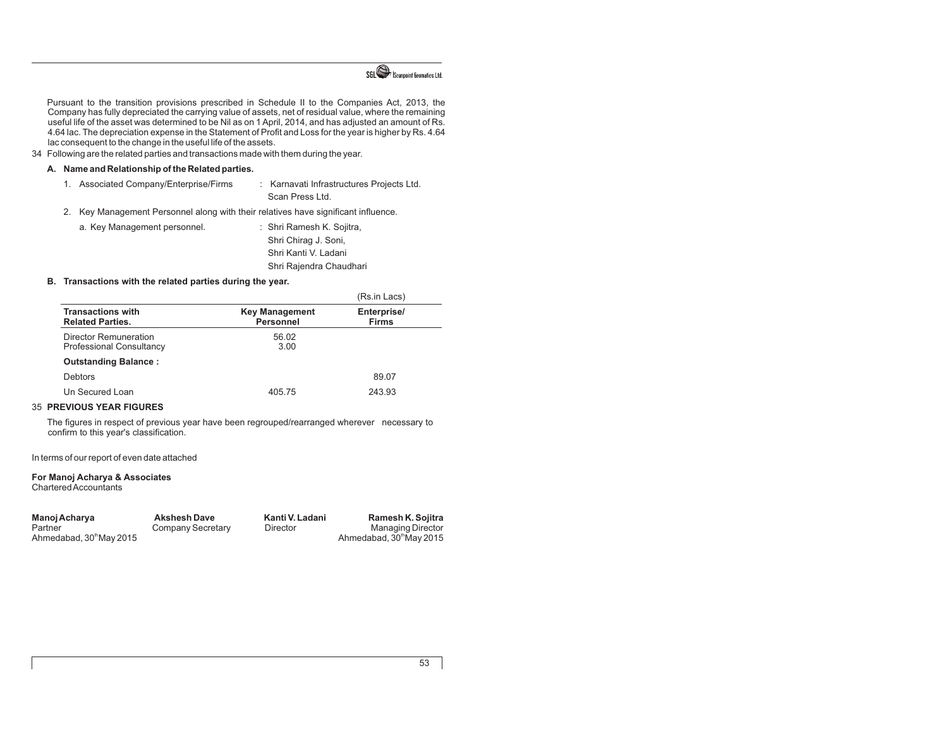

Pursuant to the transition provisions prescribed in Schedule II to the Companies Act, 2013, the Company has fully depreciated the carrying value of assets, net of residual value, where the remaining useful life of the asset was determined to be Nil as on 1 April, 2014, and has adjusted an amount of Rs. 4.64 lac. The depreciation expense in the Statement of Profit and Loss for the year is higher by Rs. 4.64 lac consequent to the change in the useful life of the assets.

34 Following are the related parties and transactions made with them during the year.

#### **A. Name and Relationship of the Related parties.**

| 1. Associated Company/Enterprise/Firms | : Karnavati Infrastructures Projects Ltd. |
|----------------------------------------|-------------------------------------------|
|                                        | Scan Press Ltd.                           |

2. Key Management Personnel along with their relatives have significant influence.

| a. Key Management personnel. | : Shri Ramesh K. Sojitra, |
|------------------------------|---------------------------|
|                              | Shri Chirag J. Soni,      |
|                              | Shri Kanti V. Ladani      |
|                              | Shri Rajendra Chaudhari   |

#### **B. Transactions with the related parties during the year.**

|                                                          |                                    | (Rs.in Lacs)                |
|----------------------------------------------------------|------------------------------------|-----------------------------|
| <b>Transactions with</b><br><b>Related Parties.</b>      | <b>Key Management</b><br>Personnel | Enterprise/<br><b>Firms</b> |
| Director Remuneration<br><b>Professional Consultancy</b> | 56.02<br>3.00                      |                             |
| <b>Outstanding Balance:</b>                              |                                    |                             |
| <b>Debtors</b>                                           |                                    | 89.07                       |
| Un Secured Loan                                          | 405.75                             | 243.93                      |

#### 35 **PREVIOUS YEAR FIGURES**

The figures in respect of previous year have been regrouped/rearranged wherever necessary to confirm to this year's classification.

#### In terms of our report of even date attached

#### **For Manoj Acharya & Associates**

CharteredAccountants

| Manoj Acharya                        | <b>Akshesh Dave</b> | Kanti V. Ladani | Ramesh K. Soiitra                    |
|--------------------------------------|---------------------|-----------------|--------------------------------------|
| Partner                              | Company Secretary   | Director        | Managing Director                    |
| Ahmedabad, 30 <sup>th</sup> May 2015 |                     |                 | Ahmedabad, 30 <sup>th</sup> May 2015 |